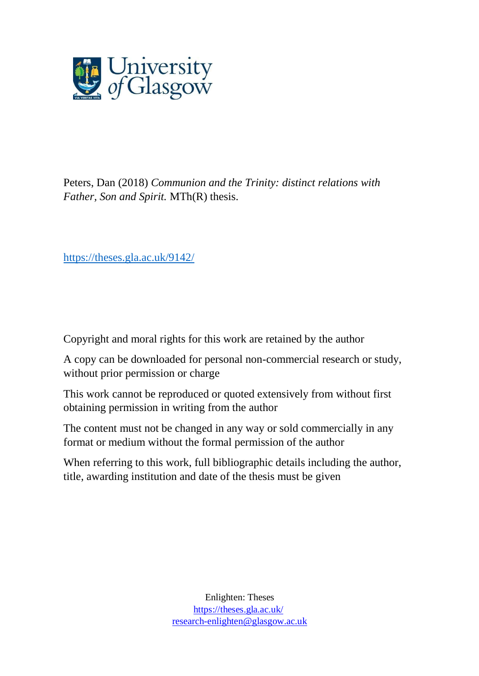

Peters, Dan (2018) *Communion and the Trinity: distinct relations with Father, Son and Spirit.* MTh(R) thesis.

[https://theses.gla.ac.uk/9142/](https://theses.gla.ac.uk/30606/)

Copyright and moral rights for this work are retained by the author

A copy can be downloaded for personal non-commercial research or study, without prior permission or charge

This work cannot be reproduced or quoted extensively from without first obtaining permission in writing from the author

The content must not be changed in any way or sold commercially in any format or medium without the formal permission of the author

When referring to this work, full bibliographic details including the author, title, awarding institution and date of the thesis must be given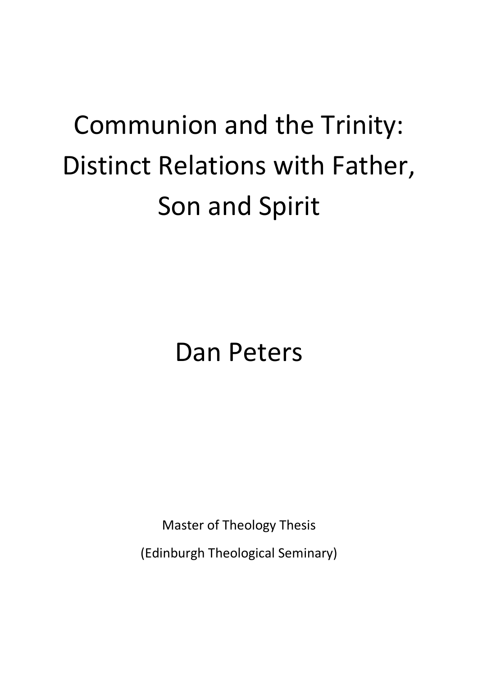# Communion and the Trinity: Distinct Relations with Father, Son and Spirit

Dan Peters

Master of Theology Thesis

(Edinburgh Theological Seminary)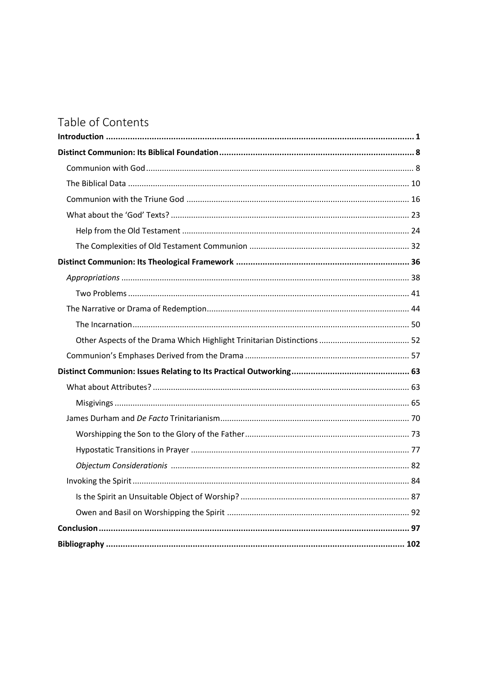# Table of Contents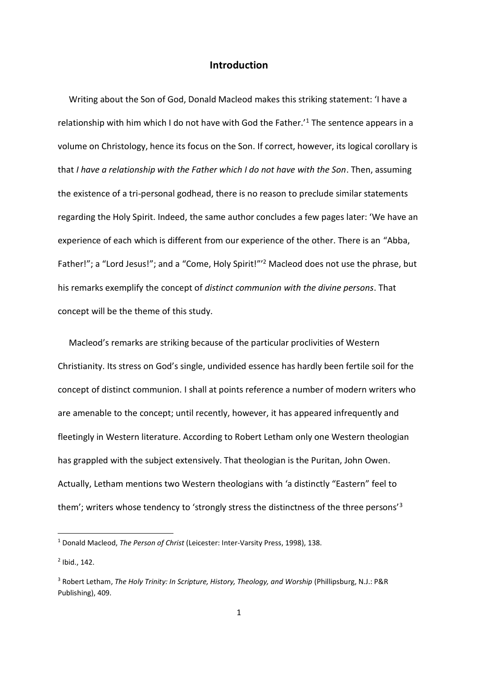# **Introduction**

 Writing about the Son of God, Donald Macleod makes this striking statement: 'I have a relationship with him which I do not have with God the Father.<sup>'1</sup> The sentence appears in a volume on Christology, hence its focus on the Son. If correct, however, its logical corollary is that *I have a relationship with the Father which I do not have with the Son*. Then, assuming the existence of a tri-personal godhead, there is no reason to preclude similar statements regarding the Holy Spirit. Indeed, the same author concludes a few pages later: 'We have an experience of each which is different from our experience of the other. There is an "Abba, Father!"; a "Lord Jesus!"; and a "Come, Holy Spirit!"<sup>2</sup> Macleod does not use the phrase, but his remarks exemplify the concept of *distinct communion with the divine persons*. That concept will be the theme of this study.

 Macleod's remarks are striking because of the particular proclivities of Western Christianity. Its stress on God's single, undivided essence has hardly been fertile soil for the concept of distinct communion. I shall at points reference a number of modern writers who are amenable to the concept; until recently, however, it has appeared infrequently and fleetingly in Western literature. According to Robert Letham only one Western theologian has grappled with the subject extensively. That theologian is the Puritan, John Owen. Actually, Letham mentions two Western theologians with 'a distinctly "Eastern" feel to them'; writers whose tendency to 'strongly stress the distinctness of the three persons'<sup>3</sup>

<sup>1</sup> Donald Macleod, *The Person of Christ* (Leicester: Inter-Varsity Press, 1998), 138.

 $2$  Ibid., 142.

<sup>3</sup> Robert Letham, *The Holy Trinity: In Scripture, History, Theology, and Worship* (Phillipsburg, N.J.: P&R Publishing), 409.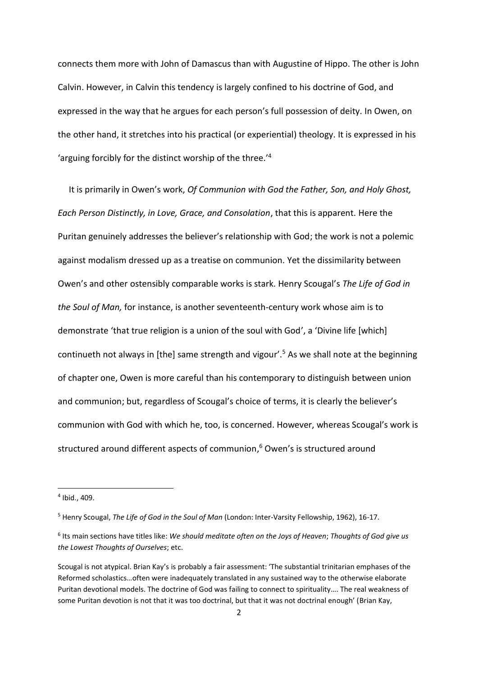connects them more with John of Damascus than with Augustine of Hippo. The other is John Calvin. However, in Calvin this tendency is largely confined to his doctrine of God, and expressed in the way that he argues for each person's full possession of deity. In Owen, on the other hand, it stretches into his practical (or experiential) theology. It is expressed in his 'arguing forcibly for the distinct worship of the three.'<sup>4</sup>

 It is primarily in Owen's work, *Of Communion with God the Father, Son, and Holy Ghost, Each Person Distinctly, in Love, Grace, and Consolation*, that this is apparent. Here the Puritan genuinely addresses the believer's relationship with God; the work is not a polemic against modalism dressed up as a treatise on communion. Yet the dissimilarity between Owen's and other ostensibly comparable works is stark. Henry Scougal's *The Life of God in the Soul of Man,* for instance, is another seventeenth-century work whose aim is to demonstrate 'that true religion is a union of the soul with God', a 'Divine life [which] continueth not always in [the] same strength and vigour'.<sup>5</sup> As we shall note at the beginning of chapter one, Owen is more careful than his contemporary to distinguish between union and communion; but, regardless of Scougal's choice of terms, it is clearly the believer's communion with God with which he, too, is concerned. However, whereas Scougal's work is structured around different aspects of communion, <sup>6</sup> Owen's is structured around

<sup>4</sup> Ibid., 409.

<sup>5</sup> Henry Scougal, *The Life of God in the Soul of Man* (London: Inter-Varsity Fellowship, 1962), 16-17.

<sup>6</sup> Its main sections have titles like: *We should meditate often on the Joys of Heaven*; *Thoughts of God give us the Lowest Thoughts of Ourselves*; etc.

Scougal is not atypical. Brian Kay's is probably a fair assessment: 'The substantial trinitarian emphases of the Reformed scholastics…often were inadequately translated in any sustained way to the otherwise elaborate Puritan devotional models. The doctrine of God was failing to connect to spirituality…. The real weakness of some Puritan devotion is not that it was too doctrinal, but that it was not doctrinal enough' (Brian Kay,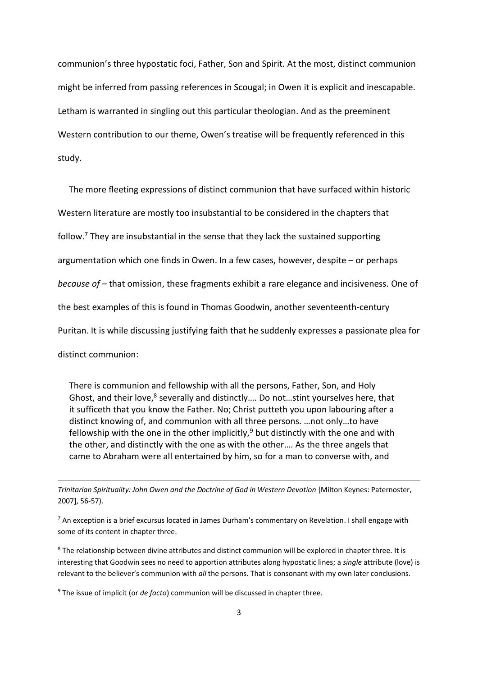communion's three hypostatic foci, Father, Son and Spirit. At the most, distinct communion might be inferred from passing references in Scougal; in Owen it is explicit and inescapable. Letham is warranted in singling out this particular theologian. And as the preeminent Western contribution to our theme, Owen's treatise will be frequently referenced in this study.

 The more fleeting expressions of distinct communion that have surfaced within historic Western literature are mostly too insubstantial to be considered in the chapters that follow.<sup>7</sup> They are insubstantial in the sense that they lack the sustained supporting argumentation which one finds in Owen. In a few cases, however, despite – or perhaps *because of* – that omission, these fragments exhibit a rare elegance and incisiveness. One of the best examples of this is found in Thomas Goodwin, another seventeenth-century Puritan. It is while discussing justifying faith that he suddenly expresses a passionate plea for distinct communion:

There is communion and fellowship with all the persons, Father, Son, and Holy Ghost, and their love,<sup>8</sup> severally and distinctly.... Do not...stint yourselves here, that it sufficeth that you know the Father. No; Christ putteth you upon labouring after a distinct knowing of, and communion with all three persons. …not only…to have fellowship with the one in the other implicitly,<sup>9</sup> but distinctly with the one and with the other, and distinctly with the one as with the other…. As the three angels that came to Abraham were all entertained by him, so for a man to converse with, and

*Trinitarian Spirituality: John Owen and the Doctrine of God in Western Devotion* [Milton Keynes: Paternoster, 2007], 56-57).

 $<sup>7</sup>$  An exception is a brief excursus located in James Durham's commentary on Revelation. I shall engage with</sup> some of its content in chapter three.

<sup>8</sup> The relationship between divine attributes and distinct communion will be explored in chapter three. It is interesting that Goodwin sees no need to apportion attributes along hypostatic lines; a *single* attribute (love) is relevant to the believer's communion with *all* the persons. That is consonant with my own later conclusions.

<sup>9</sup> The issue of implicit (or *de facto*) communion will be discussed in chapter three.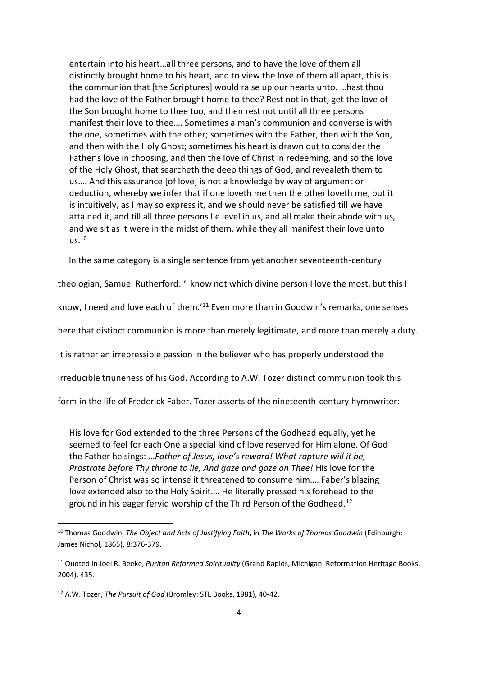entertain into his heart…all three persons, and to have the love of them all distinctly brought home to his heart, and to view the love of them all apart, this is the communion that [the Scriptures] would raise up our hearts unto. …hast thou had the love of the Father brought home to thee? Rest not in that; get the love of the Son brought home to thee too, and then rest not until all three persons manifest their love to thee…. Sometimes a man's communion and converse is with the one, sometimes with the other; sometimes with the Father, then with the Son, and then with the Holy Ghost; sometimes his heart is drawn out to consider the Father's love in choosing, and then the love of Christ in redeeming, and so the love of the Holy Ghost, that searcheth the deep things of God, and revealeth them to us…. And this assurance [of love] is not a knowledge by way of argument or deduction, whereby we infer that if one loveth me then the other loveth me, but it is intuitively, as I may so express it, and we should never be satisfied till we have attained it, and till all three persons lie level in us, and all make their abode with us, and we sit as it were in the midst of them, while they all manifest their love unto  $us.<sup>10</sup>$ 

In the same category is a single sentence from yet another seventeenth-century

theologian, Samuel Rutherford: 'I know not which divine person I love the most, but this I

know, I need and love each of them.<sup>'11</sup> Even more than in Goodwin's remarks, one senses

here that distinct communion is more than merely legitimate, and more than merely a duty.

It is rather an irrepressible passion in the believer who has properly understood the

irreducible triuneness of his God. According to A.W. Tozer distinct communion took this

form in the life of Frederick Faber. Tozer asserts of the nineteenth-century hymnwriter:

His love for God extended to the three Persons of the Godhead equally, yet he seemed to feel for each One a special kind of love reserved for Him alone. Of God the Father he sings: …*Father of Jesus, love's reward! What rapture will it be, Prostrate before Thy throne to lie, And gaze and gaze on Thee!* His love for the Person of Christ was so intense it threatened to consume him…. Faber's blazing love extended also to the Holy Spirit…. He literally pressed his forehead to the ground in his eager fervid worship of the Third Person of the Godhead.<sup>12</sup>

<sup>10</sup> Thomas Goodwin, *The Object and Acts of Justifying Faith*, in *The Works of Thomas Goodwin* (Edinburgh: James Nichol, 1865), 8:376-379.

<sup>11</sup> Quoted in Joel R. Beeke, *Puritan Reformed Spirituality* (Grand Rapids, Michigan: Reformation Heritage Books, 2004), 435.

<sup>12</sup> A.W. Tozer, *The Pursuit of God* (Bromley: STL Books, 1981), 40-42.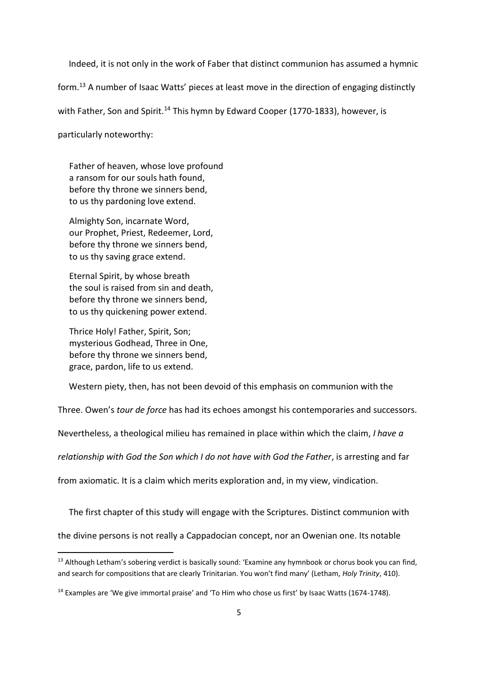Indeed, it is not only in the work of Faber that distinct communion has assumed a hymnic

form.<sup>13</sup> A number of Isaac Watts' pieces at least move in the direction of engaging distinctly

with Father, Son and Spirit.<sup>14</sup> This hymn by Edward Cooper (1770-1833), however, is

particularly noteworthy:

Father of heaven, whose love profound a ransom for our souls hath found, before thy throne we sinners bend, to us thy pardoning love extend.

Almighty Son, incarnate Word, our Prophet, Priest, Redeemer, Lord, before thy throne we sinners bend, to us thy saving grace extend.

Eternal Spirit, by whose breath the soul is raised from sin and death, before thy throne we sinners bend, to us thy quickening power extend.

Thrice Holy! Father, Spirit, Son; mysterious Godhead, Three in One, before thy throne we sinners bend, grace, pardon, life to us extend.

1

Western piety, then, has not been devoid of this emphasis on communion with the

Three. Owen's *tour de force* has had its echoes amongst his contemporaries and successors.

Nevertheless, a theological milieu has remained in place within which the claim, *I have a* 

*relationship with God the Son which I do not have with God the Father*, is arresting and far

from axiomatic. It is a claim which merits exploration and, in my view, vindication.

The first chapter of this study will engage with the Scriptures. Distinct communion with

the divine persons is not really a Cappadocian concept, nor an Owenian one. Its notable

<sup>&</sup>lt;sup>13</sup> Although Letham's sobering verdict is basically sound: 'Examine any hymnbook or chorus book you can find, and search for compositions that are clearly Trinitarian. You won't find many' (Letham, *Holy Trinity*, 410).

<sup>&</sup>lt;sup>14</sup> Examples are 'We give immortal praise' and 'To Him who chose us first' by Isaac Watts (1674-1748).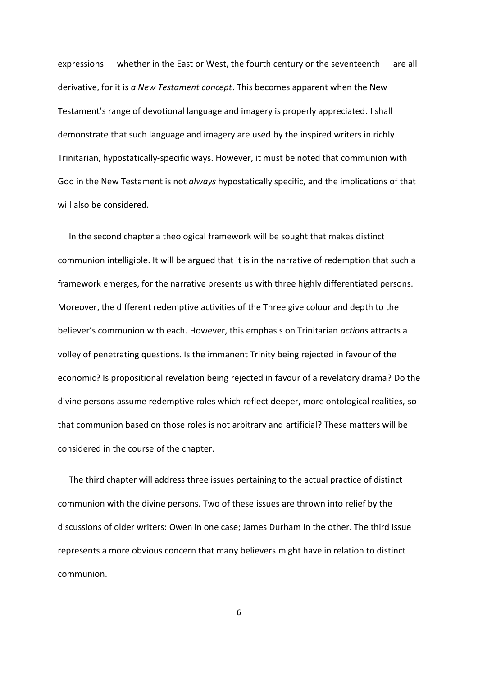expressions — whether in the East or West, the fourth century or the seventeenth — are all derivative, for it is *a New Testament concept*. This becomes apparent when the New Testament's range of devotional language and imagery is properly appreciated. I shall demonstrate that such language and imagery are used by the inspired writers in richly Trinitarian, hypostatically-specific ways. However, it must be noted that communion with God in the New Testament is not *always* hypostatically specific, and the implications of that will also be considered.

 In the second chapter a theological framework will be sought that makes distinct communion intelligible. It will be argued that it is in the narrative of redemption that such a framework emerges, for the narrative presents us with three highly differentiated persons. Moreover, the different redemptive activities of the Three give colour and depth to the believer's communion with each. However, this emphasis on Trinitarian *actions* attracts a volley of penetrating questions. Is the immanent Trinity being rejected in favour of the economic? Is propositional revelation being rejected in favour of a revelatory drama? Do the divine persons assume redemptive roles which reflect deeper, more ontological realities, so that communion based on those roles is not arbitrary and artificial? These matters will be considered in the course of the chapter.

 The third chapter will address three issues pertaining to the actual practice of distinct communion with the divine persons. Two of these issues are thrown into relief by the discussions of older writers: Owen in one case; James Durham in the other. The third issue represents a more obvious concern that many believers might have in relation to distinct communion.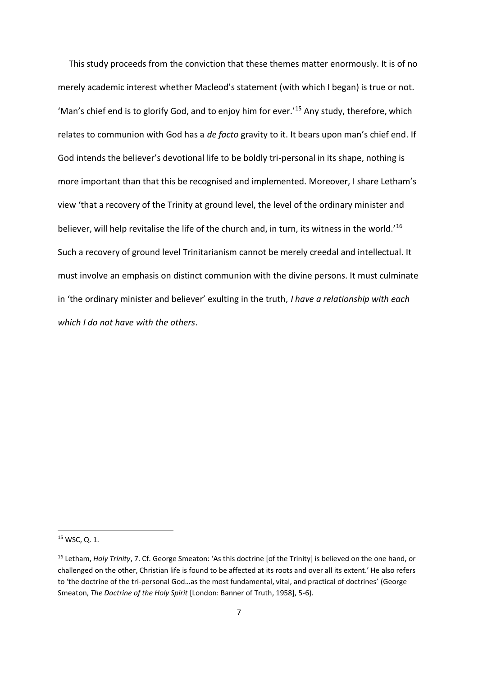This study proceeds from the conviction that these themes matter enormously. It is of no merely academic interest whether Macleod's statement (with which I began) is true or not. 'Man's chief end is to glorify God, and to enjoy him for ever.'<sup>15</sup> Any study, therefore, which relates to communion with God has a *de facto* gravity to it. It bears upon man's chief end. If God intends the believer's devotional life to be boldly tri-personal in its shape, nothing is more important than that this be recognised and implemented. Moreover, I share Letham's view 'that a recovery of the Trinity at ground level, the level of the ordinary minister and believer, will help revitalise the life of the church and, in turn, its witness in the world.<sup>'16</sup> Such a recovery of ground level Trinitarianism cannot be merely creedal and intellectual. It must involve an emphasis on distinct communion with the divine persons. It must culminate in 'the ordinary minister and believer' exulting in the truth, *I have a relationship with each which I do not have with the others*.

<sup>15</sup> WSC, Q. 1.

<sup>16</sup> Letham, *Holy Trinity*, 7. Cf. George Smeaton: 'As this doctrine [of the Trinity] is believed on the one hand, or challenged on the other, Christian life is found to be affected at its roots and over all its extent.' He also refers to 'the doctrine of the tri-personal God…as the most fundamental, vital, and practical of doctrines' (George Smeaton, *The Doctrine of the Holy Spirit* [London: Banner of Truth, 1958], 5-6).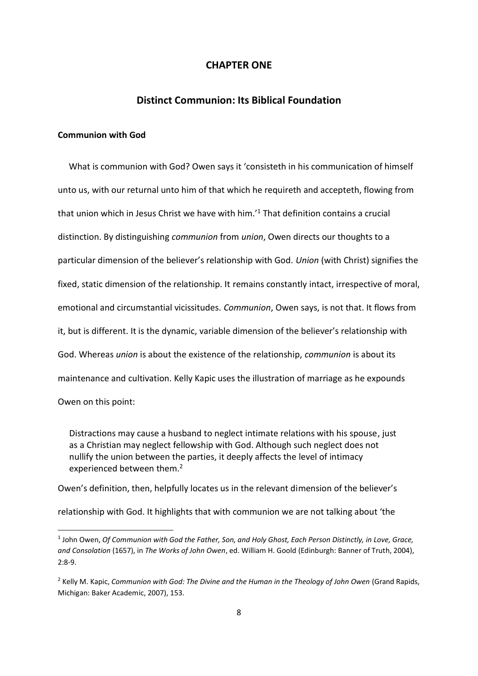# **CHAPTER ONE**

# **Distinct Communion: Its Biblical Foundation**

## **Communion with God**

1

 What is communion with God? Owen says it 'consisteth in his communication of himself unto us, with our returnal unto him of that which he requireth and accepteth, flowing from that union which in Jesus Christ we have with him.<sup>'1</sup> That definition contains a crucial distinction. By distinguishing *communion* from *union*, Owen directs our thoughts to a particular dimension of the believer's relationship with God. *Union* (with Christ) signifies the fixed, static dimension of the relationship. It remains constantly intact, irrespective of moral, emotional and circumstantial vicissitudes. *Communion*, Owen says, is not that. It flows from it, but is different. It is the dynamic, variable dimension of the believer's relationship with God. Whereas *union* is about the existence of the relationship, *communion* is about its maintenance and cultivation. Kelly Kapic uses the illustration of marriage as he expounds Owen on this point:

Distractions may cause a husband to neglect intimate relations with his spouse, just as a Christian may neglect fellowship with God. Although such neglect does not nullify the union between the parties, it deeply affects the level of intimacy experienced between them.<sup>2</sup>

Owen's definition, then, helpfully locates us in the relevant dimension of the believer's

relationship with God. It highlights that with communion we are not talking about 'the

<sup>&</sup>lt;sup>1</sup> John Owen, Of Communion with God the Father, Son, and Holy Ghost, Each Person Distinctly, in Love, Grace, *and Consolation* (1657), in *The Works of John Owen*, ed. William H. Goold (Edinburgh: Banner of Truth, 2004), 2:8-9.

<sup>2</sup> Kelly M. Kapic, *Communion with God: The Divine and the Human in the Theology of John Owen* (Grand Rapids, Michigan: Baker Academic, 2007), 153.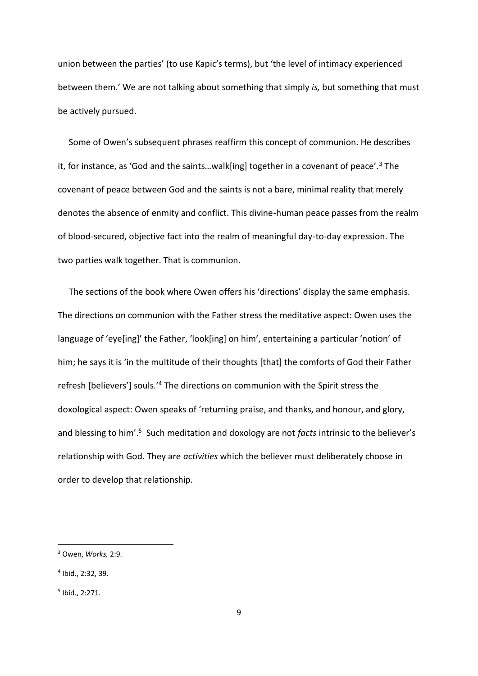union between the parties' (to use Kapic's terms), but 'the level of intimacy experienced between them.' We are not talking about something that simply *is,* but something that must be actively pursued.

 Some of Owen's subsequent phrases reaffirm this concept of communion. He describes it, for instance, as 'God and the saints...walk[ing] together in a covenant of peace'.<sup>3</sup> The covenant of peace between God and the saints is not a bare, minimal reality that merely denotes the absence of enmity and conflict. This divine-human peace passes from the realm of blood-secured, objective fact into the realm of meaningful day-to-day expression. The two parties walk together. That is communion.

 The sections of the book where Owen offers his 'directions' display the same emphasis. The directions on communion with the Father stress the meditative aspect: Owen uses the language of 'eye[ing]' the Father, 'look[ing] on him', entertaining a particular 'notion' of him; he says it is 'in the multitude of their thoughts [that] the comforts of God their Father refresh [believers'] souls.'<sup>4</sup> The directions on communion with the Spirit stress the doxological aspect: Owen speaks of 'returning praise, and thanks, and honour, and glory, and blessing to him'.<sup>5</sup> Such meditation and doxology are not *facts* intrinsic to the believer's relationship with God. They are *activities* which the believer must deliberately choose in order to develop that relationship.

<sup>3</sup> Owen, *Works,* 2:9.

<sup>4</sup> Ibid., 2:32, 39.

<sup>5</sup> Ibid., 2:271.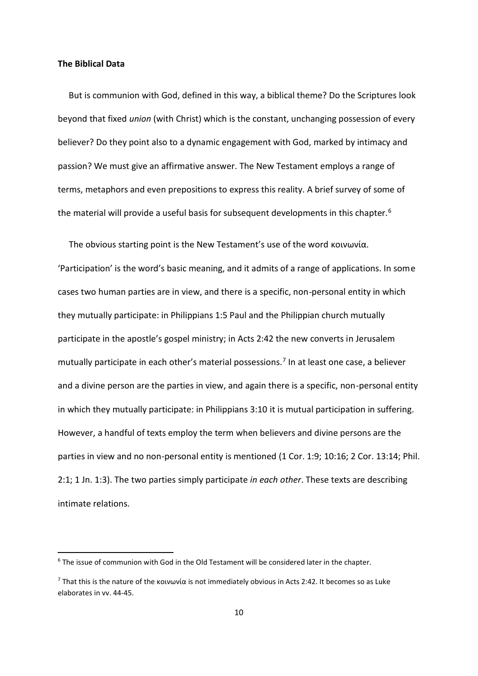#### **The Biblical Data**

1

 But is communion with God, defined in this way, a biblical theme? Do the Scriptures look beyond that fixed *union* (with Christ) which is the constant, unchanging possession of every believer? Do they point also to a dynamic engagement with God, marked by intimacy and passion? We must give an affirmative answer. The New Testament employs a range of terms, metaphors and even prepositions to express this reality. A brief survey of some of the material will provide a useful basis for subsequent developments in this chapter.<sup>6</sup>

 The obvious starting point is the New Testament's use of the word κοινωνία. 'Participation' is the word's basic meaning, and it admits of a range of applications. In some cases two human parties are in view, and there is a specific, non-personal entity in which they mutually participate: in Philippians 1:5 Paul and the Philippian church mutually participate in the apostle's gospel ministry; in Acts 2:42 the new converts in Jerusalem mutually participate in each other's material possessions.<sup>7</sup> In at least one case, a believer and a divine person are the parties in view, and again there is a specific, non-personal entity in which they mutually participate: in Philippians 3:10 it is mutual participation in suffering. However, a handful of texts employ the term when believers and divine persons are the parties in view and no non-personal entity is mentioned (1 Cor. 1:9; 10:16; 2 Cor. 13:14; Phil. 2:1; 1 Jn. 1:3). The two parties simply participate *in each other*. These texts are describing intimate relations.

<sup>&</sup>lt;sup>6</sup> The issue of communion with God in the Old Testament will be considered later in the chapter.

<sup>&</sup>lt;sup>7</sup> That this is the nature of the κοινωνία is not immediately obvious in Acts 2:42. It becomes so as Luke elaborates in vv. 44-45.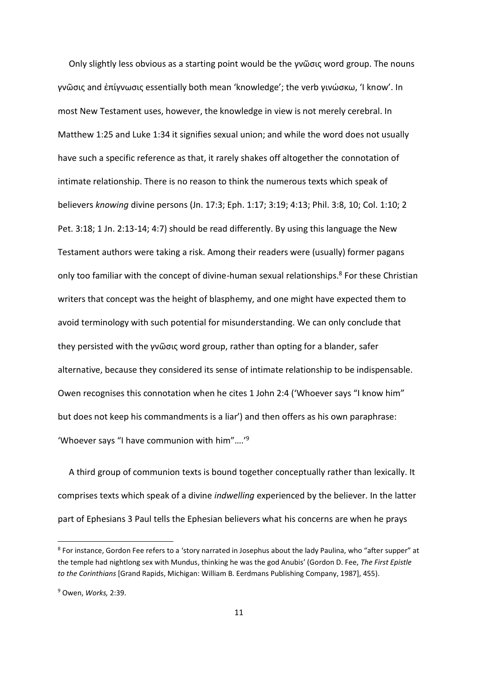Only slightly less obvious as a starting point would be the γνῶσις word group. The nouns γνῶσις and ἐπίγνωσις essentially both mean 'knowledge'; the verb γινώσκω, 'I know'. In most New Testament uses, however, the knowledge in view is not merely cerebral. In Matthew 1:25 and Luke 1:34 it signifies sexual union; and while the word does not usually have such a specific reference as that, it rarely shakes off altogether the connotation of intimate relationship. There is no reason to think the numerous texts which speak of believers *knowing* divine persons (Jn. 17:3; Eph. 1:17; 3:19; 4:13; Phil. 3:8, 10; Col. 1:10; 2 Pet. 3:18; 1 Jn. 2:13-14; 4:7) should be read differently. By using this language the New Testament authors were taking a risk. Among their readers were (usually) former pagans only too familiar with the concept of divine-human sexual relationships.<sup>8</sup> For these Christian writers that concept was the height of blasphemy, and one might have expected them to avoid terminology with such potential for misunderstanding. We can only conclude that they persisted with the γνῶσις word group, rather than opting for a blander, safer alternative, because they considered its sense of intimate relationship to be indispensable. Owen recognises this connotation when he cites 1 John 2:4 ('Whoever says "I know him" but does not keep his commandments is a liar') and then offers as his own paraphrase: 'Whoever says "I have communion with him"….'<sup>9</sup>

 A third group of communion texts is bound together conceptually rather than lexically. It comprises texts which speak of a divine *indwelling* experienced by the believer. In the latter part of Ephesians 3 Paul tells the Ephesian believers what his concerns are when he prays

<sup>&</sup>lt;sup>8</sup> For instance, Gordon Fee refers to a 'story narrated in Josephus about the lady Paulina, who "after supper" at the temple had nightlong sex with Mundus, thinking he was the god Anubis' (Gordon D. Fee, *The First Epistle to the Corinthians* [Grand Rapids, Michigan: William B. Eerdmans Publishing Company, 1987], 455).

<sup>9</sup> Owen, *Works,* 2:39.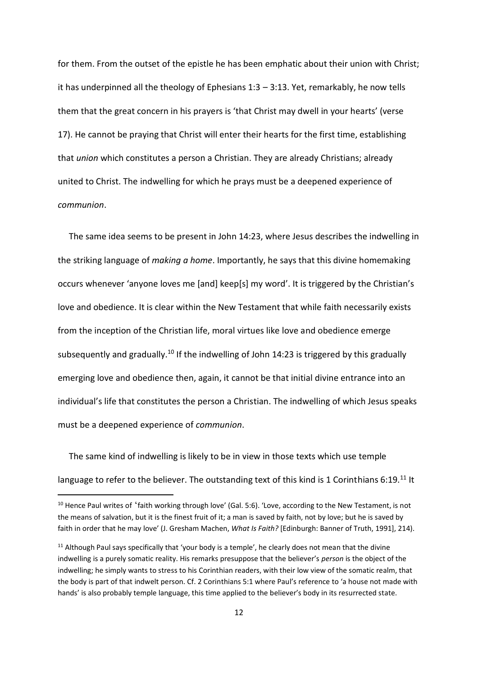for them. From the outset of the epistle he has been emphatic about their union with Christ; it has underpinned all the theology of Ephesians 1:3 – 3:13. Yet, remarkably, he now tells them that the great concern in his prayers is 'that Christ may dwell in your hearts' (verse 17). He cannot be praying that Christ will enter their hearts for the first time, establishing that *union* which constitutes a person a Christian. They are already Christians; already united to Christ. The indwelling for which he prays must be a deepened experience of *communion*.

 The same idea seems to be present in John 14:23, where Jesus describes the indwelling in the striking language of *making a home*. Importantly, he says that this divine homemaking occurs whenever 'anyone loves me [and] keep[s] my word'. It is triggered by the Christian's love and obedience. It is clear within the New Testament that while faith necessarily exists from the inception of the Christian life, moral virtues like love and obedience emerge subsequently and gradually.<sup>10</sup> If the indwelling of John 14:23 is triggered by this gradually emerging love and obedience then, again, it cannot be that initial divine entrance into an individual's life that constitutes the person a Christian. The indwelling of which Jesus speaks must be a deepened experience of *communion*.

 The same kind of indwelling is likely to be in view in those texts which use temple language to refer to the believer. The outstanding text of this kind is 1 Corinthians 6:19.<sup>11</sup> It

<sup>&</sup>lt;sup>10</sup> Hence Paul writes of 'faith working through love' (Gal. 5:6). 'Love, according to the New Testament, is not the means of salvation, but it is the finest fruit of it; a man is saved by faith, not by love; but he is saved by faith in order that he may love' (J. Gresham Machen, *What Is Faith?* [Edinburgh: Banner of Truth, 1991], 214).

 $11$  Although Paul says specifically that 'your body is a temple', he clearly does not mean that the divine indwelling is a purely somatic reality. His remarks presuppose that the believer's *person* is the object of the indwelling; he simply wants to stress to his Corinthian readers, with their low view of the somatic realm, that the body is part of that indwelt person. Cf. 2 Corinthians 5:1 where Paul's reference to 'a house not made with hands' is also probably temple language, this time applied to the believer's body in its resurrected state.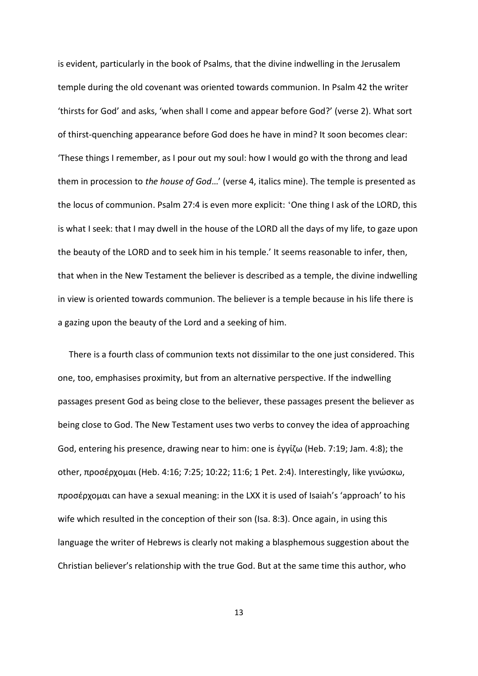is evident, particularly in the book of Psalms, that the divine indwelling in the Jerusalem temple during the old covenant was oriented towards communion. In Psalm 42 the writer 'thirsts for God' and asks, 'when shall I come and appear before God?' (verse 2). What sort of thirst-quenching appearance before God does he have in mind? It soon becomes clear: 'These things I remember, as I pour out my soul: how I would go with the throng and lead them in procession to *the house of God*…' (verse 4, italics mine). The temple is presented as the locus of communion. Psalm 27:4 is even more explicit: 'One thing I ask of the LORD, this is what I seek: that I may dwell in the house of the LORD all the days of my life, to gaze upon the beauty of the LORD and to seek him in his temple.' It seems reasonable to infer, then, that when in the New Testament the believer is described as a temple, the divine indwelling in view is oriented towards communion. The believer is a temple because in his life there is a gazing upon the beauty of the Lord and a seeking of him.

 There is a fourth class of communion texts not dissimilar to the one just considered. This one, too, emphasises proximity, but from an alternative perspective. If the indwelling passages present God as being close to the believer, these passages present the believer as being close to God. The New Testament uses two verbs to convey the idea of approaching God, entering his presence, drawing near to him: one is ἐγγίζω (Heb. 7:19; Jam. 4:8); the other, προσέρχομαι (Heb. 4:16; 7:25; 10:22; 11:6; 1 Pet. 2:4). Interestingly, like γινώσκω, προσέρχομαι can have a sexual meaning: in the LXX it is used of Isaiah's 'approach' to his wife which resulted in the conception of their son (Isa. 8:3). Once again, in using this language the writer of Hebrews is clearly not making a blasphemous suggestion about the Christian believer's relationship with the true God. But at the same time this author, who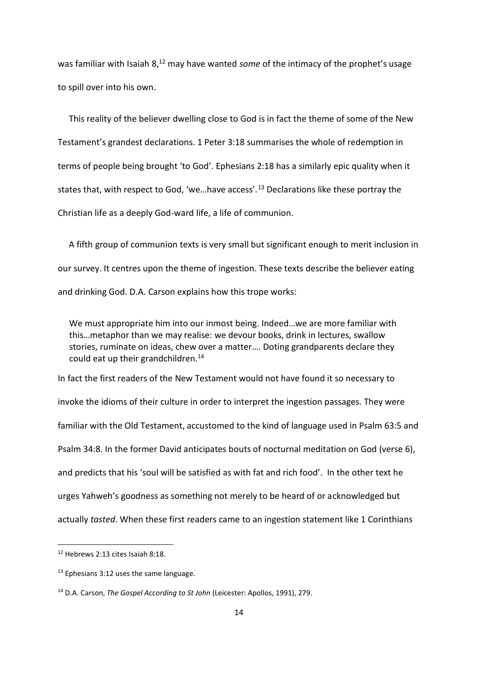was familiar with Isaiah 8,<sup>12</sup> may have wanted *some* of the intimacy of the prophet's usage to spill over into his own.

 This reality of the believer dwelling close to God is in fact the theme of some of the New Testament's grandest declarations. 1 Peter 3:18 summarises the whole of redemption in terms of people being brought 'to God'. Ephesians 2:18 has a similarly epic quality when it states that, with respect to God, 'we...have access'.<sup>13</sup> Declarations like these portray the Christian life as a deeply God-ward life, a life of communion.

 A fifth group of communion texts is very small but significant enough to merit inclusion in our survey. It centres upon the theme of ingestion. These texts describe the believer eating and drinking God. D.A. Carson explains how this trope works:

We must appropriate him into our inmost being. Indeed…we are more familiar with this…metaphor than we may realise: we devour books, drink in lectures, swallow stories, ruminate on ideas, chew over a matter…. Doting grandparents declare they could eat up their grandchildren.<sup>14</sup>

In fact the first readers of the New Testament would not have found it so necessary to invoke the idioms of their culture in order to interpret the ingestion passages. They were familiar with the Old Testament, accustomed to the kind of language used in Psalm 63:5 and Psalm 34:8. In the former David anticipates bouts of nocturnal meditation on God (verse 6), and predicts that his 'soul will be satisfied as with fat and rich food'. In the other text he urges Yahweh's goodness as something not merely to be heard of or acknowledged but actually *tasted*. When these first readers came to an ingestion statement like 1 Corinthians

<sup>12</sup> Hebrews 2:13 cites Isaiah 8:18.

<sup>&</sup>lt;sup>13</sup> Ephesians 3:12 uses the same language.

<sup>14</sup> D.A. Carson, *The Gospel According to St John* (Leicester: Apollos, 1991), 279.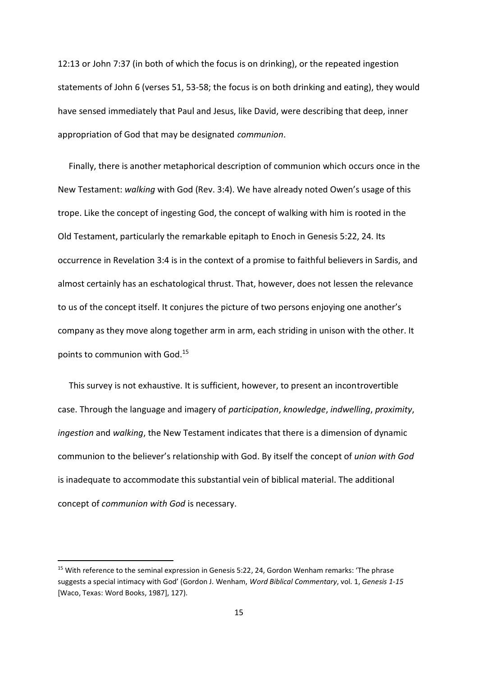12:13 or John 7:37 (in both of which the focus is on drinking), or the repeated ingestion statements of John 6 (verses 51, 53-58; the focus is on both drinking and eating), they would have sensed immediately that Paul and Jesus, like David, were describing that deep, inner appropriation of God that may be designated *communion*.

 Finally, there is another metaphorical description of communion which occurs once in the New Testament: *walking* with God (Rev. 3:4). We have already noted Owen's usage of this trope. Like the concept of ingesting God, the concept of walking with him is rooted in the Old Testament, particularly the remarkable epitaph to Enoch in Genesis 5:22, 24. Its occurrence in Revelation 3:4 is in the context of a promise to faithful believers in Sardis, and almost certainly has an eschatological thrust. That, however, does not lessen the relevance to us of the concept itself. It conjures the picture of two persons enjoying one another's company as they move along together arm in arm, each striding in unison with the other. It points to communion with God.<sup>15</sup>

 This survey is not exhaustive. It is sufficient, however, to present an incontrovertible case. Through the language and imagery of *participation*, *knowledge*, *indwelling*, *proximity*, *ingestion* and *walking*, the New Testament indicates that there is a dimension of dynamic communion to the believer's relationship with God. By itself the concept of *union with God* is inadequate to accommodate this substantial vein of biblical material. The additional concept of *communion with God* is necessary.

<sup>&</sup>lt;sup>15</sup> With reference to the seminal expression in Genesis 5:22, 24, Gordon Wenham remarks: 'The phrase suggests a special intimacy with God' (Gordon J. Wenham, *Word Biblical Commentary*, vol. 1, *Genesis 1-15* [Waco, Texas: Word Books, 1987], 127).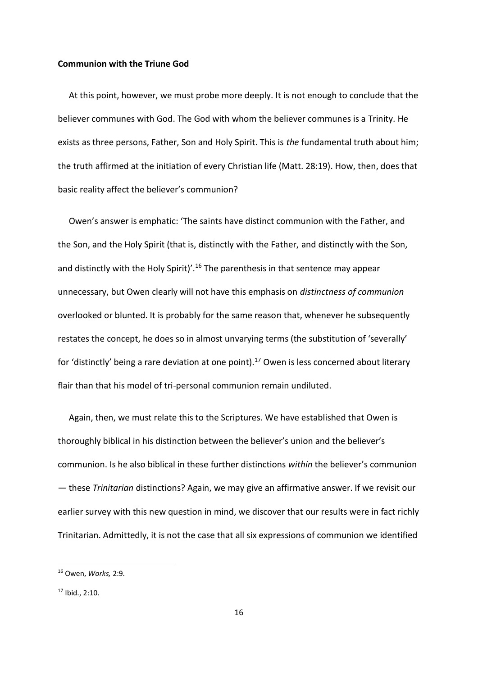#### **Communion with the Triune God**

 At this point, however, we must probe more deeply. It is not enough to conclude that the believer communes with God. The God with whom the believer communes is a Trinity. He exists as three persons, Father, Son and Holy Spirit. This is *the* fundamental truth about him; the truth affirmed at the initiation of every Christian life (Matt. 28:19). How, then, does that basic reality affect the believer's communion?

 Owen's answer is emphatic: 'The saints have distinct communion with the Father, and the Son, and the Holy Spirit (that is, distinctly with the Father, and distinctly with the Son, and distinctly with the Holy Spirit)'.<sup>16</sup> The parenthesis in that sentence may appear unnecessary, but Owen clearly will not have this emphasis on *distinctness of communion* overlooked or blunted. It is probably for the same reason that, whenever he subsequently restates the concept, he does so in almost unvarying terms (the substitution of 'severally' for 'distinctly' being a rare deviation at one point).<sup>17</sup> Owen is less concerned about literary flair than that his model of tri-personal communion remain undiluted.

 Again, then, we must relate this to the Scriptures. We have established that Owen is thoroughly biblical in his distinction between the believer's union and the believer's communion. Is he also biblical in these further distinctions *within* the believer's communion — these *Trinitarian* distinctions? Again, we may give an affirmative answer. If we revisit our earlier survey with this new question in mind, we discover that our results were in fact richly Trinitarian. Admittedly, it is not the case that all six expressions of communion we identified

.

<sup>16</sup> Owen, *Works,* 2:9.

<sup>17</sup> Ibid., 2:10.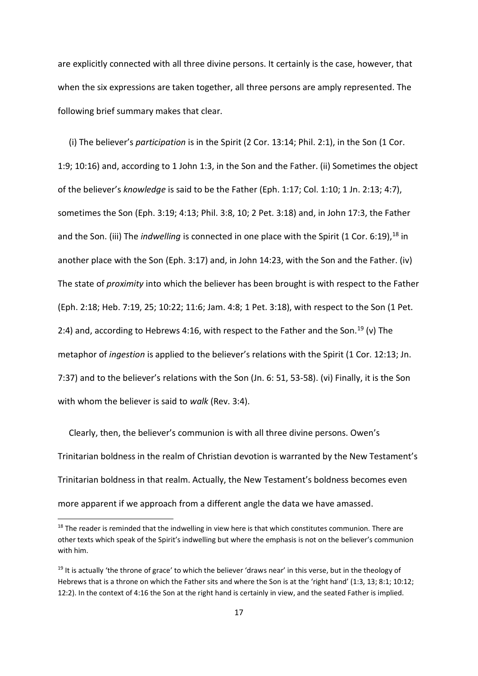are explicitly connected with all three divine persons. It certainly is the case, however, that when the six expressions are taken together, all three persons are amply represented. The following brief summary makes that clear.

 (i) The believer's *participation* is in the Spirit (2 Cor. 13:14; Phil. 2:1), in the Son (1 Cor. 1:9; 10:16) and, according to 1 John 1:3, in the Son and the Father. (ii) Sometimes the object of the believer's *knowledge* is said to be the Father (Eph. 1:17; Col. 1:10; 1 Jn. 2:13; 4:7), sometimes the Son (Eph. 3:19; 4:13; Phil. 3:8, 10; 2 Pet. 3:18) and, in John 17:3, the Father and the Son. (iii) The *indwelling* is connected in one place with the Spirit (1 Cor. 6:19), <sup>18</sup> in another place with the Son (Eph. 3:17) and, in John 14:23, with the Son and the Father. (iv) The state of *proximity* into which the believer has been brought is with respect to the Father (Eph. 2:18; Heb. 7:19, 25; 10:22; 11:6; Jam. 4:8; 1 Pet. 3:18), with respect to the Son (1 Pet. 2:4) and, according to Hebrews 4:16, with respect to the Father and the Son.<sup>19</sup> (v) The metaphor of *ingestion* is applied to the believer's relations with the Spirit (1 Cor. 12:13; Jn. 7:37) and to the believer's relations with the Son (Jn. 6: 51, 53-58). (vi) Finally, it is the Son with whom the believer is said to *walk* (Rev. 3:4).

 Clearly, then, the believer's communion is with all three divine persons. Owen's Trinitarian boldness in the realm of Christian devotion is warranted by the New Testament's Trinitarian boldness in that realm. Actually, the New Testament's boldness becomes even more apparent if we approach from a different angle the data we have amassed.

<sup>&</sup>lt;sup>18</sup> The reader is reminded that the indwelling in view here is that which constitutes communion. There are other texts which speak of the Spirit's indwelling but where the emphasis is not on the believer's communion with him.

 $19$  It is actually 'the throne of grace' to which the believer 'draws near' in this verse, but in the theology of Hebrews that is a throne on which the Father sits and where the Son is at the 'right hand' (1:3, 13; 8:1; 10:12; 12:2). In the context of 4:16 the Son at the right hand is certainly in view, and the seated Father is implied.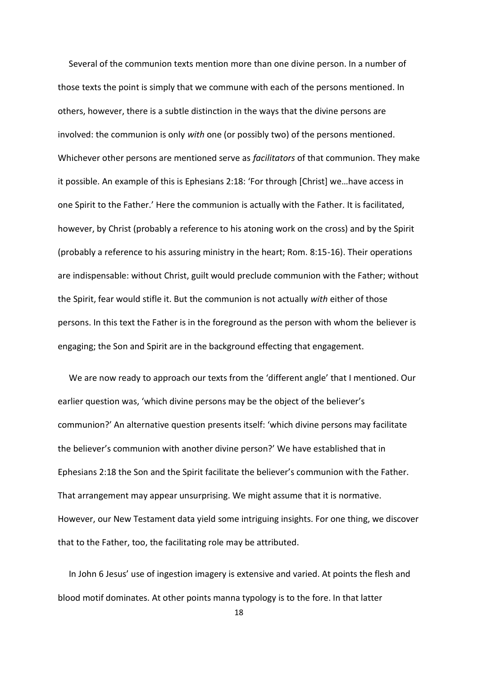Several of the communion texts mention more than one divine person. In a number of those texts the point is simply that we commune with each of the persons mentioned. In others, however, there is a subtle distinction in the ways that the divine persons are involved: the communion is only *with* one (or possibly two) of the persons mentioned. Whichever other persons are mentioned serve as *facilitators* of that communion. They make it possible. An example of this is Ephesians 2:18: 'For through [Christ] we…have access in one Spirit to the Father.' Here the communion is actually with the Father. It is facilitated, however, by Christ (probably a reference to his atoning work on the cross) and by the Spirit (probably a reference to his assuring ministry in the heart; Rom. 8:15-16). Their operations are indispensable: without Christ, guilt would preclude communion with the Father; without the Spirit, fear would stifle it. But the communion is not actually *with* either of those persons. In this text the Father is in the foreground as the person with whom the believer is engaging; the Son and Spirit are in the background effecting that engagement.

 We are now ready to approach our texts from the 'different angle' that I mentioned. Our earlier question was, 'which divine persons may be the object of the believer's communion?' An alternative question presents itself: 'which divine persons may facilitate the believer's communion with another divine person?' We have established that in Ephesians 2:18 the Son and the Spirit facilitate the believer's communion with the Father. That arrangement may appear unsurprising. We might assume that it is normative. However, our New Testament data yield some intriguing insights. For one thing, we discover that to the Father, too, the facilitating role may be attributed.

 In John 6 Jesus' use of ingestion imagery is extensive and varied. At points the flesh and blood motif dominates. At other points manna typology is to the fore. In that latter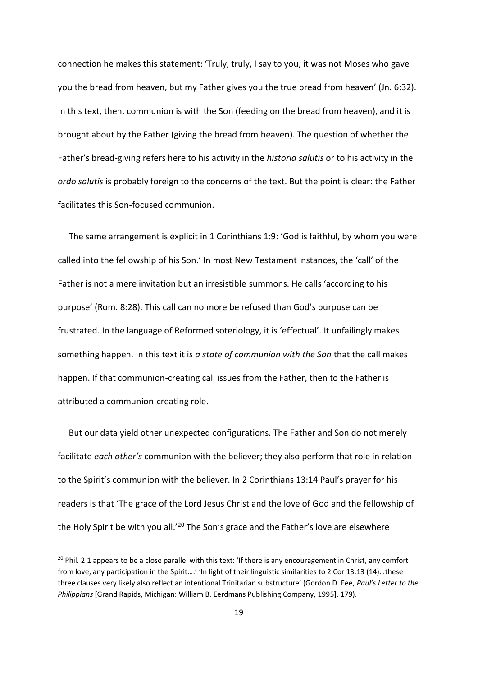connection he makes this statement: 'Truly, truly, I say to you, it was not Moses who gave you the bread from heaven, but my Father gives you the true bread from heaven' (Jn. 6:32). In this text, then, communion is with the Son (feeding on the bread from heaven), and it is brought about by the Father (giving the bread from heaven). The question of whether the Father's bread-giving refers here to his activity in the *historia salutis* or to his activity in the *ordo salutis* is probably foreign to the concerns of the text. But the point is clear: the Father facilitates this Son-focused communion.

 The same arrangement is explicit in 1 Corinthians 1:9: 'God is faithful, by whom you were called into the fellowship of his Son.' In most New Testament instances, the 'call' of the Father is not a mere invitation but an irresistible summons. He calls 'according to his purpose' (Rom. 8:28). This call can no more be refused than God's purpose can be frustrated. In the language of Reformed soteriology, it is 'effectual'. It unfailingly makes something happen. In this text it is *a state of communion with the Son* that the call makes happen. If that communion-creating call issues from the Father, then to the Father is attributed a communion-creating role.

 But our data yield other unexpected configurations. The Father and Son do not merely facilitate *each other's* communion with the believer; they also perform that role in relation to the Spirit's communion with the believer. In 2 Corinthians 13:14 Paul's prayer for his readers is that 'The grace of the Lord Jesus Christ and the love of God and the fellowship of the Holy Spirit be with you all.<sup>'20</sup> The Son's grace and the Father's love are elsewhere

 $20$  Phil. 2:1 appears to be a close parallel with this text: 'If there is any encouragement in Christ, any comfort from love, any participation in the Spirit....' 'In light of their linguistic similarities to 2 Cor 13:13 (14)...these three clauses very likely also reflect an intentional Trinitarian substructure' (Gordon D. Fee, *Paul's Letter to the Philippians* [Grand Rapids, Michigan: William B. Eerdmans Publishing Company, 1995], 179).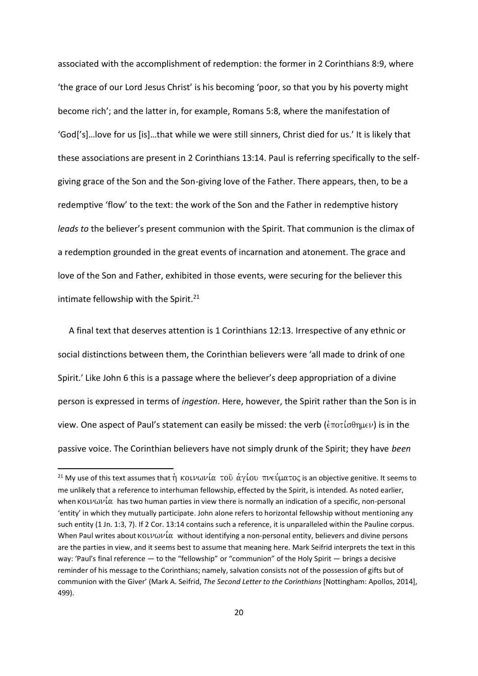associated with the accomplishment of redemption: the former in 2 Corinthians 8:9, where 'the grace of our Lord Jesus Christ' is his becoming 'poor, so that you by his poverty might become rich'; and the latter in, for example, Romans 5:8, where the manifestation of 'God['s]…love for us [is]…that while we were still sinners, Christ died for us.' It is likely that these associations are present in 2 Corinthians 13:14. Paul is referring specifically to the selfgiving grace of the Son and the Son-giving love of the Father. There appears, then, to be a redemptive 'flow' to the text: the work of the Son and the Father in redemptive history *leads to* the believer's present communion with the Spirit. That communion is the climax of a redemption grounded in the great events of incarnation and atonement. The grace and love of the Son and Father, exhibited in those events, were securing for the believer this intimate fellowship with the Spirit. $^{21}$ 

 A final text that deserves attention is 1 Corinthians 12:13. Irrespective of any ethnic or social distinctions between them, the Corinthian believers were 'all made to drink of one Spirit.' Like John 6 this is a passage where the believer's deep appropriation of a divine person is expressed in terms of *ingestion*. Here, however, the Spirit rather than the Son is in view. One aspect of Paul's statement can easily be missed: the verb  $(\hat{\epsilon} \pi \sigma \tau \hat{\iota} \sigma \theta \eta \mu \epsilon \nu)$  is in the passive voice. The Corinthian believers have not simply drunk of the Spirit; they have *been* 

<sup>&</sup>lt;sup>21</sup> My use of this text assumes that η κοινωνία του αγίου πνεύματος is an objective genitive. It seems to me unlikely that a reference to interhuman fellowship, effected by the Spirit, is intended. As noted earlier, when KOLV $\omega$ VL $\alpha$  has two human parties in view there is normally an indication of a specific, non-personal 'entity' in which they mutually participate. John alone refers to horizontal fellowship without mentioning any such entity (1 Jn. 1:3, 7). If 2 Cor. 13:14 contains such a reference, it is unparalleled within the Pauline corpus. When Paul writes about  $KOLV\omega V\hat{u}$  without identifying a non-personal entity, believers and divine persons are the parties in view, and it seems best to assume that meaning here. Mark Seifrid interprets the text in this way: 'Paul's final reference — to the "fellowship" or "communion" of the Holy Spirit — brings a decisive reminder of his message to the Corinthians; namely, salvation consists not of the possession of gifts but of communion with the Giver' (Mark A. Seifrid, *The Second Letter to the Corinthians* [Nottingham: Apollos, 2014], 499).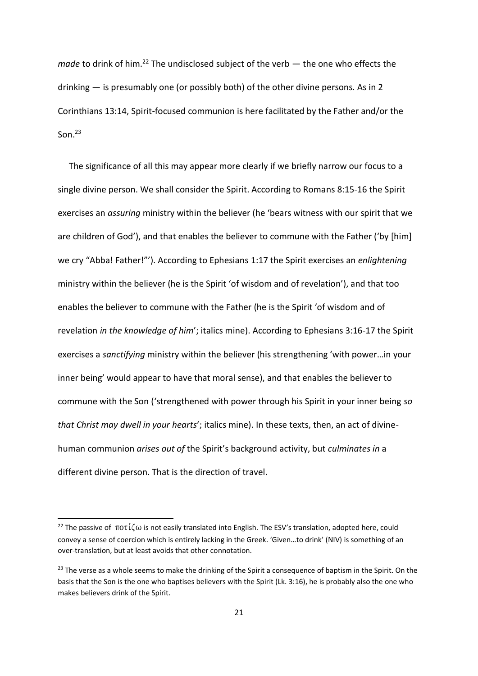*made* to drink of him.<sup>22</sup> The undisclosed subject of the verb — the one who effects the drinking  $-$  is presumably one (or possibly both) of the other divine persons. As in 2 Corinthians 13:14, Spirit-focused communion is here facilitated by the Father and/or the  $S<sub>on</sub>$  23

 The significance of all this may appear more clearly if we briefly narrow our focus to a single divine person. We shall consider the Spirit. According to Romans 8:15-16 the Spirit exercises an *assuring* ministry within the believer (he 'bears witness with our spirit that we are children of God'), and that enables the believer to commune with the Father ('by [him] we cry "Abba! Father!"'). According to Ephesians 1:17 the Spirit exercises an *enlightening* ministry within the believer (he is the Spirit 'of wisdom and of revelation'), and that too enables the believer to commune with the Father (he is the Spirit 'of wisdom and of revelation *in the knowledge of him*'; italics mine). According to Ephesians 3:16-17 the Spirit exercises a *sanctifying* ministry within the believer (his strengthening 'with power…in your inner being' would appear to have that moral sense), and that enables the believer to commune with the Son ('strengthened with power through his Spirit in your inner being *so that Christ may dwell in your hearts*'; italics mine). In these texts, then, an act of divinehuman communion *arises out of* the Spirit's background activity, but *culminates in* a different divine person. That is the direction of travel.

.

<sup>&</sup>lt;sup>22</sup> The passive of  $\pi$ ot $\zeta$  is not easily translated into English. The ESV's translation, adopted here, could convey a sense of coercion which is entirely lacking in the Greek. 'Given…to drink' (NIV) is something of an over-translation, but at least avoids that other connotation.

<sup>&</sup>lt;sup>23</sup> The verse as a whole seems to make the drinking of the Spirit a consequence of baptism in the Spirit. On the basis that the Son is the one who baptises believers with the Spirit (Lk. 3:16), he is probably also the one who makes believers drink of the Spirit.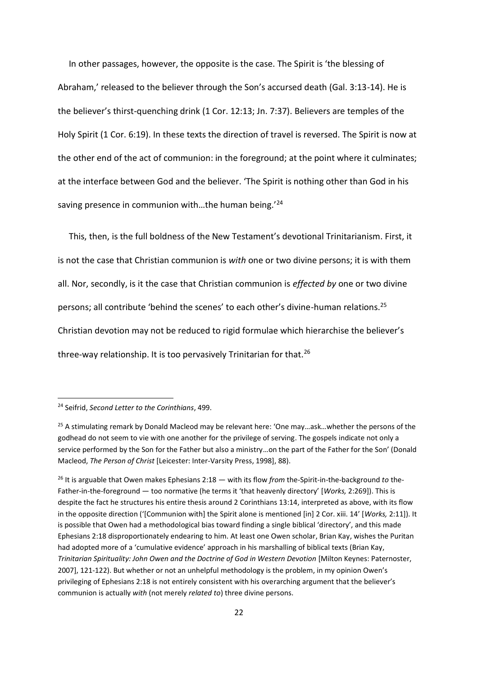In other passages, however, the opposite is the case. The Spirit is 'the blessing of Abraham,' released to the believer through the Son's accursed death (Gal. 3:13-14). He is the believer's thirst-quenching drink (1 Cor. 12:13; Jn. 7:37). Believers are temples of the Holy Spirit (1 Cor. 6:19). In these texts the direction of travel is reversed. The Spirit is now at the other end of the act of communion: in the foreground; at the point where it culminates; at the interface between God and the believer. 'The Spirit is nothing other than God in his saving presence in communion with...the human being.<sup>'24</sup>

 This, then, is the full boldness of the New Testament's devotional Trinitarianism. First, it is not the case that Christian communion is *with* one or two divine persons; it is with them all. Nor, secondly, is it the case that Christian communion is *effected by* one or two divine persons; all contribute 'behind the scenes' to each other's divine-human relations.<sup>25</sup> Christian devotion may not be reduced to rigid formulae which hierarchise the believer's three-way relationship. It is too pervasively Trinitarian for that.<sup>26</sup>

<sup>24</sup> Seifrid, *Second Letter to the Corinthians*, 499.

<sup>&</sup>lt;sup>25</sup> A stimulating remark by Donald Macleod may be relevant here: 'One may...ask...whether the persons of the godhead do not seem to vie with one another for the privilege of serving. The gospels indicate not only a service performed by the Son for the Father but also a ministry…on the part of the Father for the Son' (Donald Macleod, *The Person of Christ* [Leicester: Inter-Varsity Press, 1998], 88).

<sup>26</sup> It is arguable that Owen makes Ephesians 2:18 — with its flow *from* the-Spirit-in-the-background *to* the-Father-in-the-foreground — too normative (he terms it 'that heavenly directory' [*Works,* 2:269]). This is despite the fact he structures his entire thesis around 2 Corinthians 13:14, interpreted as above, with its flow in the opposite direction ('[Communion with] the Spirit alone is mentioned [in] 2 Cor. xiii. 14' [*Works,* 2:11]). It is possible that Owen had a methodological bias toward finding a single biblical 'directory', and this made Ephesians 2:18 disproportionately endearing to him. At least one Owen scholar, Brian Kay, wishes the Puritan had adopted more of a 'cumulative evidence' approach in his marshalling of biblical texts (Brian Kay, *Trinitarian Spirituality: John Owen and the Doctrine of God in Western Devotion* [Milton Keynes: Paternoster, 2007], 121-122). But whether or not an unhelpful methodology is the problem, in my opinion Owen's privileging of Ephesians 2:18 is not entirely consistent with his overarching argument that the believer's communion is actually *with* (not merely *related to*) three divine persons.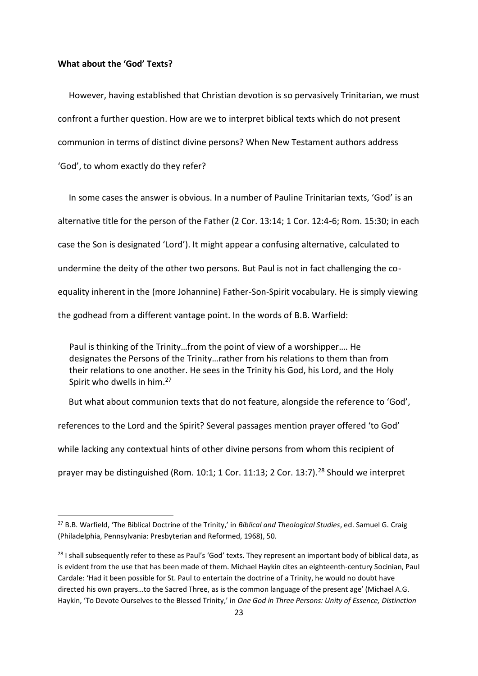#### **What about the 'God' Texts?**

1

 However, having established that Christian devotion is so pervasively Trinitarian, we must confront a further question. How are we to interpret biblical texts which do not present communion in terms of distinct divine persons? When New Testament authors address 'God', to whom exactly do they refer?

 In some cases the answer is obvious. In a number of Pauline Trinitarian texts, 'God' is an alternative title for the person of the Father (2 Cor. 13:14; 1 Cor. 12:4-6; Rom. 15:30; in each case the Son is designated 'Lord'). It might appear a confusing alternative, calculated to undermine the deity of the other two persons. But Paul is not in fact challenging the coequality inherent in the (more Johannine) Father-Son-Spirit vocabulary. He is simply viewing the godhead from a different vantage point. In the words of B.B. Warfield:

Paul is thinking of the Trinity…from the point of view of a worshipper…. He designates the Persons of the Trinity…rather from his relations to them than from their relations to one another. He sees in the Trinity his God, his Lord, and the Holy Spirit who dwells in him.<sup>27</sup>

 But what about communion texts that do not feature, alongside the reference to 'God', references to the Lord and the Spirit? Several passages mention prayer offered 'to God' while lacking any contextual hints of other divine persons from whom this recipient of prayer may be distinguished (Rom. 10:1; 1 Cor. 11:13; 2 Cor. 13:7).<sup>28</sup> Should we interpret

<sup>27</sup> B.B. Warfield, 'The Biblical Doctrine of the Trinity,' in *Biblical and Theological Studies*, ed. Samuel G. Craig (Philadelphia, Pennsylvania: Presbyterian and Reformed, 1968), 50.

<sup>&</sup>lt;sup>28</sup> I shall subsequently refer to these as Paul's 'God' texts. They represent an important body of biblical data, as is evident from the use that has been made of them. Michael Haykin cites an eighteenth-century Socinian, Paul Cardale: 'Had it been possible for St. Paul to entertain the doctrine of a Trinity, he would no doubt have directed his own prayers…to the Sacred Three, as is the common language of the present age' (Michael A.G. Haykin, 'To Devote Ourselves to the Blessed Trinity,' in *One God in Three Persons: Unity of Essence, Distinction*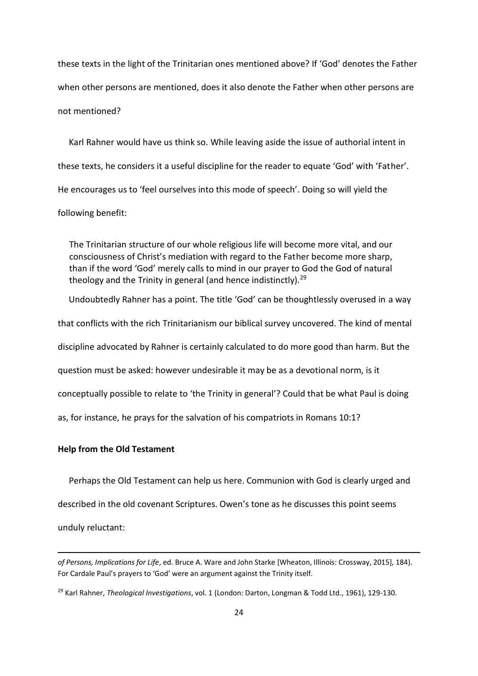these texts in the light of the Trinitarian ones mentioned above? If 'God' denotes the Father when other persons are mentioned, does it also denote the Father when other persons are not mentioned?

 Karl Rahner would have us think so. While leaving aside the issue of authorial intent in these texts, he considers it a useful discipline for the reader to equate 'God' with 'Father'. He encourages us to 'feel ourselves into this mode of speech'. Doing so will yield the following benefit:

The Trinitarian structure of our whole religious life will become more vital, and our consciousness of Christ's mediation with regard to the Father become more sharp, than if the word 'God' merely calls to mind in our prayer to God the God of natural theology and the Trinity in general (and hence indistinctly).<sup>29</sup>

Undoubtedly Rahner has a point. The title 'God' can be thoughtlessly overused in a way

that conflicts with the rich Trinitarianism our biblical survey uncovered. The kind of mental

discipline advocated by Rahner is certainly calculated to do more good than harm. But the

question must be asked: however undesirable it may be as a devotional norm, is it

conceptually possible to relate to 'the Trinity in general'? Could that be what Paul is doing

as, for instance, he prays for the salvation of his compatriots in Romans 10:1?

## **Help from the Old Testament**

Perhaps the Old Testament can help us here. Communion with God is clearly urged and

described in the old covenant Scriptures. Owen's tone as he discusses this point seems

unduly reluctant:

*of Persons, Implications for Life*, ed. Bruce A. Ware and John Starke [Wheaton, Illinois: Crossway, 2015], 184). For Cardale Paul's prayers to 'God' were an argument against the Trinity itself.

<sup>29</sup> Karl Rahner, *Theological Investigations*, vol. 1 (London: Darton, Longman & Todd Ltd., 1961), 129-130.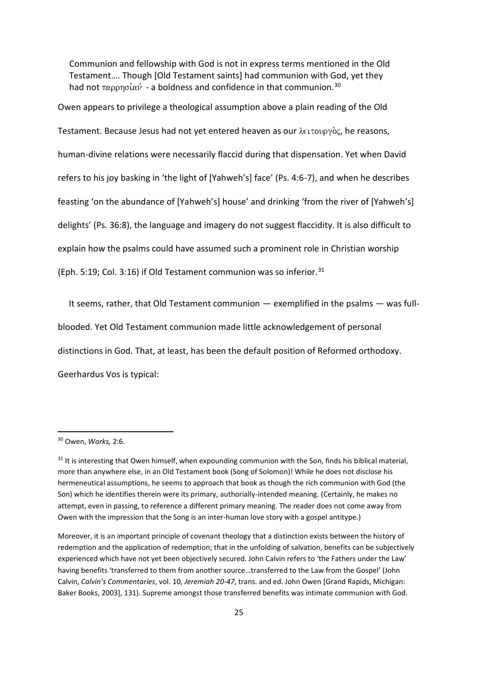Communion and fellowship with God is not in express terms mentioned in the Old Testament…. Though [Old Testament saints] had communion with God, yet they had not  $\pi \alpha \rho \rho \eta \sigma \alpha \psi$  - a boldness and confidence in that communion.<sup>30</sup>

Owen appears to privilege a theological assumption above a plain reading of the Old Testament. Because Jesus had not yet entered heaven as our  $\lambda \in \mathcal{X}$  he reasons, human-divine relations were necessarily flaccid during that dispensation. Yet when David refers to his joy basking in 'the light of [Yahweh's] face' (Ps. 4:6-7), and when he describes feasting 'on the abundance of [Yahweh's] house' and drinking 'from the river of [Yahweh's] delights' (Ps. 36:8), the language and imagery do not suggest flaccidity. It is also difficult to explain how the psalms could have assumed such a prominent role in Christian worship (Eph. 5:19; Col. 3:16) if Old Testament communion was so inferior.  $31$ 

 It seems, rather, that Old Testament communion — exemplified in the psalms — was fullblooded. Yet Old Testament communion made little acknowledgement of personal distinctions in God. That, at least, has been the default position of Reformed orthodoxy. Geerhardus Vos is typical:

.

<sup>30</sup> Owen, *Works,* 2:6.

 $31$  It is interesting that Owen himself, when expounding communion with the Son, finds his biblical material, more than anywhere else, in an Old Testament book (Song of Solomon)! While he does not disclose his hermeneutical assumptions, he seems to approach that book as though the rich communion with God (the Son) which he identifies therein were its primary, authorially-intended meaning. (Certainly, he makes no attempt, even in passing, to reference a different primary meaning. The reader does not come away from Owen with the impression that the Song is an inter-human love story with a gospel antitype.)

Moreover, it is an important principle of covenant theology that a distinction exists between the history of redemption and the application of redemption; that in the unfolding of salvation, benefits can be subjectively experienced which have not yet been objectively secured. John Calvin refers to 'the Fathers under the Law' having benefits 'transferred to them from another source…transferred to the Law from the Gospel' (John Calvin, *Calvin's Commentaries*, vol. 10, *Jeremiah 20-47*, trans. and ed. John Owen [Grand Rapids, Michigan: Baker Books, 2003], 131). Supreme amongst those transferred benefits was intimate communion with God.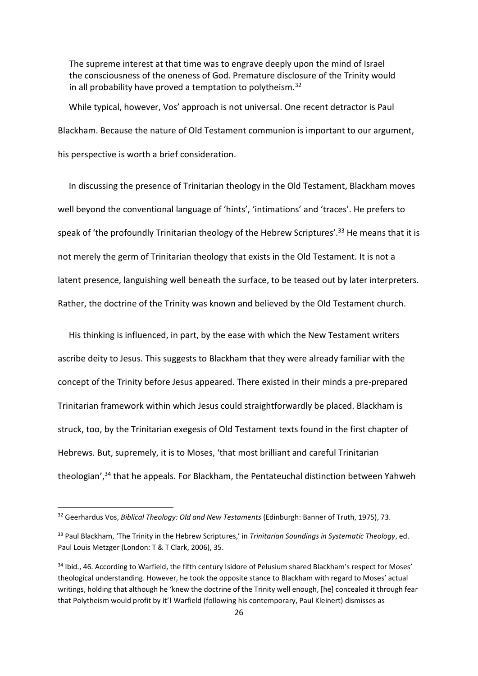The supreme interest at that time was to engrave deeply upon the mind of Israel the consciousness of the oneness of God. Premature disclosure of the Trinity would in all probability have proved a temptation to polytheism.<sup>32</sup>

 While typical, however, Vos' approach is not universal. One recent detractor is Paul Blackham. Because the nature of Old Testament communion is important to our argument, his perspective is worth a brief consideration.

 In discussing the presence of Trinitarian theology in the Old Testament, Blackham moves well beyond the conventional language of 'hints', 'intimations' and 'traces'. He prefers to speak of 'the profoundly Trinitarian theology of the Hebrew Scriptures'.<sup>33</sup> He means that it is not merely the germ of Trinitarian theology that exists in the Old Testament. It is not a latent presence, languishing well beneath the surface, to be teased out by later interpreters. Rather, the doctrine of the Trinity was known and believed by the Old Testament church.

 His thinking is influenced, in part, by the ease with which the New Testament writers ascribe deity to Jesus. This suggests to Blackham that they were already familiar with the concept of the Trinity before Jesus appeared. There existed in their minds a pre-prepared Trinitarian framework within which Jesus could straightforwardly be placed. Blackham is struck, too, by the Trinitarian exegesis of Old Testament texts found in the first chapter of Hebrews. But, supremely, it is to Moses, 'that most brilliant and careful Trinitarian theologian',<sup>34</sup> that he appeals. For Blackham, the Pentateuchal distinction between Yahweh

<sup>32</sup> Geerhardus Vos, *Biblical Theology: Old and New Testaments* (Edinburgh: Banner of Truth, 1975), 73.

<sup>33</sup> Paul Blackham, 'The Trinity in the Hebrew Scriptures,' in *Trinitarian Soundings in Systematic Theology*, ed. Paul Louis Metzger (London: T & T Clark, 2006), 35.

<sup>34</sup> Ibid., 46. According to Warfield, the fifth century Isidore of Pelusium shared Blackham's respect for Moses' theological understanding. However, he took the opposite stance to Blackham with regard to Moses' actual writings, holding that although he 'knew the doctrine of the Trinity well enough, [he] concealed it through fear that Polytheism would profit by it'! Warfield (following his contemporary, Paul Kleinert) dismisses as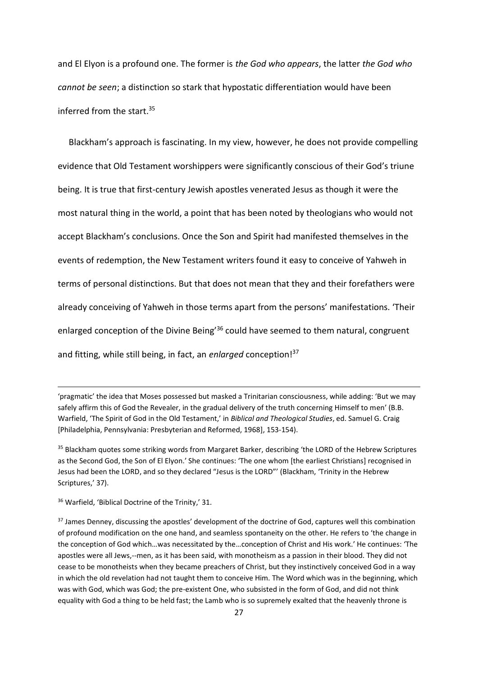and El Elyon is a profound one. The former is *the God who appears*, the latter *the God who cannot be seen*; a distinction so stark that hypostatic differentiation would have been inferred from the start.<sup>35</sup>

 Blackham's approach is fascinating. In my view, however, he does not provide compelling evidence that Old Testament worshippers were significantly conscious of their God's triune being. It is true that first-century Jewish apostles venerated Jesus as though it were the most natural thing in the world, a point that has been noted by theologians who would not accept Blackham's conclusions. Once the Son and Spirit had manifested themselves in the events of redemption, the New Testament writers found it easy to conceive of Yahweh in terms of personal distinctions. But that does not mean that they and their forefathers were already conceiving of Yahweh in those terms apart from the persons' manifestations. 'Their enlarged conception of the Divine Being<sup>'36</sup> could have seemed to them natural, congruent and fitting, while still being, in fact, an *enlarged* conception!<sup>37</sup>

<sup>&#</sup>x27;pragmatic' the idea that Moses possessed but masked a Trinitarian consciousness, while adding: 'But we may safely affirm this of God the Revealer, in the gradual delivery of the truth concerning Himself to men' (B.B. Warfield, 'The Spirit of God in the Old Testament,' in *Biblical and Theological Studies*, ed. Samuel G. Craig [Philadelphia, Pennsylvania: Presbyterian and Reformed, 1968], 153-154).

<sup>&</sup>lt;sup>35</sup> Blackham quotes some striking words from Margaret Barker, describing 'the LORD of the Hebrew Scriptures as the Second God, the Son of El Elyon.' She continues: 'The one whom [the earliest Christians] recognised in Jesus had been the LORD, and so they declared "Jesus is the LORD"' (Blackham, 'Trinity in the Hebrew Scriptures,' 37).

<sup>36</sup> Warfield, 'Biblical Doctrine of the Trinity,' 31.

<sup>&</sup>lt;sup>37</sup> James Denney, discussing the apostles' development of the doctrine of God, captures well this combination of profound modification on the one hand, and seamless spontaneity on the other. He refers to 'the change in the conception of God which…was necessitated by the…conception of Christ and His work.' He continues: 'The apostles were all Jews,--men, as it has been said, with monotheism as a passion in their blood. They did not cease to be monotheists when they became preachers of Christ, but they instinctively conceived God in a way in which the old revelation had not taught them to conceive Him. The Word which was in the beginning, which was with God, which was God; the pre-existent One, who subsisted in the form of God, and did not think equality with God a thing to be held fast; the Lamb who is so supremely exalted that the heavenly throne is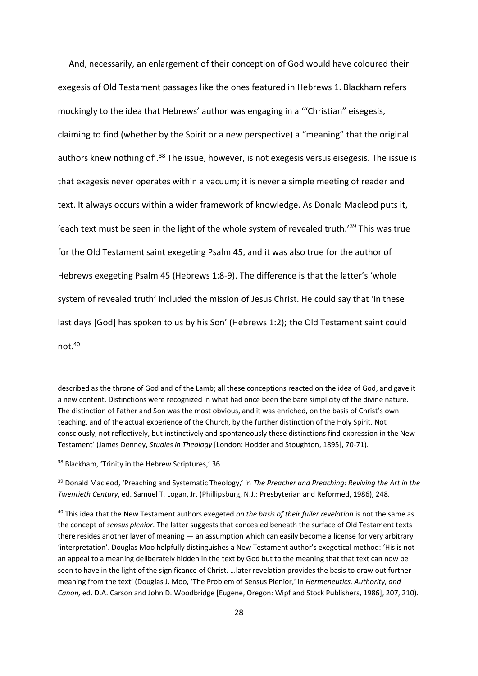And, necessarily, an enlargement of their conception of God would have coloured their exegesis of Old Testament passages like the ones featured in Hebrews 1. Blackham refers mockingly to the idea that Hebrews' author was engaging in a '"Christian" eisegesis, claiming to find (whether by the Spirit or a new perspective) a "meaning" that the original authors knew nothing of<sup>'</sup>.<sup>38</sup> The issue, however, is not exegesis versus eisegesis. The issue is that exegesis never operates within a vacuum; it is never a simple meeting of reader and text. It always occurs within a wider framework of knowledge. As Donald Macleod puts it, 'each text must be seen in the light of the whole system of revealed truth.'<sup>39</sup> This was true for the Old Testament saint exegeting Psalm 45, and it was also true for the author of Hebrews exegeting Psalm 45 (Hebrews 1:8-9). The difference is that the latter's 'whole system of revealed truth' included the mission of Jesus Christ. He could say that 'in these last days [God] has spoken to us by his Son' (Hebrews 1:2); the Old Testament saint could not.<sup>40</sup>

described as the throne of God and of the Lamb; all these conceptions reacted on the idea of God, and gave it a new content. Distinctions were recognized in what had once been the bare simplicity of the divine nature. The distinction of Father and Son was the most obvious, and it was enriched, on the basis of Christ's own teaching, and of the actual experience of the Church, by the further distinction of the Holy Spirit. Not consciously, not reflectively, but instinctively and spontaneously these distinctions find expression in the New Testament' (James Denney, *Studies in Theology* [London: Hodder and Stoughton, 1895], 70-71).

<sup>38</sup> Blackham, 'Trinity in the Hebrew Scriptures,' 36.

<sup>39</sup> Donald Macleod, 'Preaching and Systematic Theology,' in *The Preacher and Preaching: Reviving the Art in the Twentieth Century*, ed. Samuel T. Logan, Jr. (Phillipsburg, N.J.: Presbyterian and Reformed, 1986), 248.

<sup>40</sup> This idea that the New Testament authors exegeted *on the basis of their fuller revelation* is not the same as the concept of *sensus plenior*. The latter suggests that concealed beneath the surface of Old Testament texts there resides another layer of meaning — an assumption which can easily become a license for very arbitrary 'interpretation'. Douglas Moo helpfully distinguishes a New Testament author's exegetical method: 'His is not an appeal to a meaning deliberately hidden in the text by God but to the meaning that that text can now be seen to have in the light of the significance of Christ. …later revelation provides the basis to draw out further meaning from the text' (Douglas J. Moo, 'The Problem of Sensus Plenior,' in *Hermeneutics, Authority, and Canon,* ed. D.A. Carson and John D. Woodbridge [Eugene, Oregon: Wipf and Stock Publishers, 1986], 207, 210).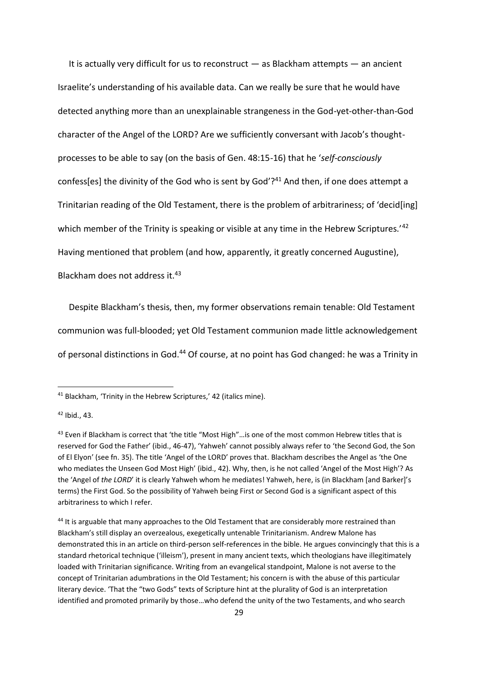It is actually very difficult for us to reconstruct  $-$  as Blackham attempts  $-$  an ancient Israelite's understanding of his available data. Can we really be sure that he would have detected anything more than an unexplainable strangeness in the God-yet-other-than-God character of the Angel of the LORD? Are we sufficiently conversant with Jacob's thoughtprocesses to be able to say (on the basis of Gen. 48:15-16) that he '*self-consciously* confess[es] the divinity of the God who is sent by God'?<sup>41</sup> And then, if one does attempt a Trinitarian reading of the Old Testament, there is the problem of arbitrariness; of 'decid[ing] which member of the Trinity is speaking or visible at any time in the Hebrew Scriptures.<sup>'42</sup> Having mentioned that problem (and how, apparently, it greatly concerned Augustine), Blackham does not address it.<sup>43</sup>

 Despite Blackham's thesis, then, my former observations remain tenable: Old Testament communion was full-blooded; yet Old Testament communion made little acknowledgement of personal distinctions in God.<sup>44</sup> Of course, at no point has God changed: he was a Trinity in

<sup>&</sup>lt;sup>41</sup> Blackham, 'Trinity in the Hebrew Scriptures,' 42 (italics mine).

<sup>42</sup> Ibid., 43.

<sup>&</sup>lt;sup>43</sup> Even if Blackham is correct that 'the title "Most High"...is one of the most common Hebrew titles that is reserved for God the Father' (ibid., 46-47), 'Yahweh' cannot possibly always refer to 'the Second God, the Son of El Elyon' (see fn. 35). The title 'Angel of the LORD' proves that. Blackham describes the Angel as 'the One who mediates the Unseen God Most High' (ibid., 42). Why, then, is he not called 'Angel of the Most High'? As the 'Angel of *the LORD*' it is clearly Yahweh whom he mediates! Yahweh, here, is (in Blackham [and Barker]'s terms) the First God. So the possibility of Yahweh being First or Second God is a significant aspect of this arbitrariness to which I refer.

<sup>&</sup>lt;sup>44</sup> It is arguable that many approaches to the Old Testament that are considerably more restrained than Blackham's still display an overzealous, exegetically untenable Trinitarianism. Andrew Malone has demonstrated this in an article on third-person self-references in the bible. He argues convincingly that this is a standard rhetorical technique ('illeism'), present in many ancient texts, which theologians have illegitimately loaded with Trinitarian significance. Writing from an evangelical standpoint, Malone is not averse to the concept of Trinitarian adumbrations in the Old Testament; his concern is with the abuse of this particular literary device. 'That the "two Gods" texts of Scripture hint at the plurality of God is an interpretation identified and promoted primarily by those…who defend the unity of the two Testaments, and who search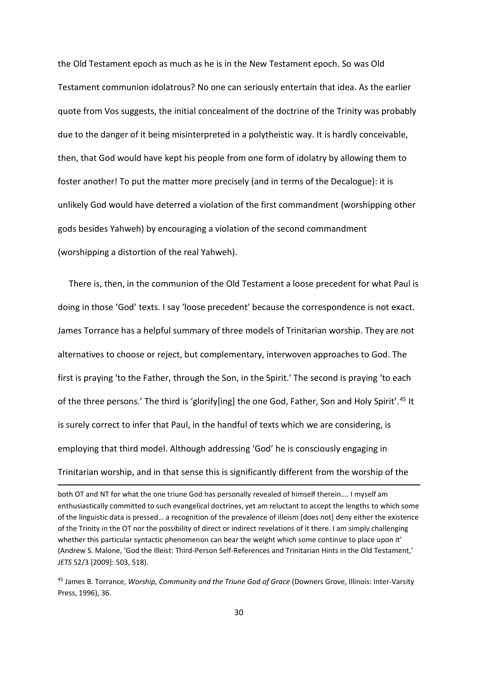the Old Testament epoch as much as he is in the New Testament epoch. So was Old Testament communion idolatrous? No one can seriously entertain that idea. As the earlier quote from Vos suggests, the initial concealment of the doctrine of the Trinity was probably due to the danger of it being misinterpreted in a polytheistic way. It is hardly conceivable, then, that God would have kept his people from one form of idolatry by allowing them to foster another! To put the matter more precisely (and in terms of the Decalogue): it is unlikely God would have deterred a violation of the first commandment (worshipping other gods besides Yahweh) by encouraging a violation of the second commandment (worshipping a distortion of the real Yahweh).

 There is, then, in the communion of the Old Testament a loose precedent for what Paul is doing in those 'God' texts. I say 'loose precedent' because the correspondence is not exact. James Torrance has a helpful summary of three models of Trinitarian worship. They are not alternatives to choose or reject, but complementary, interwoven approaches to God. The first is praying 'to the Father, through the Son, in the Spirit.' The second is praying 'to each of the three persons.' The third is 'glorify[ing] the one God, Father, Son and Holy Spirit'.<sup>45</sup> It is surely correct to infer that Paul, in the handful of texts which we are considering, is employing that third model. Although addressing 'God' he is consciously engaging in Trinitarian worship, and in that sense this is significantly different from the worship of the

1

<sup>45</sup> James B. Torrance, *Worship, Community and the Triune God of Grace* (Downers Grove, Illinois: Inter-Varsity Press, 1996), 36.

both OT and NT for what the one triune God has personally revealed of himself therein…. I myself am enthusiastically committed to such evangelical doctrines, yet am reluctant to accept the lengths to which some of the linguistic data is pressed… a recognition of the prevalence of illeism [does not] deny either the existence of the Trinity in the OT nor the possibility of direct or indirect revelations of it there. I am simply challenging whether this particular syntactic phenomenon can bear the weight which some continue to place upon it' (Andrew S. Malone, 'God the Illeist: Third-Person Self-References and Trinitarian Hints in the Old Testament,' *JETS* 52/3 [2009]: 503, 518).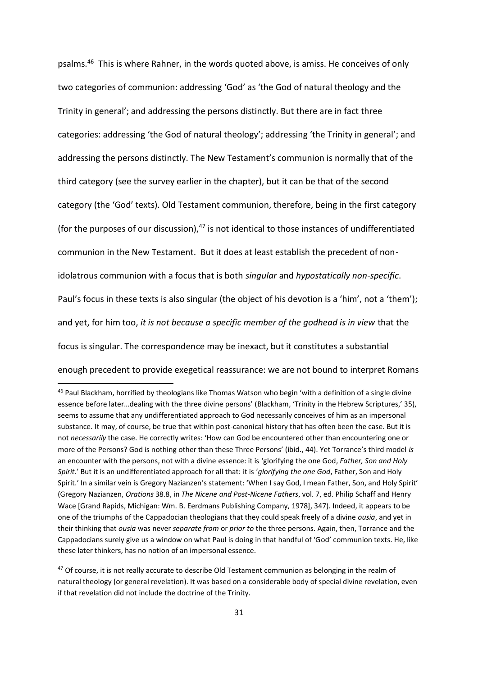psalms.<sup>46</sup> This is where Rahner, in the words quoted above, is amiss. He conceives of only two categories of communion: addressing 'God' as 'the God of natural theology and the Trinity in general'; and addressing the persons distinctly. But there are in fact three categories: addressing 'the God of natural theology'; addressing 'the Trinity in general'; and addressing the persons distinctly. The New Testament's communion is normally that of the third category (see the survey earlier in the chapter), but it can be that of the second category (the 'God' texts). Old Testament communion, therefore, being in the first category (for the purposes of our discussion), $47$  is not identical to those instances of undifferentiated communion in the New Testament. But it does at least establish the precedent of nonidolatrous communion with a focus that is both *singular* and *hypostatically non-specific*. Paul's focus in these texts is also singular (the object of his devotion is a 'him', not a 'them'); and yet, for him too, *it is not because a specific member of the godhead is in view* that the focus is singular. The correspondence may be inexact, but it constitutes a substantial enough precedent to provide exegetical reassurance: we are not bound to interpret Romans

<sup>&</sup>lt;sup>46</sup> Paul Blackham, horrified by theologians like Thomas Watson who begin 'with a definition of a single divine essence before later…dealing with the three divine persons' (Blackham, 'Trinity in the Hebrew Scriptures,' 35), seems to assume that any undifferentiated approach to God necessarily conceives of him as an impersonal substance. It may, of course, be true that within post-canonical history that has often been the case. But it is not *necessarily* the case. He correctly writes: 'How can God be encountered other than encountering one or more of the Persons? God is nothing other than these Three Persons' (ibid., 44). Yet Torrance's third model *is* an encounter with the persons, not with a divine essence: it is 'glorifying the one God, *Father, Son and Holy Spirit*.' But it is an undifferentiated approach for all that: it is '*glorifying the one God*, Father, Son and Holy Spirit.' In a similar vein is Gregory Nazianzen's statement: 'When I say God, I mean Father, Son, and Holy Spirit' (Gregory Nazianzen, *Orations* 38.8, in *The Nicene and Post-Nicene Fathers*, vol. 7, ed. Philip Schaff and Henry Wace [Grand Rapids, Michigan: Wm. B. Eerdmans Publishing Company, 1978], 347). Indeed, it appears to be one of the triumphs of the Cappadocian theologians that they could speak freely of a divine *ousia*, and yet in their thinking that *ousia* was never *separate from* or *prior to* the three persons. Again, then, Torrance and the Cappadocians surely give us a window on what Paul is doing in that handful of 'God' communion texts. He, like these later thinkers, has no notion of an impersonal essence.

<sup>&</sup>lt;sup>47</sup> Of course, it is not really accurate to describe Old Testament communion as belonging in the realm of natural theology (or general revelation). It was based on a considerable body of special divine revelation, even if that revelation did not include the doctrine of the Trinity.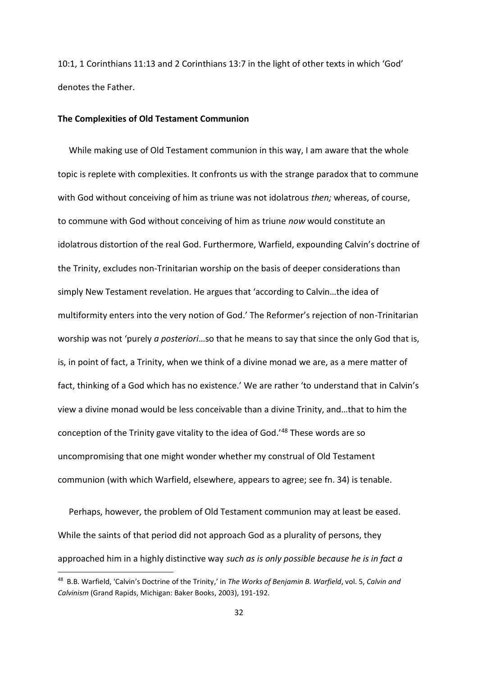10:1, 1 Corinthians 11:13 and 2 Corinthians 13:7 in the light of other texts in which 'God' denotes the Father.

#### **The Complexities of Old Testament Communion**

 While making use of Old Testament communion in this way, I am aware that the whole topic is replete with complexities. It confronts us with the strange paradox that to commune with God without conceiving of him as triune was not idolatrous *then;* whereas, of course, to commune with God without conceiving of him as triune *now* would constitute an idolatrous distortion of the real God. Furthermore, Warfield, expounding Calvin's doctrine of the Trinity, excludes non-Trinitarian worship on the basis of deeper considerations than simply New Testament revelation. He argues that 'according to Calvin…the idea of multiformity enters into the very notion of God.' The Reformer's rejection of non-Trinitarian worship was not 'purely *a posteriori*…so that he means to say that since the only God that is, is, in point of fact, a Trinity, when we think of a divine monad we are, as a mere matter of fact, thinking of a God which has no existence.' We are rather 'to understand that in Calvin's view a divine monad would be less conceivable than a divine Trinity, and…that to him the conception of the Trinity gave vitality to the idea of God.'<sup>48</sup> These words are so uncompromising that one might wonder whether my construal of Old Testament communion (with which Warfield, elsewhere, appears to agree; see fn. 34) is tenable.

 Perhaps, however, the problem of Old Testament communion may at least be eased. While the saints of that period did not approach God as a plurality of persons, they approached him in a highly distinctive way *such as is only possible because he is in fact a* 

<sup>48</sup> B.B. Warfield, 'Calvin's Doctrine of the Trinity,' in *The Works of Benjamin B. Warfield*, vol. 5, *Calvin and Calvinism* (Grand Rapids, Michigan: Baker Books, 2003), 191-192.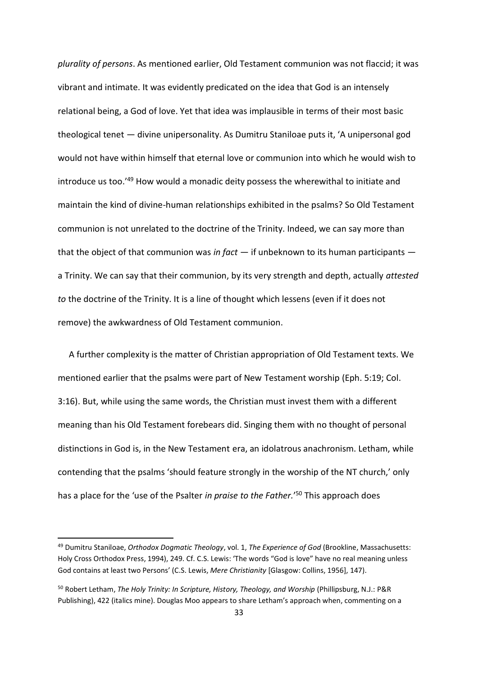*plurality of persons*. As mentioned earlier, Old Testament communion was not flaccid; it was vibrant and intimate. It was evidently predicated on the idea that God is an intensely relational being, a God of love. Yet that idea was implausible in terms of their most basic theological tenet — divine unipersonality. As Dumitru Staniloae puts it, 'A unipersonal god would not have within himself that eternal love or communion into which he would wish to introduce us too.'<sup>49</sup> How would a monadic deity possess the wherewithal to initiate and maintain the kind of divine-human relationships exhibited in the psalms? So Old Testament communion is not unrelated to the doctrine of the Trinity. Indeed, we can say more than that the object of that communion was *in fact* — if unbeknown to its human participants a Trinity. We can say that their communion, by its very strength and depth, actually *attested to* the doctrine of the Trinity. It is a line of thought which lessens (even if it does not remove) the awkwardness of Old Testament communion.

 A further complexity is the matter of Christian appropriation of Old Testament texts. We mentioned earlier that the psalms were part of New Testament worship (Eph. 5:19; Col. 3:16). But, while using the same words, the Christian must invest them with a different meaning than his Old Testament forebears did. Singing them with no thought of personal distinctions in God is, in the New Testament era, an idolatrous anachronism. Letham, while contending that the psalms 'should feature strongly in the worship of the NT church,' only has a place for the 'use of the Psalter *in praise to the Father.*' <sup>50</sup> This approach does

<sup>49</sup> Dumitru Staniloae, *Orthodox Dogmatic Theology*, vol. 1, *The Experience of God* (Brookline, Massachusetts: Holy Cross Orthodox Press, 1994), 249. Cf. C.S. Lewis: 'The words "God is love" have no real meaning unless God contains at least two Persons' (C.S. Lewis, *Mere Christianity* [Glasgow: Collins, 1956], 147).

<sup>50</sup> Robert Letham, *The Holy Trinity: In Scripture, History, Theology, and Worship* (Phillipsburg, N.J.: P&R Publishing), 422 (italics mine). Douglas Moo appears to share Letham's approach when, commenting on a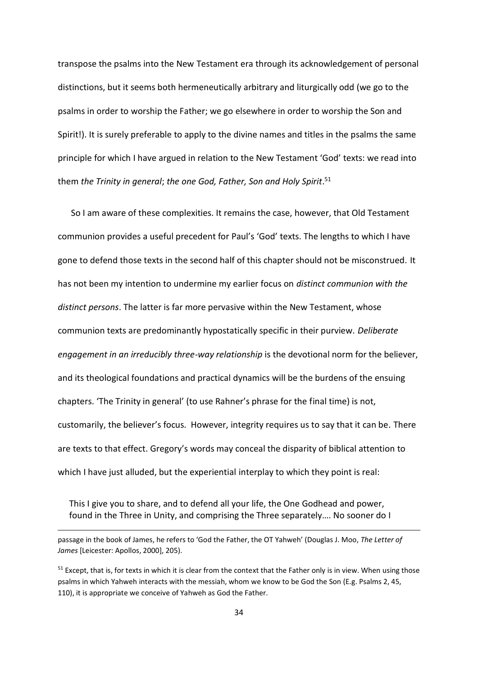transpose the psalms into the New Testament era through its acknowledgement of personal distinctions, but it seems both hermeneutically arbitrary and liturgically odd (we go to the psalms in order to worship the Father; we go elsewhere in order to worship the Son and Spirit!). It is surely preferable to apply to the divine names and titles in the psalms the same principle for which I have argued in relation to the New Testament 'God' texts: we read into them *the Trinity in general*; *the one God, Father, Son and Holy Spirit*. 51

 So I am aware of these complexities. It remains the case, however, that Old Testament communion provides a useful precedent for Paul's 'God' texts. The lengths to which I have gone to defend those texts in the second half of this chapter should not be misconstrued. It has not been my intention to undermine my earlier focus on *distinct communion with the distinct persons*. The latter is far more pervasive within the New Testament, whose communion texts are predominantly hypostatically specific in their purview. *Deliberate engagement in an irreducibly three-way relationship* is the devotional norm for the believer, and its theological foundations and practical dynamics will be the burdens of the ensuing chapters. 'The Trinity in general' (to use Rahner's phrase for the final time) is not, customarily, the believer's focus. However, integrity requires us to say that it can be*.* There are texts to that effect. Gregory's words may conceal the disparity of biblical attention to which I have just alluded, but the experiential interplay to which they point is real:

This I give you to share, and to defend all your life, the One Godhead and power, found in the Three in Unity, and comprising the Three separately…. No sooner do I

passage in the book of James, he refers to 'God the Father, the OT Yahweh' (Douglas J. Moo, *The Letter of James* [Leicester: Apollos, 2000], 205).

 $51$  Except, that is, for texts in which it is clear from the context that the Father only is in view. When using those psalms in which Yahweh interacts with the messiah, whom we know to be God the Son (E.g. Psalms 2, 45, 110), it is appropriate we conceive of Yahweh as God the Father.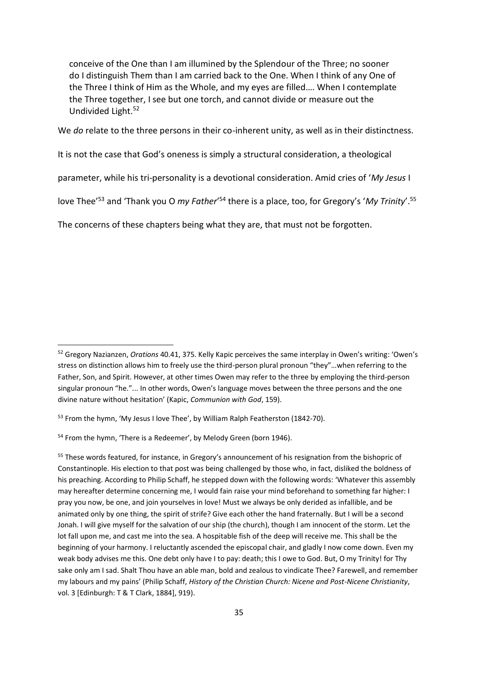conceive of the One than I am illumined by the Splendour of the Three; no sooner do I distinguish Them than I am carried back to the One. When I think of any One of the Three I think of Him as the Whole, and my eyes are filled…. When I contemplate the Three together, I see but one torch, and cannot divide or measure out the Undivided Light.<sup>52</sup>

We *do* relate to the three persons in their co-inherent unity, as well as in their distinctness.

It is not the case that God's oneness is simply a structural consideration, a theological

parameter, while his tri-personality is a devotional consideration. Amid cries of '*My Jesus* I

love Thee'<sup>53</sup> and 'Thank you O my Father'<sup>54</sup> there is a place, too, for Gregory's 'My Trinity'.<sup>55</sup>

The concerns of these chapters being what they are, that must not be forgotten.

<sup>52</sup> Gregory Nazianzen, *Orations* 40.41, 375. Kelly Kapic perceives the same interplay in Owen's writing: 'Owen's stress on distinction allows him to freely use the third-person plural pronoun "they"…when referring to the Father, Son, and Spirit. However, at other times Owen may refer to the three by employing the third-person singular pronoun "he."... In other words, Owen's language moves between the three persons and the one divine nature without hesitation' (Kapic, *Communion with God*, 159).

<sup>&</sup>lt;sup>53</sup> From the hymn, 'My Jesus I love Thee', by William Ralph Featherston (1842-70).

<sup>&</sup>lt;sup>54</sup> From the hymn, 'There is a Redeemer', by Melody Green (born 1946).

<sup>&</sup>lt;sup>55</sup> These words featured, for instance, in Gregory's announcement of his resignation from the bishopric of Constantinople. His election to that post was being challenged by those who, in fact, disliked the boldness of his preaching. According to Philip Schaff, he stepped down with the following words: 'Whatever this assembly may hereafter determine concerning me, I would fain raise your mind beforehand to something far higher: I pray you now, be one, and join yourselves in love! Must we always be only derided as infallible, and be animated only by one thing, the spirit of strife? Give each other the hand fraternally. But I will be a second Jonah. I will give myself for the salvation of our ship (the church), though I am innocent of the storm. Let the lot fall upon me, and cast me into the sea. A hospitable fish of the deep will receive me. This shall be the beginning of your harmony. I reluctantly ascended the episcopal chair, and gladly I now come down. Even my weak body advises me this. One debt only have I to pay: death; this I owe to God. But, O my Trinity! for Thy sake only am I sad. Shalt Thou have an able man, bold and zealous to vindicate Thee? Farewell, and remember my labours and my pains' (Philip Schaff, *History of the Christian Church: Nicene and Post-Nicene Christianity*, vol. 3 [Edinburgh: T & T Clark, 1884], 919).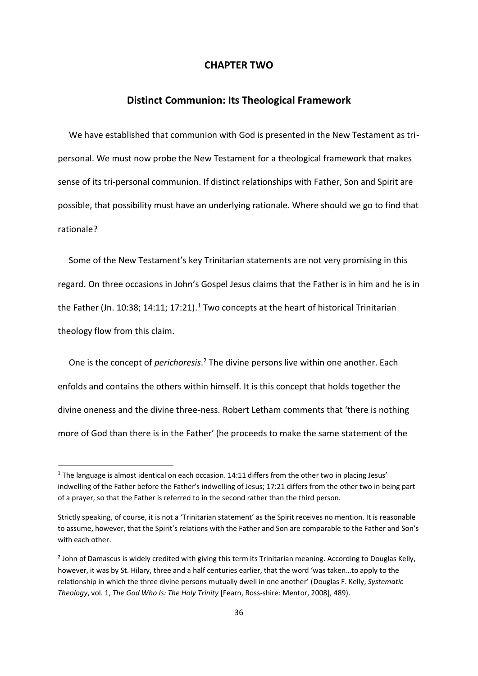### **CHAPTER TWO**

# **Distinct Communion: Its Theological Framework**

 We have established that communion with God is presented in the New Testament as tripersonal. We must now probe the New Testament for a theological framework that makes sense of its tri-personal communion. If distinct relationships with Father, Son and Spirit are possible, that possibility must have an underlying rationale. Where should we go to find that rationale?

 Some of the New Testament's key Trinitarian statements are not very promising in this regard. On three occasions in John's Gospel Jesus claims that the Father is in him and he is in the Father (Jn. 10:38; 14:11; 17:21).<sup>1</sup> Two concepts at the heart of historical Trinitarian theology flow from this claim.

 One is the concept of *perichoresis*. <sup>2</sup> The divine persons live within one another. Each enfolds and contains the others within himself. It is this concept that holds together the divine oneness and the divine three-ness. Robert Letham comments that 'there is nothing more of God than there is in the Father' (he proceeds to make the same statement of the

<sup>&</sup>lt;sup>1</sup> The language is almost identical on each occasion. 14:11 differs from the other two in placing Jesus' indwelling of the Father before the Father's indwelling of Jesus; 17:21 differs from the other two in being part of a prayer, so that the Father is referred to in the second rather than the third person.

Strictly speaking, of course, it is not a 'Trinitarian statement' as the Spirit receives no mention. It is reasonable to assume, however, that the Spirit's relations with the Father and Son are comparable to the Father and Son's with each other.

 $<sup>2</sup>$  John of Damascus is widely credited with giving this term its Trinitarian meaning. According to Douglas Kelly,</sup> however, it was by St. Hilary, three and a half centuries earlier, that the word 'was taken…to apply to the relationship in which the three divine persons mutually dwell in one another' (Douglas F. Kelly, *Systematic Theology*, vol. 1, *The God Who Is: The Holy Trinity* [Fearn, Ross-shire: Mentor, 2008], 489).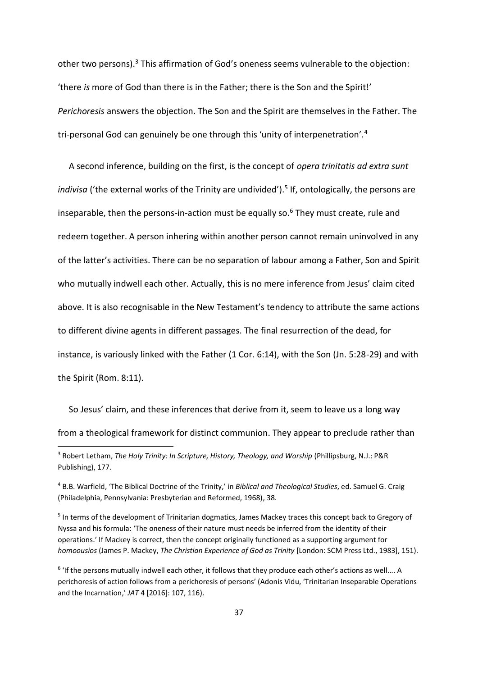other two persons).<sup>3</sup> This affirmation of God's oneness seems vulnerable to the objection: 'there *is* more of God than there is in the Father; there is the Son and the Spirit!' *Perichoresis* answers the objection. The Son and the Spirit are themselves in the Father. The tri-personal God can genuinely be one through this 'unity of interpenetration'.<sup>4</sup>

 A second inference, building on the first, is the concept of *opera trinitatis ad extra sunt*  indivisa ('the external works of the Trinity are undivided').<sup>5</sup> If, ontologically, the persons are inseparable, then the persons-in-action must be equally so. $6$  They must create, rule and redeem together. A person inhering within another person cannot remain uninvolved in any of the latter's activities. There can be no separation of labour among a Father, Son and Spirit who mutually indwell each other. Actually, this is no mere inference from Jesus' claim cited above. It is also recognisable in the New Testament's tendency to attribute the same actions to different divine agents in different passages. The final resurrection of the dead, for instance, is variously linked with the Father (1 Cor. 6:14), with the Son (Jn. 5:28-29) and with the Spirit (Rom. 8:11).

 So Jesus' claim, and these inferences that derive from it, seem to leave us a long way from a theological framework for distinct communion. They appear to preclude rather than

<sup>3</sup> Robert Letham, *The Holy Trinity: In Scripture, History, Theology, and Worship* (Phillipsburg, N.J.: P&R Publishing), 177.

<sup>4</sup> B.B. Warfield, 'The Biblical Doctrine of the Trinity,' in *Biblical and Theological Studies*, ed. Samuel G. Craig (Philadelphia, Pennsylvania: Presbyterian and Reformed, 1968), 38.

<sup>&</sup>lt;sup>5</sup> In terms of the development of Trinitarian dogmatics, James Mackey traces this concept back to Gregory of Nyssa and his formula: 'The oneness of their nature must needs be inferred from the identity of their operations.' If Mackey is correct, then the concept originally functioned as a supporting argument for *homoousios* (James P. Mackey, *The Christian Experience of God as Trinity* [London: SCM Press Ltd., 1983], 151).

<sup>&</sup>lt;sup>6</sup> 'If the persons mutually indwell each other, it follows that they produce each other's actions as well.... A perichoresis of action follows from a perichoresis of persons' (Adonis Vidu, 'Trinitarian Inseparable Operations and the Incarnation,' *JAT* 4 [2016]: 107, 116).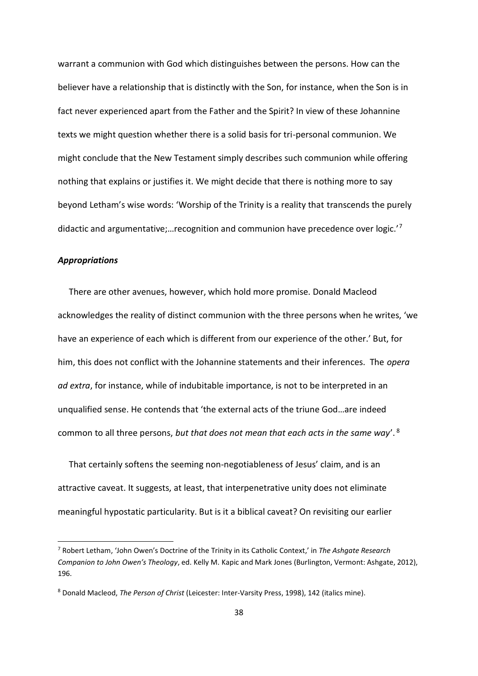warrant a communion with God which distinguishes between the persons. How can the believer have a relationship that is distinctly with the Son, for instance, when the Son is in fact never experienced apart from the Father and the Spirit? In view of these Johannine texts we might question whether there is a solid basis for tri-personal communion. We might conclude that the New Testament simply describes such communion while offering nothing that explains or justifies it. We might decide that there is nothing more to say beyond Letham's wise words: 'Worship of the Trinity is a reality that transcends the purely didactic and argumentative;…recognition and communion have precedence over logic.'<sup>7</sup>

## *Appropriations*

1

 There are other avenues, however, which hold more promise. Donald Macleod acknowledges the reality of distinct communion with the three persons when he writes, 'we have an experience of each which is different from our experience of the other.' But, for him, this does not conflict with the Johannine statements and their inferences. The *opera ad extra*, for instance, while of indubitable importance, is not to be interpreted in an unqualified sense. He contends that 'the external acts of the triune God…are indeed common to all three persons, *but that does not mean that each acts in the same way*'. <sup>8</sup>

 That certainly softens the seeming non-negotiableness of Jesus' claim, and is an attractive caveat. It suggests, at least, that interpenetrative unity does not eliminate meaningful hypostatic particularity. But is it a biblical caveat? On revisiting our earlier

<sup>7</sup> Robert Letham, 'John Owen's Doctrine of the Trinity in its Catholic Context,' in *The Ashgate Research Companion to John Owen's Theology*, ed. Kelly M. Kapic and Mark Jones (Burlington, Vermont: Ashgate, 2012), 196.

<sup>8</sup> Donald Macleod, *The Person of Christ* (Leicester: Inter-Varsity Press, 1998), 142 (italics mine).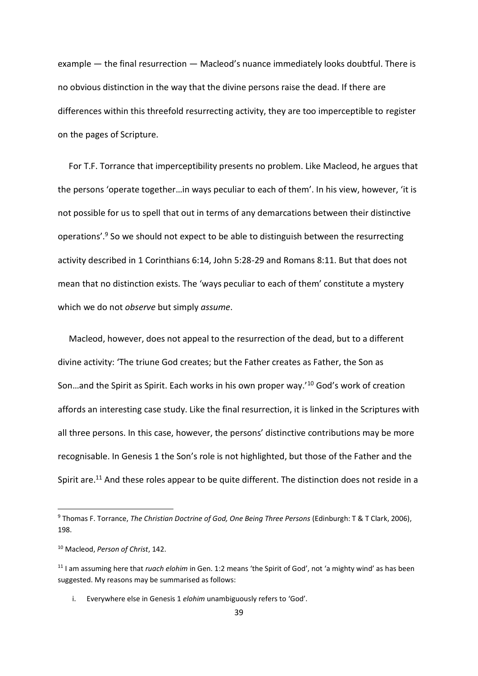example — the final resurrection — Macleod's nuance immediately looks doubtful. There is no obvious distinction in the way that the divine persons raise the dead. If there are differences within this threefold resurrecting activity, they are too imperceptible to register on the pages of Scripture.

 For T.F. Torrance that imperceptibility presents no problem. Like Macleod, he argues that the persons 'operate together…in ways peculiar to each of them'. In his view, however, 'it is not possible for us to spell that out in terms of any demarcations between their distinctive operations'. $9$  So we should not expect to be able to distinguish between the resurrecting activity described in 1 Corinthians 6:14, John 5:28-29 and Romans 8:11. But that does not mean that no distinction exists. The 'ways peculiar to each of them' constitute a mystery which we do not *observe* but simply *assume*.

 Macleod, however, does not appeal to the resurrection of the dead, but to a different divine activity: 'The triune God creates; but the Father creates as Father, the Son as Son…and the Spirit as Spirit. Each works in his own proper way.'<sup>10</sup> God's work of creation affords an interesting case study. Like the final resurrection, it is linked in the Scriptures with all three persons. In this case, however, the persons' distinctive contributions may be more recognisable. In Genesis 1 the Son's role is not highlighted, but those of the Father and the Spirit are.<sup>11</sup> And these roles appear to be quite different. The distinction does not reside in a

<sup>9</sup> Thomas F. Torrance, *The Christian Doctrine of God, One Being Three Persons* (Edinburgh: T & T Clark, 2006), 198.

<sup>10</sup> Macleod, *Person of Christ*, 142.

<sup>11</sup> I am assuming here that *ruach elohim* in Gen. 1:2 means 'the Spirit of God', not 'a mighty wind' as has been suggested. My reasons may be summarised as follows:

i. Everywhere else in Genesis 1 *elohim* unambiguously refers to 'God'.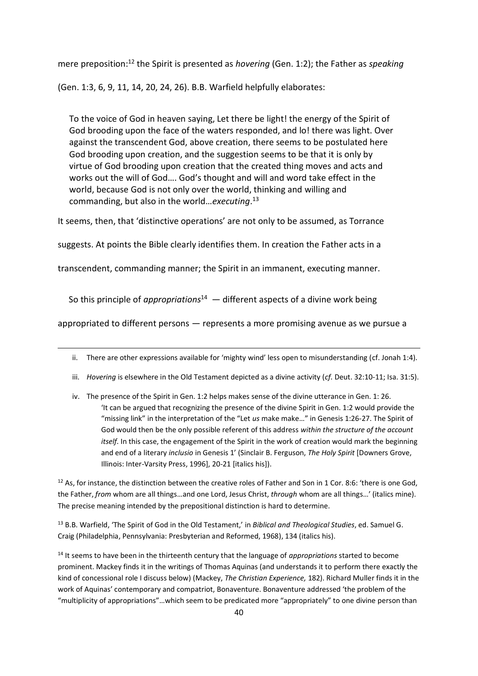mere preposition:<sup>12</sup> the Spirit is presented as *hovering* (Gen. 1:2); the Father as *speaking* 

(Gen. 1:3, 6, 9, 11, 14, 20, 24, 26). B.B. Warfield helpfully elaborates:

To the voice of God in heaven saying, Let there be light! the energy of the Spirit of God brooding upon the face of the waters responded, and lo! there was light. Over against the transcendent God, above creation, there seems to be postulated here God brooding upon creation, and the suggestion seems to be that it is only by virtue of God brooding upon creation that the created thing moves and acts and works out the will of God…. God's thought and will and word take effect in the world, because God is not only over the world, thinking and willing and commanding, but also in the world…*executing*. 13

It seems, then, that 'distinctive operations' are not only to be assumed, as Torrance

suggests. At points the Bible clearly identifies them. In creation the Father acts in a

transcendent, commanding manner; the Spirit in an immanent, executing manner.

So this principle of *appropriations*<sup>14</sup> — different aspects of a divine work being

1

appropriated to different persons — represents a more promising avenue as we pursue a

ii. There are other expressions available for 'mighty wind' less open to misunderstanding (cf. Jonah 1:4).

- iii. *Hovering* is elsewhere in the Old Testament depicted as a divine activity (*cf*. Deut. 32:10-11; Isa. 31:5).
- iv. The presence of the Spirit in Gen. 1:2 helps makes sense of the divine utterance in Gen. 1: 26. 'It can be argued that recognizing the presence of the divine Spirit in Gen. 1:2 would provide the "missing link" in the interpretation of the "Let *us* make make…" in Genesis 1:26-27. The Spirit of God would then be the only possible referent of this address *within the structure of the account itself*. In this case, the engagement of the Spirit in the work of creation would mark the beginning and end of a literary *inclusio* in Genesis 1' (Sinclair B. Ferguson, *The Holy Spirit* [Downers Grove, Illinois: Inter-Varsity Press, 1996], 20-21 [italics his]).

<sup>12</sup> As, for instance, the distinction between the creative roles of Father and Son in 1 Cor. 8:6: 'there is one God, the Father, *from* whom are all things…and one Lord, Jesus Christ, *through* whom are all things…' (italics mine). The precise meaning intended by the prepositional distinction is hard to determine.

<sup>13</sup> B.B. Warfield, 'The Spirit of God in the Old Testament,' in *Biblical and Theological Studies*, ed. Samuel G. Craig (Philadelphia, Pennsylvania: Presbyterian and Reformed, 1968), 134 (italics his).

<sup>14</sup> It seems to have been in the thirteenth century that the language of *appropriations* started to become prominent. Mackey finds it in the writings of Thomas Aquinas (and understands it to perform there exactly the kind of concessional role I discuss below) (Mackey, *The Christian Experience,* 182). Richard Muller finds it in the work of Aquinas' contemporary and compatriot, Bonaventure. Bonaventure addressed 'the problem of the "multiplicity of appropriations"…which seem to be predicated more "appropriately" to one divine person than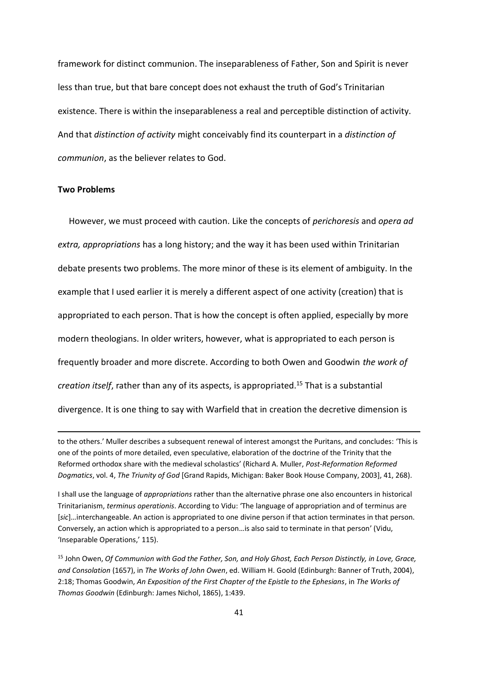framework for distinct communion. The inseparableness of Father, Son and Spirit is never less than true, but that bare concept does not exhaust the truth of God's Trinitarian existence. There is within the inseparableness a real and perceptible distinction of activity. And that *distinction of activity* might conceivably find its counterpart in a *distinction of communion*, as the believer relates to God.

## **Two Problems**

.

 However, we must proceed with caution. Like the concepts of *perichoresis* and *opera ad extra, appropriations* has a long history; and the way it has been used within Trinitarian debate presents two problems. The more minor of these is its element of ambiguity. In the example that I used earlier it is merely a different aspect of one activity (creation) that is appropriated to each person. That is how the concept is often applied, especially by more modern theologians. In older writers, however, what is appropriated to each person is frequently broader and more discrete. According to both Owen and Goodwin *the work of creation itself*, rather than any of its aspects, is appropriated.<sup>15</sup> That is a substantial divergence. It is one thing to say with Warfield that in creation the decretive dimension is

to the others.' Muller describes a subsequent renewal of interest amongst the Puritans, and concludes: 'This is one of the points of more detailed, even speculative, elaboration of the doctrine of the Trinity that the Reformed orthodox share with the medieval scholastics' (Richard A. Muller, *Post-Reformation Reformed Dogmatics*, vol. 4, *The Triunity of God* [Grand Rapids, Michigan: Baker Book House Company, 2003], 41, 268).

I shall use the language of *appropriations* rather than the alternative phrase one also encounters in historical Trinitarianism, *terminus operationis*. According to Vidu: 'The language of appropriation and of terminus are [*sic*]…interchangeable. An action is appropriated to one divine person if that action terminates in that person. Conversely, an action which is appropriated to a person…is also said to terminate in that person' (Vidu, 'Inseparable Operations,' 115).

<sup>15</sup> John Owen, *Of Communion with God the Father, Son, and Holy Ghost, Each Person Distinctly, in Love, Grace, and Consolation* (1657), in *The Works of John Owen*, ed. William H. Goold (Edinburgh: Banner of Truth, 2004), 2:18; Thomas Goodwin, *An Exposition of the First Chapter of the Epistle to the Ephesians*, in *The Works of Thomas Goodwin* (Edinburgh: James Nichol, 1865), 1:439.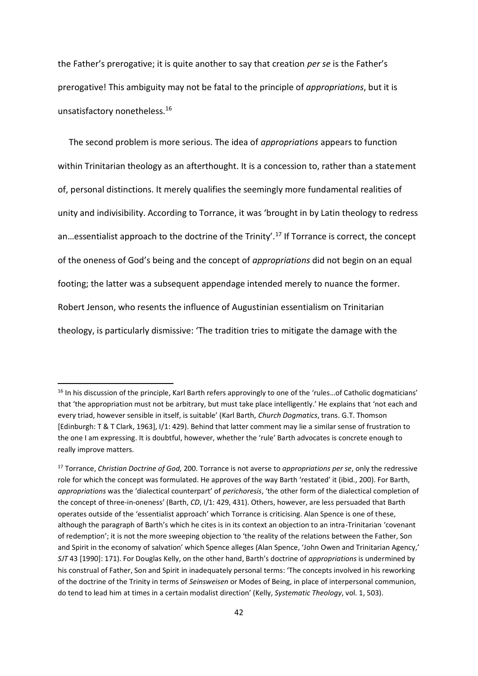the Father's prerogative; it is quite another to say that creation *per se* is the Father's prerogative! This ambiguity may not be fatal to the principle of *appropriations*, but it is unsatisfactory nonetheless.<sup>16</sup>

 The second problem is more serious. The idea of *appropriations* appears to function within Trinitarian theology as an afterthought. It is a concession to, rather than a statement of, personal distinctions. It merely qualifies the seemingly more fundamental realities of unity and indivisibility. According to Torrance, it was 'brought in by Latin theology to redress an...essentialist approach to the doctrine of the Trinity'.<sup>17</sup> If Torrance is correct, the concept of the oneness of God's being and the concept of *appropriations* did not begin on an equal footing; the latter was a subsequent appendage intended merely to nuance the former. Robert Jenson, who resents the influence of Augustinian essentialism on Trinitarian theology, is particularly dismissive: 'The tradition tries to mitigate the damage with the

<sup>&</sup>lt;sup>16</sup> In his discussion of the principle, Karl Barth refers approvingly to one of the 'rules... of Catholic dogmaticians' that 'the appropriation must not be arbitrary, but must take place intelligently.' He explains that 'not each and every triad, however sensible in itself, is suitable' (Karl Barth, *Church Dogmatics*, trans. G.T. Thomson [Edinburgh: T & T Clark, 1963], I/1: 429). Behind that latter comment may lie a similar sense of frustration to the one I am expressing. It is doubtful, however, whether the 'rule' Barth advocates is concrete enough to really improve matters.

<sup>17</sup> Torrance, *Christian Doctrine of God,* 200. Torrance is not averse to *appropriations per se*, only the redressive role for which the concept was formulated. He approves of the way Barth 'restated' it (ibid., 200). For Barth, *appropriations* was the 'dialectical counterpart' of *perichoresis*, 'the other form of the dialectical completion of the concept of three-in-oneness' (Barth, *CD*, I/1: 429, 431). Others, however, are less persuaded that Barth operates outside of the 'essentialist approach' which Torrance is criticising. Alan Spence is one of these, although the paragraph of Barth's which he cites is in its context an objection to an intra-Trinitarian 'covenant of redemption'; it is not the more sweeping objection to 'the reality of the relations between the Father, Son and Spirit in the economy of salvation' which Spence alleges (Alan Spence, 'John Owen and Trinitarian Agency,' *SJT* 43 [1990]: 171). For Douglas Kelly, on the other hand, Barth's doctrine of *appropriations* is undermined by his construal of Father, Son and Spirit in inadequately personal terms: 'The concepts involved in his reworking of the doctrine of the Trinity in terms of *Seinsweisen* or Modes of Being, in place of interpersonal communion, do tend to lead him at times in a certain modalist direction' (Kelly, *Systematic Theology*, vol. 1, 503).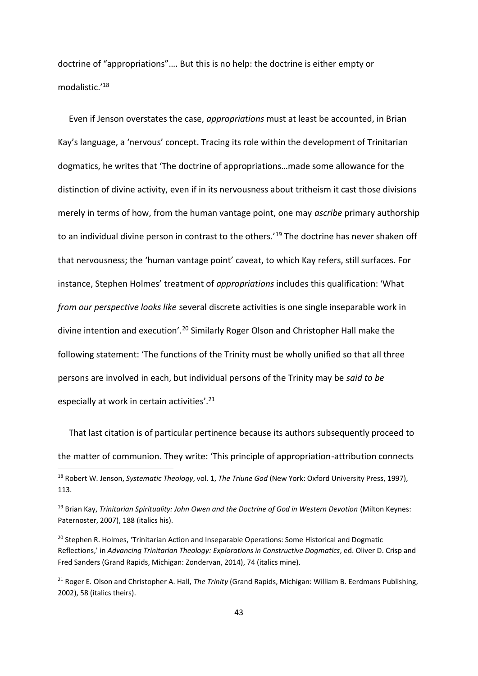doctrine of "appropriations"…. But this is no help: the doctrine is either empty or modalistic.'<sup>18</sup>

 Even if Jenson overstates the case, *appropriations* must at least be accounted, in Brian Kay's language, a 'nervous' concept. Tracing its role within the development of Trinitarian dogmatics, he writes that 'The doctrine of appropriations…made some allowance for the distinction of divine activity, even if in its nervousness about tritheism it cast those divisions merely in terms of how, from the human vantage point, one may *ascribe* primary authorship to an individual divine person in contrast to the others.<sup>'19</sup> The doctrine has never shaken off that nervousness; the 'human vantage point' caveat, to which Kay refers, still surfaces. For instance, Stephen Holmes' treatment of *appropriations* includes this qualification: 'What *from our perspective looks like* several discrete activities is one single inseparable work in divine intention and execution'.<sup>20</sup> Similarly Roger Olson and Christopher Hall make the following statement: 'The functions of the Trinity must be wholly unified so that all three persons are involved in each, but individual persons of the Trinity may be *said to be* especially at work in certain activities'.<sup>21</sup>

 That last citation is of particular pertinence because its authors subsequently proceed to the matter of communion. They write: 'This principle of appropriation-attribution connects

<sup>18</sup> Robert W. Jenson, *Systematic Theology*, vol. 1, *The Triune God* (New York: Oxford University Press, 1997), 113.

<sup>19</sup> Brian Kay, *Trinitarian Spirituality: John Owen and the Doctrine of God in Western Devotion* (Milton Keynes: Paternoster, 2007), 188 (italics his).

<sup>&</sup>lt;sup>20</sup> Stephen R. Holmes, 'Trinitarian Action and Inseparable Operations: Some Historical and Dogmatic Reflections,' in *Advancing Trinitarian Theology: Explorations in Constructive Dogmatics*, ed. Oliver D. Crisp and Fred Sanders (Grand Rapids, Michigan: Zondervan, 2014), 74 (italics mine).

<sup>21</sup> Roger E. Olson and Christopher A. Hall, *The Trinity* (Grand Rapids, Michigan: William B. Eerdmans Publishing, 2002), 58 (italics theirs).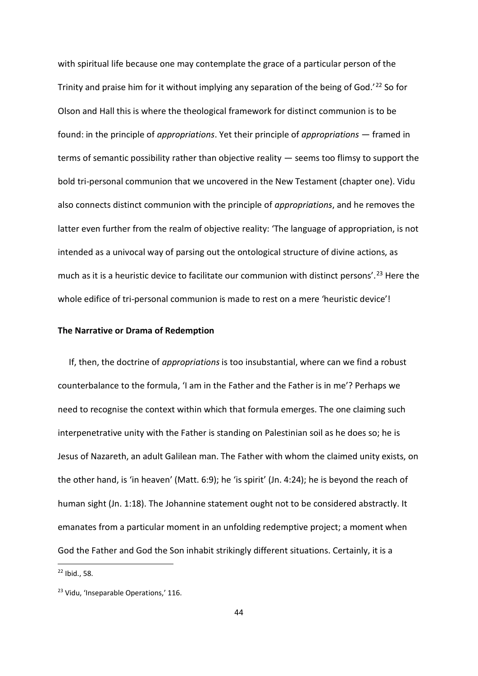with spiritual life because one may contemplate the grace of a particular person of the Trinity and praise him for it without implying any separation of the being of God.<sup>'22</sup> So for Olson and Hall this is where the theological framework for distinct communion is to be found: in the principle of *appropriations*. Yet their principle of *appropriations* — framed in terms of semantic possibility rather than objective reality — seems too flimsy to support the bold tri-personal communion that we uncovered in the New Testament (chapter one). Vidu also connects distinct communion with the principle of *appropriations*, and he removes the latter even further from the realm of objective reality: 'The language of appropriation, is not intended as a univocal way of parsing out the ontological structure of divine actions, as much as it is a heuristic device to facilitate our communion with distinct persons'.<sup>23</sup> Here the whole edifice of tri-personal communion is made to rest on a mere 'heuristic device'!

### **The Narrative or Drama of Redemption**

 If, then, the doctrine of *appropriations* is too insubstantial, where can we find a robust counterbalance to the formula, 'I am in the Father and the Father is in me'? Perhaps we need to recognise the context within which that formula emerges. The one claiming such interpenetrative unity with the Father is standing on Palestinian soil as he does so; he is Jesus of Nazareth, an adult Galilean man. The Father with whom the claimed unity exists, on the other hand, is 'in heaven' (Matt. 6:9); he 'is spirit' (Jn. 4:24); he is beyond the reach of human sight (Jn. 1:18). The Johannine statement ought not to be considered abstractly. It emanates from a particular moment in an unfolding redemptive project; a moment when God the Father and God the Son inhabit strikingly different situations. Certainly, it is a

.

<sup>22</sup> Ibid., 58.

<sup>&</sup>lt;sup>23</sup> Vidu, 'Inseparable Operations,' 116.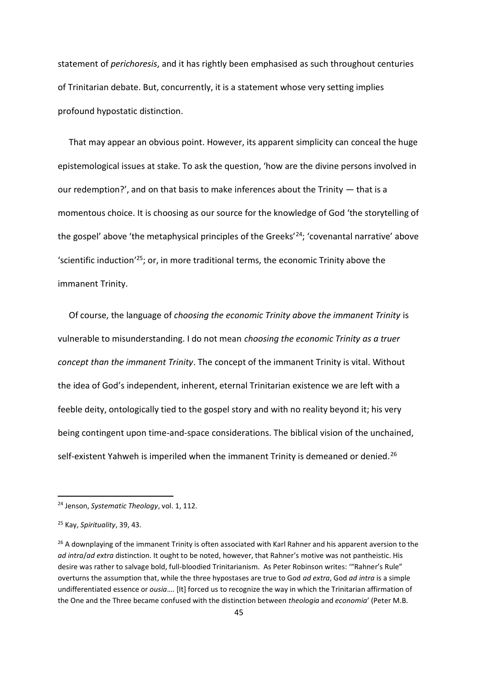statement of *perichoresis*, and it has rightly been emphasised as such throughout centuries of Trinitarian debate. But, concurrently, it is a statement whose very setting implies profound hypostatic distinction.

 That may appear an obvious point. However, its apparent simplicity can conceal the huge epistemological issues at stake. To ask the question, 'how are the divine persons involved in our redemption?', and on that basis to make inferences about the Trinity — that is a momentous choice. It is choosing as our source for the knowledge of God 'the storytelling of the gospel' above 'the metaphysical principles of the Greeks'<sup>24</sup>; 'covenantal narrative' above 'scientific induction' <sup>25</sup>; or, in more traditional terms, the economic Trinity above the immanent Trinity.

 Of course, the language of *choosing the economic Trinity above the immanent Trinity* is vulnerable to misunderstanding. I do not mean *choosing the economic Trinity as a truer concept than the immanent Trinity*. The concept of the immanent Trinity is vital. Without the idea of God's independent, inherent, eternal Trinitarian existence we are left with a feeble deity, ontologically tied to the gospel story and with no reality beyond it; his very being contingent upon time-and-space considerations. The biblical vision of the unchained, self-existent Yahweh is imperiled when the immanent Trinity is demeaned or denied.<sup>26</sup>

<sup>24</sup> Jenson, *Systematic Theology*, vol. 1, 112.

<sup>25</sup> Kay, *Spirituality*, 39, 43.

<sup>&</sup>lt;sup>26</sup> A downplaying of the immanent Trinity is often associated with Karl Rahner and his apparent aversion to the *ad intra*/*ad extra* distinction. It ought to be noted, however, that Rahner's motive was not pantheistic. His desire was rather to salvage bold, full-bloodied Trinitarianism. As Peter Robinson writes: '"Rahner's Rule" overturns the assumption that, while the three hypostases are true to God *ad extra*, God *ad intra* is a simple undifferentiated essence or *ousia*…. [It] forced us to recognize the way in which the Trinitarian affirmation of the One and the Three became confused with the distinction between *theologia* and *economia*' (Peter M.B.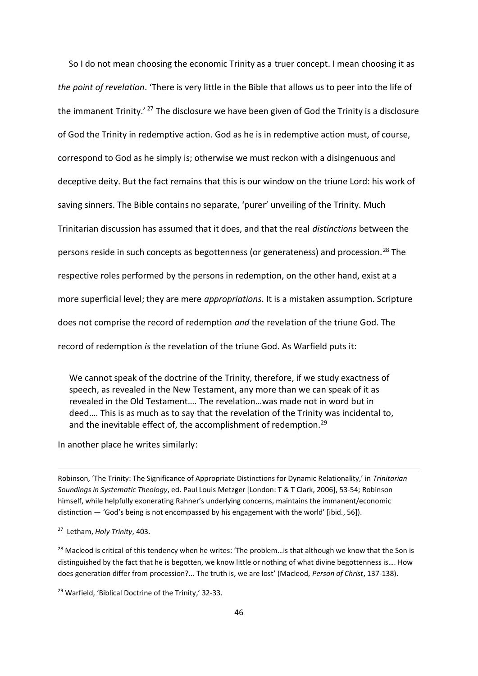So I do not mean choosing the economic Trinity as a truer concept. I mean choosing it as *the point of revelation*. 'There is very little in the Bible that allows us to peer into the life of the immanent Trinity.' <sup>27</sup> The disclosure we have been given of God the Trinity is a disclosure of God the Trinity in redemptive action. God as he is in redemptive action must, of course, correspond to God as he simply is; otherwise we must reckon with a disingenuous and deceptive deity. But the fact remains that this is our window on the triune Lord: his work of saving sinners. The Bible contains no separate, 'purer' unveiling of the Trinity. Much Trinitarian discussion has assumed that it does, and that the real *distinctions* between the persons reside in such concepts as begottenness (or generateness) and procession.<sup>28</sup> The respective roles performed by the persons in redemption, on the other hand, exist at a more superficial level; they are mere *appropriations*. It is a mistaken assumption. Scripture does not comprise the record of redemption *and* the revelation of the triune God. The record of redemption *is* the revelation of the triune God. As Warfield puts it:

We cannot speak of the doctrine of the Trinity, therefore, if we study exactness of speech, as revealed in the New Testament, any more than we can speak of it as revealed in the Old Testament…. The revelation…was made not in word but in deed…. This is as much as to say that the revelation of the Trinity was incidental to, and the inevitable effect of, the accomplishment of redemption.<sup>29</sup>

In another place he writes similarly:

Robinson, 'The Trinity: The Significance of Appropriate Distinctions for Dynamic Relationality,' in *Trinitarian Soundings in Systematic Theology*, ed. Paul Louis Metzger [London: T & T Clark, 2006], 53-54; Robinson himself, while helpfully exonerating Rahner's underlying concerns, maintains the immanent/economic distinction — 'God's being is not encompassed by his engagement with the world' [ibid., 56]).

27 Letham, *Holy Trinity*, 403.

1

<sup>28</sup> Macleod is critical of this tendency when he writes: 'The problem... is that although we know that the Son is distinguished by the fact that he is begotten, we know little or nothing of what divine begottenness is…. How does generation differ from procession?... The truth is, we are lost' (Macleod, *Person of Christ*, 137-138).

<sup>29</sup> Warfield, 'Biblical Doctrine of the Trinity,' 32-33.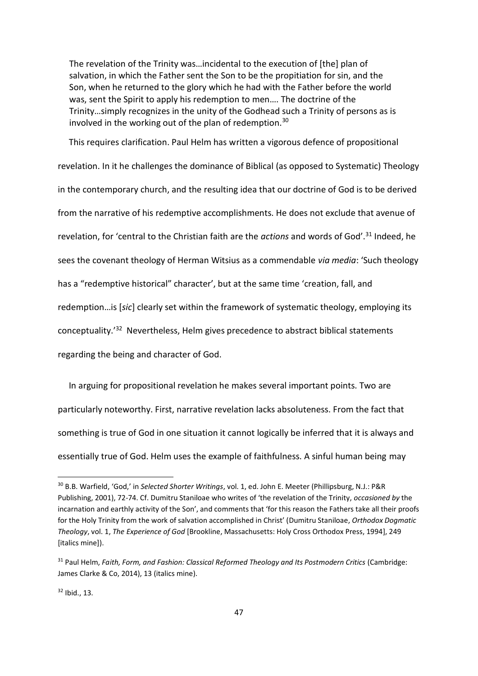The revelation of the Trinity was…incidental to the execution of [the] plan of salvation, in which the Father sent the Son to be the propitiation for sin, and the Son, when he returned to the glory which he had with the Father before the world was, sent the Spirit to apply his redemption to men…. The doctrine of the Trinity…simply recognizes in the unity of the Godhead such a Trinity of persons as is involved in the working out of the plan of redemption.<sup>30</sup>

 This requires clarification. Paul Helm has written a vigorous defence of propositional revelation. In it he challenges the dominance of Biblical (as opposed to Systematic) Theology in the contemporary church, and the resulting idea that our doctrine of God is to be derived from the narrative of his redemptive accomplishments. He does not exclude that avenue of revelation, for 'central to the Christian faith are the *actions* and words of God'.<sup>31</sup> Indeed, he sees the covenant theology of Herman Witsius as a commendable *via media*: 'Such theology has a "redemptive historical" character', but at the same time 'creation, fall, and redemption…is [*sic*] clearly set within the framework of systematic theology, employing its conceptuality.<sup>'32</sup> Nevertheless, Helm gives precedence to abstract biblical statements regarding the being and character of God.

 In arguing for propositional revelation he makes several important points. Two are particularly noteworthy. First, narrative revelation lacks absoluteness. From the fact that something is true of God in one situation it cannot logically be inferred that it is always and essentially true of God. Helm uses the example of faithfulness. A sinful human being may

<sup>30</sup> B.B. Warfield, 'God,' in *Selected Shorter Writings*, vol. 1, ed. John E. Meeter (Phillipsburg, N.J.: P&R Publishing, 2001), 72-74. Cf. Dumitru Staniloae who writes of 'the revelation of the Trinity, *occasioned by* the incarnation and earthly activity of the Son', and comments that 'for this reason the Fathers take all their proofs for the Holy Trinity from the work of salvation accomplished in Christ' (Dumitru Staniloae, *Orthodox Dogmatic Theology*, vol. 1, *The Experience of God* [Brookline, Massachusetts: Holy Cross Orthodox Press, 1994], 249 [italics mine]).

<sup>31</sup> Paul Helm, *Faith, Form, and Fashion: Classical Reformed Theology and Its Postmodern Critics* (Cambridge: James Clarke & Co, 2014), 13 (italics mine).

<sup>32</sup> Ibid., 13.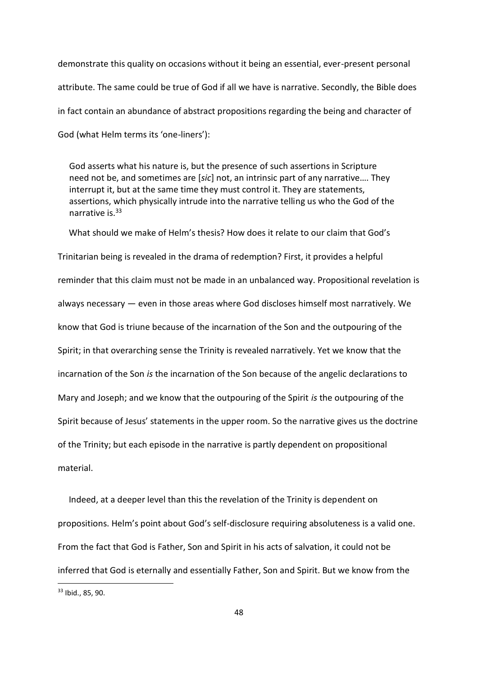demonstrate this quality on occasions without it being an essential, ever-present personal attribute. The same could be true of God if all we have is narrative. Secondly, the Bible does in fact contain an abundance of abstract propositions regarding the being and character of God (what Helm terms its 'one-liners'):

God asserts what his nature is, but the presence of such assertions in Scripture need not be, and sometimes are [*sic*] not, an intrinsic part of any narrative…. They interrupt it, but at the same time they must control it. They are statements, assertions, which physically intrude into the narrative telling us who the God of the narrative is.<sup>33</sup>

 What should we make of Helm's thesis? How does it relate to our claim that God's Trinitarian being is revealed in the drama of redemption? First, it provides a helpful reminder that this claim must not be made in an unbalanced way. Propositional revelation is always necessary — even in those areas where God discloses himself most narratively. We know that God is triune because of the incarnation of the Son and the outpouring of the Spirit; in that overarching sense the Trinity is revealed narratively. Yet we know that the incarnation of the Son *is* the incarnation of the Son because of the angelic declarations to Mary and Joseph; and we know that the outpouring of the Spirit *is* the outpouring of the Spirit because of Jesus' statements in the upper room. So the narrative gives us the doctrine of the Trinity; but each episode in the narrative is partly dependent on propositional material.

 Indeed, at a deeper level than this the revelation of the Trinity is dependent on propositions. Helm's point about God's self-disclosure requiring absoluteness is a valid one. From the fact that God is Father, Son and Spirit in his acts of salvation, it could not be inferred that God is eternally and essentially Father, Son and Spirit. But we know from the

.

<sup>33</sup> Ibid., 85, 90.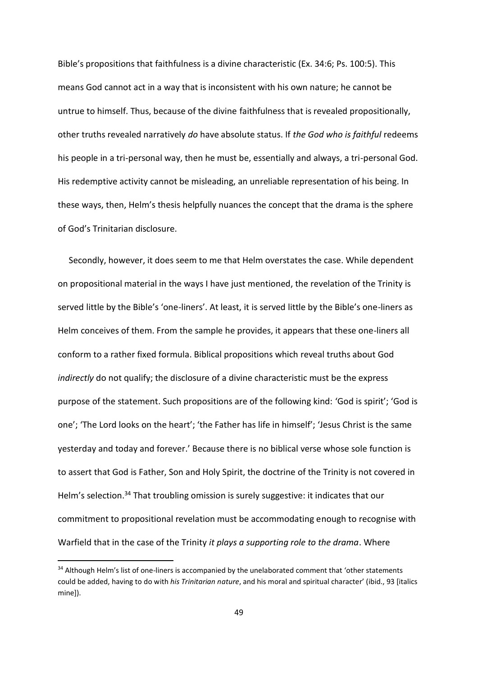Bible's propositions that faithfulness is a divine characteristic (Ex. 34:6; Ps. 100:5). This means God cannot act in a way that is inconsistent with his own nature; he cannot be untrue to himself. Thus, because of the divine faithfulness that is revealed propositionally, other truths revealed narratively *do* have absolute status. If *the God who is faithful* redeems his people in a tri-personal way, then he must be, essentially and always, a tri-personal God. His redemptive activity cannot be misleading, an unreliable representation of his being. In these ways, then, Helm's thesis helpfully nuances the concept that the drama is the sphere of God's Trinitarian disclosure.

 Secondly, however, it does seem to me that Helm overstates the case. While dependent on propositional material in the ways I have just mentioned, the revelation of the Trinity is served little by the Bible's 'one-liners'. At least, it is served little by the Bible's one-liners as Helm conceives of them. From the sample he provides, it appears that these one-liners all conform to a rather fixed formula. Biblical propositions which reveal truths about God *indirectly* do not qualify; the disclosure of a divine characteristic must be the express purpose of the statement. Such propositions are of the following kind: 'God is spirit'; 'God is one'; 'The Lord looks on the heart'; 'the Father has life in himself'; 'Jesus Christ is the same yesterday and today and forever.' Because there is no biblical verse whose sole function is to assert that God is Father, Son and Holy Spirit, the doctrine of the Trinity is not covered in Helm's selection.<sup>34</sup> That troubling omission is surely suggestive: it indicates that our commitment to propositional revelation must be accommodating enough to recognise with Warfield that in the case of the Trinity *it plays a supporting role to the drama*. Where

<sup>&</sup>lt;sup>34</sup> Although Helm's list of one-liners is accompanied by the unelaborated comment that 'other statements could be added, having to do with *his Trinitarian nature*, and his moral and spiritual character' (ibid., 93 [italics mine]).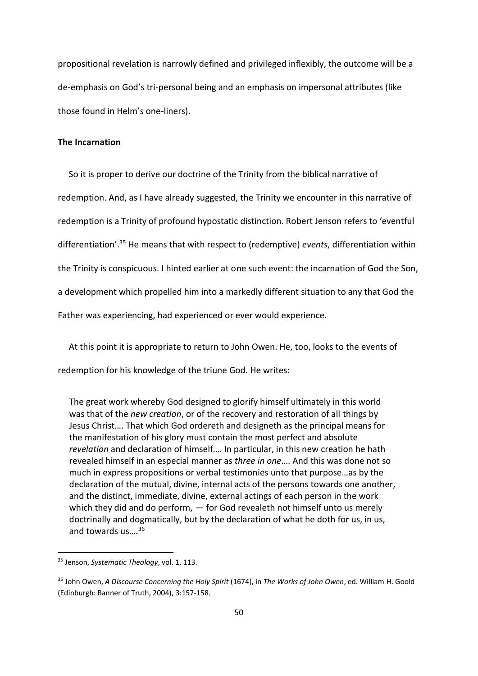propositional revelation is narrowly defined and privileged inflexibly, the outcome will be a de-emphasis on God's tri-personal being and an emphasis on impersonal attributes (like those found in Helm's one-liners).

### **The Incarnation**

 So it is proper to derive our doctrine of the Trinity from the biblical narrative of redemption. And, as I have already suggested, the Trinity we encounter in this narrative of redemption is a Trinity of profound hypostatic distinction. Robert Jenson refers to 'eventful differentiation'.<sup>35</sup> He means that with respect to (redemptive) *events*, differentiation within the Trinity is conspicuous. I hinted earlier at one such event: the incarnation of God the Son, a development which propelled him into a markedly different situation to any that God the Father was experiencing, had experienced or ever would experience.

 At this point it is appropriate to return to John Owen. He, too, looks to the events of redemption for his knowledge of the triune God. He writes:

The great work whereby God designed to glorify himself ultimately in this world was that of the *new creation*, or of the recovery and restoration of all things by Jesus Christ…. That which God ordereth and designeth as the principal means for the manifestation of his glory must contain the most perfect and absolute *revelation* and declaration of himself…. In particular, in this new creation he hath revealed himself in an especial manner as *three in one*…. And this was done not so much in express propositions or verbal testimonies unto that purpose…as by the declaration of the mutual, divine, internal acts of the persons towards one another, and the distinct, immediate, divine, external actings of each person in the work which they did and do perform, — for God revealeth not himself unto us merely doctrinally and dogmatically, but by the declaration of what he doth for us, in us, and towards us....<sup>36</sup>

<sup>35</sup> Jenson, *Systematic Theology*, vol. 1, 113.

<sup>36</sup> John Owen, *A Discourse Concerning the Holy Spirit* (1674), in *The Works of John Owen*, ed. William H. Goold (Edinburgh: Banner of Truth, 2004), 3:157-158.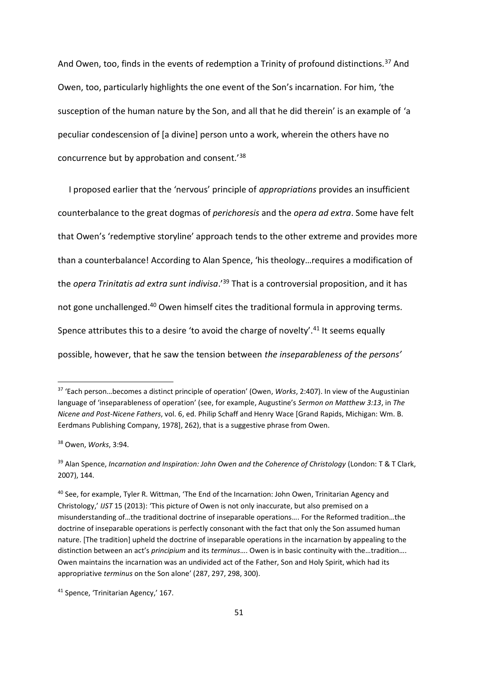And Owen, too, finds in the events of redemption a Trinity of profound distinctions.<sup>37</sup> And Owen, too, particularly highlights the one event of the Son's incarnation. For him, 'the susception of the human nature by the Son, and all that he did therein' is an example of 'a peculiar condescension of [a divine] person unto a work, wherein the others have no concurrence but by approbation and consent.'<sup>38</sup>

 I proposed earlier that the 'nervous' principle of *appropriations* provides an insufficient counterbalance to the great dogmas of *perichoresis* and the *opera ad extra*. Some have felt that Owen's 'redemptive storyline' approach tends to the other extreme and provides more than a counterbalance! According to Alan Spence, 'his theology…requires a modification of the *opera Trinitatis ad extra sunt indivisa*.'<sup>39</sup> That is a controversial proposition, and it has not gone unchallenged.<sup>40</sup> Owen himself cites the traditional formula in approving terms. Spence attributes this to a desire 'to avoid the charge of novelty'.<sup>41</sup> It seems equally possible, however, that he saw the tension between *the inseparableness of the persons'* 

<sup>38</sup> Owen, *Works*, 3:94.

<sup>37</sup> 'Each person…becomes a distinct principle of operation' (Owen, *Works*, 2:407). In view of the Augustinian language of 'inseparableness of operation' (see, for example, Augustine's *Sermon on Matthew 3:13*, in *The Nicene and Post-Nicene Fathers*, vol. 6, ed. Philip Schaff and Henry Wace [Grand Rapids, Michigan: Wm. B. Eerdmans Publishing Company, 1978], 262), that is a suggestive phrase from Owen.

<sup>39</sup> Alan Spence, *Incarnation and Inspiration: John Owen and the Coherence of Christology* (London: T & T Clark, 2007), 144.

<sup>&</sup>lt;sup>40</sup> See, for example, Tyler R. Wittman, 'The End of the Incarnation: John Owen, Trinitarian Agency and Christology,' *IJST* 15 (2013): 'This picture of Owen is not only inaccurate, but also premised on a misunderstanding of…the traditional doctrine of inseparable operations…. For the Reformed tradition…the doctrine of inseparable operations is perfectly consonant with the fact that only the Son assumed human nature. [The tradition] upheld the doctrine of inseparable operations in the incarnation by appealing to the distinction between an act's *principium* and its *terminus*…. Owen is in basic continuity with the…tradition…. Owen maintains the incarnation was an undivided act of the Father, Son and Holy Spirit, which had its appropriative *terminus* on the Son alone' (287, 297, 298, 300).

<sup>41</sup> Spence, 'Trinitarian Agency,' 167.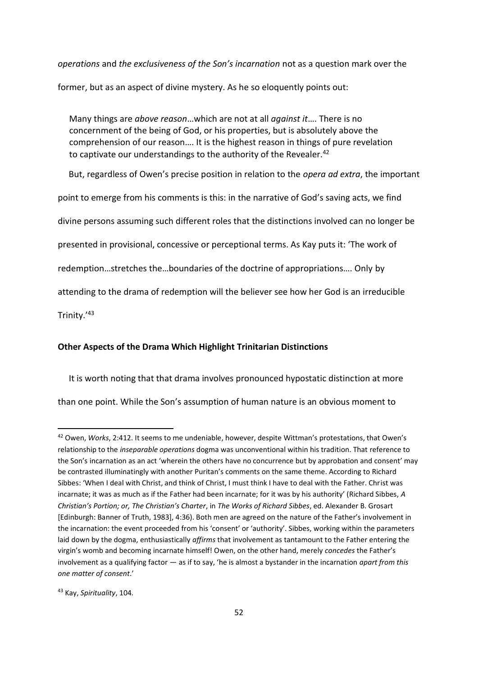*operations* and *the exclusiveness of the Son's incarnation* not as a question mark over the

former, but as an aspect of divine mystery. As he so eloquently points out:

Many things are *above reason*…which are not at all *against it*…. There is no concernment of the being of God, or his properties, but is absolutely above the comprehension of our reason…. It is the highest reason in things of pure revelation to captivate our understandings to the authority of the Revealer.<sup>42</sup>

But, regardless of Owen's precise position in relation to the *opera ad extra*, the important

point to emerge from his comments is this: in the narrative of God's saving acts, we find

divine persons assuming such different roles that the distinctions involved can no longer be

presented in provisional, concessive or perceptional terms. As Kay puts it: 'The work of

redemption…stretches the…boundaries of the doctrine of appropriations…. Only by

attending to the drama of redemption will the believer see how her God is an irreducible

Trinity.'<sup>43</sup>

1

# **Other Aspects of the Drama Which Highlight Trinitarian Distinctions**

It is worth noting that that drama involves pronounced hypostatic distinction at more

than one point. While the Son's assumption of human nature is an obvious moment to

<sup>43</sup> Kay, *Spirituality*, 104.

<sup>42</sup> Owen, *Works*, 2:412. It seems to me undeniable, however, despite Wittman's protestations, that Owen's relationship to the *inseparable operations* dogma was unconventional within his tradition. That reference to the Son's incarnation as an act 'wherein the others have no concurrence but by approbation and consent' may be contrasted illuminatingly with another Puritan's comments on the same theme. According to Richard Sibbes: 'When I deal with Christ, and think of Christ, I must think I have to deal with the Father. Christ was incarnate; it was as much as if the Father had been incarnate; for it was by his authority' (Richard Sibbes, *A Christian's Portion; or, The Christian's Charter*, in *The Works of Richard Sibbes*, ed. Alexander B. Grosart [Edinburgh: Banner of Truth, 1983], 4:36). Both men are agreed on the nature of the Father's involvement in the incarnation: the event proceeded from his 'consent' or 'authority'. Sibbes, working within the parameters laid down by the dogma, enthusiastically *affirms* that involvement as tantamount to the Father entering the virgin's womb and becoming incarnate himself! Owen, on the other hand, merely *concedes* the Father's involvement as a qualifying factor — as if to say, 'he is almost a bystander in the incarnation *apart from this one matter of consent*.'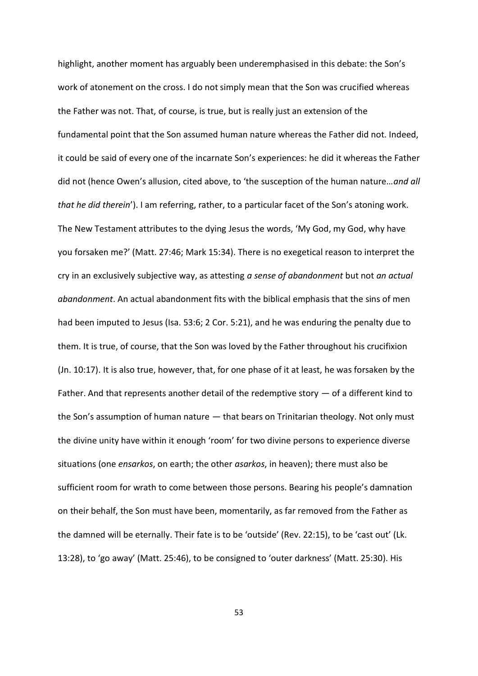highlight, another moment has arguably been underemphasised in this debate: the Son's work of atonement on the cross. I do not simply mean that the Son was crucified whereas the Father was not. That, of course, is true, but is really just an extension of the fundamental point that the Son assumed human nature whereas the Father did not. Indeed, it could be said of every one of the incarnate Son's experiences: he did it whereas the Father did not (hence Owen's allusion, cited above, to 'the susception of the human nature…*and all that he did therein*'). I am referring, rather, to a particular facet of the Son's atoning work. The New Testament attributes to the dying Jesus the words, 'My God, my God, why have you forsaken me?' (Matt. 27:46; Mark 15:34). There is no exegetical reason to interpret the cry in an exclusively subjective way, as attesting *a sense of abandonment* but not *an actual abandonment*. An actual abandonment fits with the biblical emphasis that the sins of men had been imputed to Jesus (Isa. 53:6; 2 Cor. 5:21), and he was enduring the penalty due to them. It is true, of course, that the Son was loved by the Father throughout his crucifixion (Jn. 10:17). It is also true, however, that, for one phase of it at least, he was forsaken by the Father. And that represents another detail of the redemptive story — of a different kind to the Son's assumption of human nature — that bears on Trinitarian theology. Not only must the divine unity have within it enough 'room' for two divine persons to experience diverse situations (one *ensarkos*, on earth; the other *asarkos*, in heaven); there must also be sufficient room for wrath to come between those persons. Bearing his people's damnation on their behalf, the Son must have been, momentarily, as far removed from the Father as the damned will be eternally. Their fate is to be 'outside' (Rev. 22:15), to be 'cast out' (Lk. 13:28), to 'go away' (Matt. 25:46), to be consigned to 'outer darkness' (Matt. 25:30). His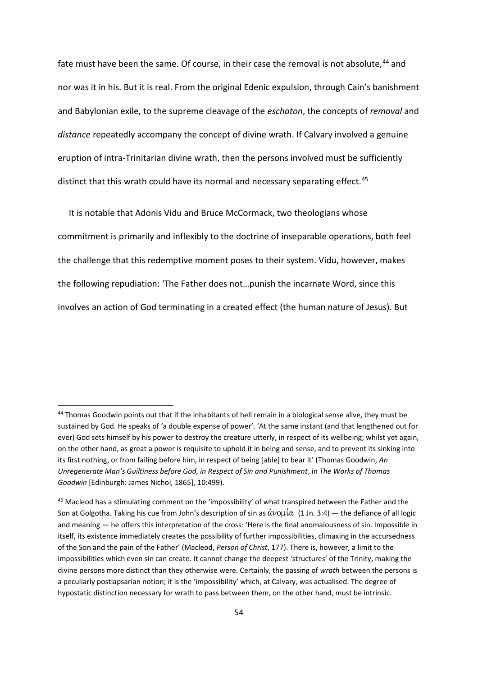fate must have been the same. Of course, in their case the removal is not absolute,<sup>44</sup> and nor was it in his. But it is real. From the original Edenic expulsion, through Cain's banishment and Babylonian exile, to the supreme cleavage of the *eschaton*, the concepts of *removal* and *distance* repeatedly accompany the concept of divine wrath. If Calvary involved a genuine eruption of intra-Trinitarian divine wrath, then the persons involved must be sufficiently distinct that this wrath could have its normal and necessary separating effect.<sup>45</sup>

 It is notable that Adonis Vidu and Bruce McCormack, two theologians whose commitment is primarily and inflexibly to the doctrine of inseparable operations, both feel the challenge that this redemptive moment poses to their system. Vidu, however, makes the following repudiation: 'The Father does not…punish the incarnate Word, since this involves an action of God terminating in a created effect (the human nature of Jesus). But

<sup>&</sup>lt;sup>44</sup> Thomas Goodwin points out that if the inhabitants of hell remain in a biological sense alive, they must be sustained by God. He speaks of 'a double expense of power'. 'At the same instant (and that lengthened out for ever) God sets himself by his power to destroy the creature utterly, in respect of its wellbeing; whilst yet again, on the other hand, as great a power is requisite to uphold it in being and sense, and to prevent its sinking into its first nothing, or from failing before him, in respect of being [able] to bear it' (Thomas Goodwin, *An Unregenerate Man's Guiltiness before God, in Respect of Sin and Punishment*, in *The Works of Thomas Goodwin* [Edinburgh: James Nichol, 1865], 10:499).

<sup>&</sup>lt;sup>45</sup> Macleod has a stimulating comment on the 'impossibility' of what transpired between the Father and the Son at Golgotha. Taking his cue from John's description of sin as  $\dot{\alpha}$  $\nu$ o $\mu$ ί $\alpha$  (1 Jn. 3:4) — the defiance of all logic and meaning — he offers this interpretation of the cross: 'Here is the final anomalousness of sin. Impossible in itself, its existence immediately creates the possibility of further impossibilities, climaxing in the accursedness of the Son and the pain of the Father' (Macleod, *Person of Christ*, 177). There is, however, a limit to the impossibilities which even sin can create. It cannot change the deepest 'structures' of the Trinity, making the divine persons more distinct than they otherwise were. Certainly, the passing of *wrath* between the persons is a peculiarly postlapsarian notion; it is the 'impossibility' which, at Calvary, was actualised. The degree of hypostatic distinction necessary for wrath to pass between them, on the other hand, must be intrinsic.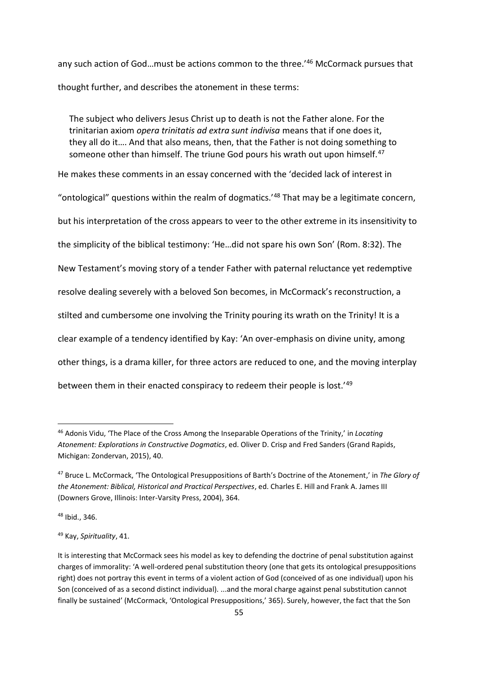any such action of God...must be actions common to the three.<sup>'46</sup> McCormack pursues that thought further, and describes the atonement in these terms:

The subject who delivers Jesus Christ up to death is not the Father alone. For the trinitarian axiom *opera trinitatis ad extra sunt indivisa* means that if one does it, they all do it…. And that also means, then, that the Father is not doing something to someone other than himself. The triune God pours his wrath out upon himself.<sup>47</sup>

He makes these comments in an essay concerned with the 'decided lack of interest in

"ontological" questions within the realm of dogmatics.<sup>'48</sup> That may be a legitimate concern,

but his interpretation of the cross appears to veer to the other extreme in its insensitivity to

the simplicity of the biblical testimony: 'He…did not spare his own Son' (Rom. 8:32). The

New Testament's moving story of a tender Father with paternal reluctance yet redemptive

resolve dealing severely with a beloved Son becomes, in McCormack's reconstruction, a

stilted and cumbersome one involving the Trinity pouring its wrath on the Trinity! It is a

clear example of a tendency identified by Kay: 'An over-emphasis on divine unity, among

other things, is a drama killer, for three actors are reduced to one, and the moving interplay

between them in their enacted conspiracy to redeem their people is lost.<sup>149</sup>

<sup>48</sup> Ibid., 346.

1

<sup>49</sup> Kay, *Spirituality*, 41.

<sup>46</sup> Adonis Vidu, 'The Place of the Cross Among the Inseparable Operations of the Trinity,' in *Locating Atonement: Explorations in Constructive Dogmatics*, ed. Oliver D. Crisp and Fred Sanders (Grand Rapids, Michigan: Zondervan, 2015), 40.

<sup>47</sup> Bruce L. McCormack, 'The Ontological Presuppositions of Barth's Doctrine of the Atonement,' in *The Glory of the Atonement: Biblical, Historical and Practical Perspectives*, ed. Charles E. Hill and Frank A. James III (Downers Grove, Illinois: Inter-Varsity Press, 2004), 364.

It is interesting that McCormack sees his model as key to defending the doctrine of penal substitution against charges of immorality: 'A well-ordered penal substitution theory (one that gets its ontological presuppositions right) does not portray this event in terms of a violent action of God (conceived of as one individual) upon his Son (conceived of as a second distinct individual). ...and the moral charge against penal substitution cannot finally be sustained' (McCormack, 'Ontological Presuppositions,' 365). Surely, however, the fact that the Son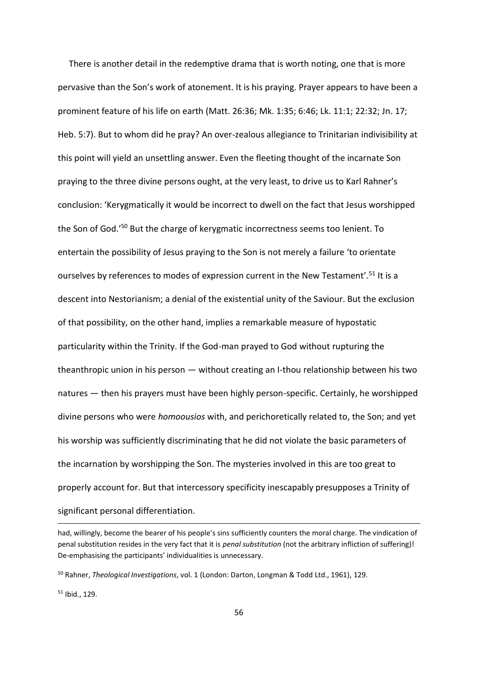There is another detail in the redemptive drama that is worth noting, one that is more pervasive than the Son's work of atonement. It is his praying. Prayer appears to have been a prominent feature of his life on earth (Matt. 26:36; Mk. 1:35; 6:46; Lk. 11:1; 22:32; Jn. 17; Heb. 5:7). But to whom did he pray? An over-zealous allegiance to Trinitarian indivisibility at this point will yield an unsettling answer. Even the fleeting thought of the incarnate Son praying to the three divine persons ought, at the very least, to drive us to Karl Rahner's conclusion: 'Kerygmatically it would be incorrect to dwell on the fact that Jesus worshipped the Son of God.'<sup>50</sup> But the charge of kerygmatic incorrectness seems too lenient. To entertain the possibility of Jesus praying to the Son is not merely a failure 'to orientate ourselves by references to modes of expression current in the New Testament'.<sup>51</sup> It is a descent into Nestorianism; a denial of the existential unity of the Saviour. But the exclusion of that possibility, on the other hand, implies a remarkable measure of hypostatic particularity within the Trinity. If the God-man prayed to God without rupturing the theanthropic union in his person — without creating an I-thou relationship between his two natures — then his prayers must have been highly person-specific. Certainly, he worshipped divine persons who were *homoousios* with, and perichoretically related to, the Son; and yet his worship was sufficiently discriminating that he did not violate the basic parameters of the incarnation by worshipping the Son. The mysteries involved in this are too great to properly account for. But that intercessory specificity inescapably presupposes a Trinity of significant personal differentiation.

<sup>51</sup> Ibid., 129.

had, willingly, become the bearer of his people's sins sufficiently counters the moral charge. The vindication of penal substitution resides in the very fact that it is *penal substitution* (not the arbitrary infliction of suffering)! De-emphasising the participants' individualities is unnecessary.

<sup>50</sup> Rahner, *Theological Investigations*, vol. 1 (London: Darton, Longman & Todd Ltd., 1961), 129.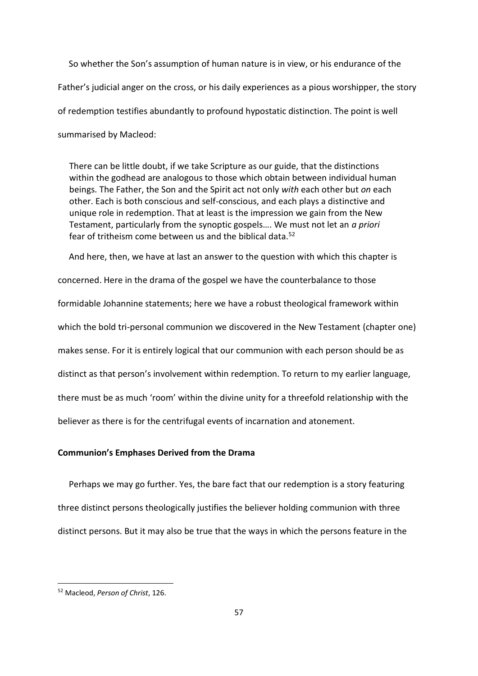So whether the Son's assumption of human nature is in view, or his endurance of the Father's judicial anger on the cross, or his daily experiences as a pious worshipper, the story of redemption testifies abundantly to profound hypostatic distinction. The point is well summarised by Macleod:

There can be little doubt, if we take Scripture as our guide, that the distinctions within the godhead are analogous to those which obtain between individual human beings. The Father, the Son and the Spirit act not only *with* each other but *on* each other. Each is both conscious and self-conscious, and each plays a distinctive and unique role in redemption. That at least is the impression we gain from the New Testament, particularly from the synoptic gospels…. We must not let an *a priori* fear of tritheism come between us and the biblical data.<sup>52</sup>

And here, then, we have at last an answer to the question with which this chapter is

concerned. Here in the drama of the gospel we have the counterbalance to those

formidable Johannine statements; here we have a robust theological framework within which the bold tri-personal communion we discovered in the New Testament (chapter one) makes sense. For it is entirely logical that our communion with each person should be as distinct as that person's involvement within redemption. To return to my earlier language, there must be as much 'room' within the divine unity for a threefold relationship with the believer as there is for the centrifugal events of incarnation and atonement.

## **Communion's Emphases Derived from the Drama**

 Perhaps we may go further. Yes, the bare fact that our redemption is a story featuring three distinct persons theologically justifies the believer holding communion with three distinct persons. But it may also be true that the ways in which the persons feature in the

.

<sup>52</sup> Macleod, *Person of Christ*, 126.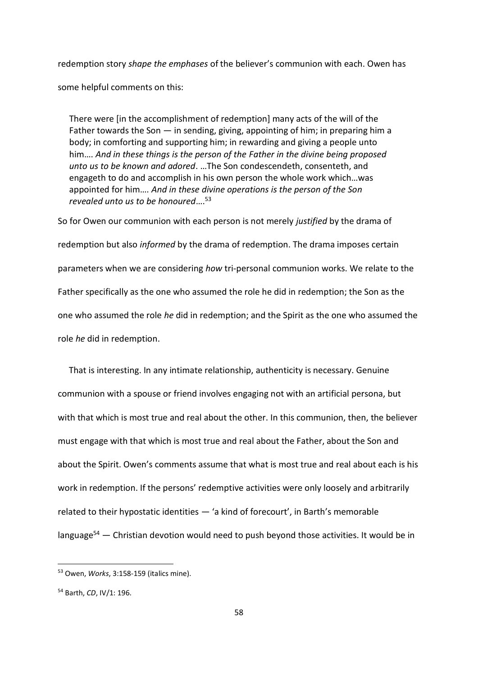redemption story *shape the emphases* of the believer's communion with each. Owen has some helpful comments on this:

There were [in the accomplishment of redemption] many acts of the will of the Father towards the Son  $-$  in sending, giving, appointing of him; in preparing him a body; in comforting and supporting him; in rewarding and giving a people unto him…. *And in these things is the person of the Father in the divine being proposed unto us to be known and adored*. …The Son condescendeth, consenteth, and engageth to do and accomplish in his own person the whole work which…was appointed for him…. *And in these divine operations is the person of the Son revealed unto us to be honoured*…. 53

So for Owen our communion with each person is not merely *justified* by the drama of redemption but also *informed* by the drama of redemption. The drama imposes certain parameters when we are considering *how* tri-personal communion works. We relate to the Father specifically as the one who assumed the role he did in redemption; the Son as the one who assumed the role *he* did in redemption; and the Spirit as the one who assumed the role *he* did in redemption.

 That is interesting. In any intimate relationship, authenticity is necessary. Genuine communion with a spouse or friend involves engaging not with an artificial persona, but with that which is most true and real about the other. In this communion, then, the believer must engage with that which is most true and real about the Father, about the Son and about the Spirit. Owen's comments assume that what is most true and real about each is his work in redemption. If the persons' redemptive activities were only loosely and arbitrarily related to their hypostatic identities — 'a kind of forecourt', in Barth's memorable language<sup>54</sup>  $-$  Christian devotion would need to push beyond those activities. It would be in

.

<sup>53</sup> Owen, *Works*, 3:158-159 (italics mine).

<sup>54</sup> Barth, *CD*, IV/1: 196.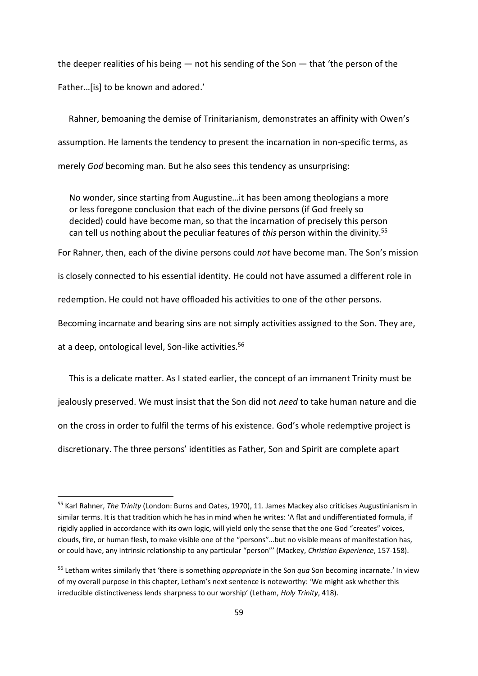the deeper realities of his being — not his sending of the Son — that 'the person of the Father…[is] to be known and adored.'

 Rahner, bemoaning the demise of Trinitarianism, demonstrates an affinity with Owen's assumption. He laments the tendency to present the incarnation in non-specific terms, as merely *God* becoming man. But he also sees this tendency as unsurprising:

No wonder, since starting from Augustine…it has been among theologians a more or less foregone conclusion that each of the divine persons (if God freely so decided) could have become man, so that the incarnation of precisely this person can tell us nothing about the peculiar features of *this* person within the divinity.<sup>55</sup>

For Rahner, then, each of the divine persons could *not* have become man. The Son's mission

is closely connected to his essential identity. He could not have assumed a different role in

redemption. He could not have offloaded his activities to one of the other persons.

Becoming incarnate and bearing sins are not simply activities assigned to the Son. They are,

at a deep, ontological level, Son-like activities.<sup>56</sup>

1

 This is a delicate matter. As I stated earlier, the concept of an immanent Trinity must be jealously preserved. We must insist that the Son did not *need* to take human nature and die on the cross in order to fulfil the terms of his existence. God's whole redemptive project is discretionary. The three persons' identities as Father, Son and Spirit are complete apart

<sup>55</sup> Karl Rahner, *The Trinity* (London: Burns and Oates, 1970), 11. James Mackey also criticises Augustinianism in similar terms. It is that tradition which he has in mind when he writes: 'A flat and undifferentiated formula, if rigidly applied in accordance with its own logic, will yield only the sense that the one God "creates" voices, clouds, fire, or human flesh, to make visible one of the "persons"…but no visible means of manifestation has, or could have, any intrinsic relationship to any particular "person"' (Mackey, *Christian Experience*, 157-158).

<sup>56</sup> Letham writes similarly that 'there is something *appropriate* in the Son *qua* Son becoming incarnate.' In view of my overall purpose in this chapter, Letham's next sentence is noteworthy: 'We might ask whether this irreducible distinctiveness lends sharpness to our worship' (Letham, *Holy Trinity*, 418).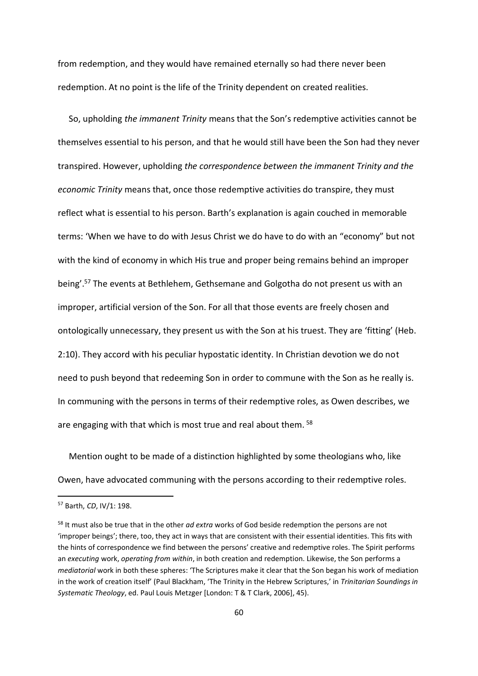from redemption, and they would have remained eternally so had there never been redemption. At no point is the life of the Trinity dependent on created realities.

 So, upholding *the immanent Trinity* means that the Son's redemptive activities cannot be themselves essential to his person, and that he would still have been the Son had they never transpired. However, upholding *the correspondence between the immanent Trinity and the economic Trinity* means that, once those redemptive activities do transpire, they must reflect what is essential to his person. Barth's explanation is again couched in memorable terms: 'When we have to do with Jesus Christ we do have to do with an "economy" but not with the kind of economy in which His true and proper being remains behind an improper being'.<sup>57</sup> The events at Bethlehem, Gethsemane and Golgotha do not present us with an improper, artificial version of the Son. For all that those events are freely chosen and ontologically unnecessary, they present us with the Son at his truest. They are 'fitting' (Heb. 2:10). They accord with his peculiar hypostatic identity. In Christian devotion we do not need to push beyond that redeeming Son in order to commune with the Son as he really is. In communing with the persons in terms of their redemptive roles, as Owen describes, we are engaging with that which is most true and real about them. <sup>58</sup>

 Mention ought to be made of a distinction highlighted by some theologians who, like Owen, have advocated communing with the persons according to their redemptive roles.

<sup>57</sup> Barth, *CD*, IV/1: 198.

<sup>58</sup> It must also be true that in the other *ad extra* works of God beside redemption the persons are not 'improper beings'; there, too, they act in ways that are consistent with their essential identities. This fits with the hints of correspondence we find between the persons' creative and redemptive roles. The Spirit performs an *executing* work, *operating from within*, in both creation and redemption. Likewise, the Son performs a *mediatorial* work in both these spheres: 'The Scriptures make it clear that the Son began his work of mediation in the work of creation itself' (Paul Blackham, 'The Trinity in the Hebrew Scriptures,' in *Trinitarian Soundings in Systematic Theology*, ed. Paul Louis Metzger [London: T & T Clark, 2006], 45).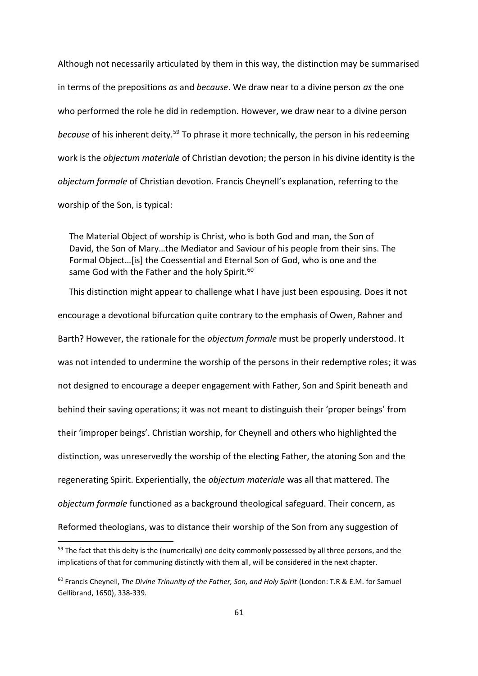Although not necessarily articulated by them in this way, the distinction may be summarised in terms of the prepositions *as* and *because*. We draw near to a divine person *as* the one who performed the role he did in redemption. However, we draw near to a divine person *because* of his inherent deity.<sup>59</sup> To phrase it more technically, the person in his redeeming work is the *objectum materiale* of Christian devotion; the person in his divine identity is the *objectum formale* of Christian devotion. Francis Cheynell's explanation, referring to the worship of the Son, is typical:

The Material Object of worship is Christ, who is both God and man, the Son of David, the Son of Mary…the Mediator and Saviour of his people from their sins. The Formal Object…[is] the Coessential and Eternal Son of God, who is one and the same God with the Father and the holy Spirit.<sup>60</sup>

 This distinction might appear to challenge what I have just been espousing. Does it not encourage a devotional bifurcation quite contrary to the emphasis of Owen, Rahner and Barth? However, the rationale for the *objectum formale* must be properly understood. It was not intended to undermine the worship of the persons in their redemptive roles; it was not designed to encourage a deeper engagement with Father, Son and Spirit beneath and behind their saving operations; it was not meant to distinguish their 'proper beings' from their 'improper beings'. Christian worship, for Cheynell and others who highlighted the distinction, was unreservedly the worship of the electing Father, the atoning Son and the regenerating Spirit. Experientially, the *objectum materiale* was all that mattered. The *objectum formale* functioned as a background theological safeguard. Their concern, as Reformed theologians, was to distance their worship of the Son from any suggestion of

 $59$  The fact that this deity is the (numerically) one deity commonly possessed by all three persons, and the implications of that for communing distinctly with them all, will be considered in the next chapter.

<sup>60</sup> Francis Cheynell, *The Divine Trinunity of the Father, Son, and Holy Spirit* (London: T.R & E.M. for Samuel Gellibrand, 1650), 338-339.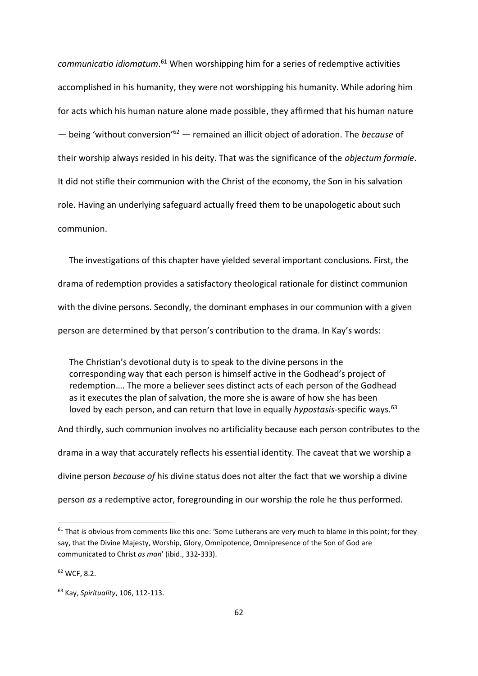*communicatio idiomatum*. <sup>61</sup> When worshipping him for a series of redemptive activities accomplished in his humanity, they were not worshipping his humanity. While adoring him for acts which his human nature alone made possible, they affirmed that his human nature — being 'without conversion'<sup>62</sup> — remained an illicit object of adoration. The *because* of their worship always resided in his deity. That was the significance of the *objectum formale*. It did not stifle their communion with the Christ of the economy, the Son in his salvation role. Having an underlying safeguard actually freed them to be unapologetic about such communion.

 The investigations of this chapter have yielded several important conclusions. First, the drama of redemption provides a satisfactory theological rationale for distinct communion with the divine persons. Secondly, the dominant emphases in our communion with a given person are determined by that person's contribution to the drama. In Kay's words:

The Christian's devotional duty is to speak to the divine persons in the corresponding way that each person is himself active in the Godhead's project of redemption…. The more a believer sees distinct acts of each person of the Godhead as it executes the plan of salvation, the more she is aware of how she has been loved by each person, and can return that love in equally *hypostasis*-specific ways.<sup>63</sup>

And thirdly, such communion involves no artificiality because each person contributes to the

drama in a way that accurately reflects his essential identity. The caveat that we worship a

divine person *because of* his divine status does not alter the fact that we worship a divine

person *as* a redemptive actor, foregrounding in our worship the role he thus performed.

 $61$  That is obvious from comments like this one: 'Some Lutherans are very much to blame in this point; for they say, that the Divine Majesty, Worship, Glory, Omnipotence, Omnipresence of the Son of God are communicated to Christ *as man*' (ibid., 332-333).

<sup>62</sup> WCF, 8.2.

<sup>63</sup> Kay, *Spirituality*, 106, 112-113.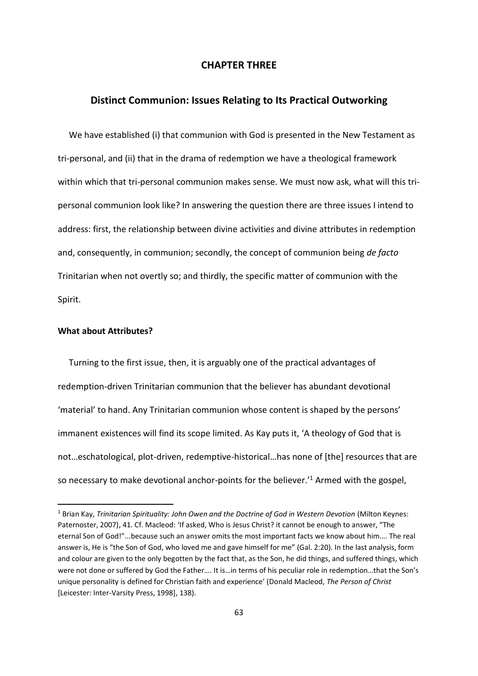# **CHAPTER THREE**

# **Distinct Communion: Issues Relating to Its Practical Outworking**

 We have established (i) that communion with God is presented in the New Testament as tri-personal, and (ii) that in the drama of redemption we have a theological framework within which that tri-personal communion makes sense. We must now ask, what will this tripersonal communion look like? In answering the question there are three issues I intend to address: first, the relationship between divine activities and divine attributes in redemption and, consequently, in communion; secondly, the concept of communion being *de facto* Trinitarian when not overtly so; and thirdly, the specific matter of communion with the Spirit.

### **What about Attributes?**

1

 Turning to the first issue, then, it is arguably one of the practical advantages of redemption-driven Trinitarian communion that the believer has abundant devotional 'material' to hand. Any Trinitarian communion whose content is shaped by the persons' immanent existences will find its scope limited. As Kay puts it, 'A theology of God that is not…eschatological, plot-driven, redemptive-historical…has none of [the] resources that are so necessary to make devotional anchor-points for the believer.<sup>'1</sup> Armed with the gospel,

<sup>1</sup> Brian Kay, *Trinitarian Spirituality: John Owen and the Doctrine of God in Western Devotion* (Milton Keynes: Paternoster, 2007), 41. Cf. Macleod: 'If asked, Who is Jesus Christ? it cannot be enough to answer, "The eternal Son of God!"...because such an answer omits the most important facts we know about him…. The real answer is, He is "the Son of God, who loved me and gave himself for me" (Gal. 2:20). In the last analysis, form and colour are given to the only begotten by the fact that, as the Son, he did things, and suffered things, which were not done or suffered by God the Father…. It is…in terms of his peculiar role in redemption…that the Son's unique personality is defined for Christian faith and experience' (Donald Macleod, *The Person of Christ* [Leicester: Inter-Varsity Press, 1998], 138).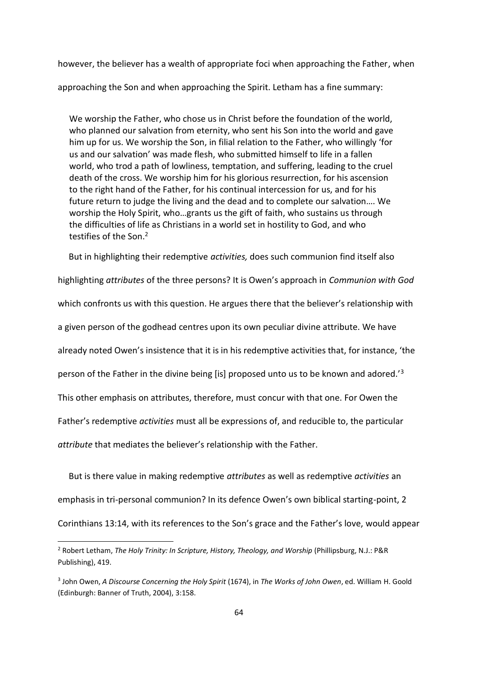however, the believer has a wealth of appropriate foci when approaching the Father, when

approaching the Son and when approaching the Spirit. Letham has a fine summary:

We worship the Father, who chose us in Christ before the foundation of the world, who planned our salvation from eternity, who sent his Son into the world and gave him up for us. We worship the Son, in filial relation to the Father, who willingly 'for us and our salvation' was made flesh, who submitted himself to life in a fallen world, who trod a path of lowliness, temptation, and suffering, leading to the cruel death of the cross. We worship him for his glorious resurrection, for his ascension to the right hand of the Father, for his continual intercession for us, and for his future return to judge the living and the dead and to complete our salvation…. We worship the Holy Spirit, who…grants us the gift of faith, who sustains us through the difficulties of life as Christians in a world set in hostility to God, and who testifies of the Son.<sup>2</sup>

But in highlighting their redemptive *activities,* does such communion find itself also

highlighting *attributes* of the three persons? It is Owen's approach in *Communion with God* which confronts us with this question. He argues there that the believer's relationship with a given person of the godhead centres upon its own peculiar divine attribute. We have already noted Owen's insistence that it is in his redemptive activities that, for instance, 'the person of the Father in the divine being [is] proposed unto us to be known and adored.'<sup>3</sup> This other emphasis on attributes, therefore, must concur with that one. For Owen the Father's redemptive *activities* must all be expressions of, and reducible to, the particular *attribute* that mediates the believer's relationship with the Father.

 But is there value in making redemptive *attributes* as well as redemptive *activities* an emphasis in tri-personal communion? In its defence Owen's own biblical starting-point, 2 Corinthians 13:14, with its references to the Son's grace and the Father's love, would appear

<sup>2</sup> Robert Letham, *The Holy Trinity: In Scripture, History, Theology, and Worship* (Phillipsburg, N.J.: P&R Publishing), 419.

<sup>3</sup> John Owen, *A Discourse Concerning the Holy Spirit* (1674), in *The Works of John Owen*, ed. William H. Goold (Edinburgh: Banner of Truth, 2004), 3:158.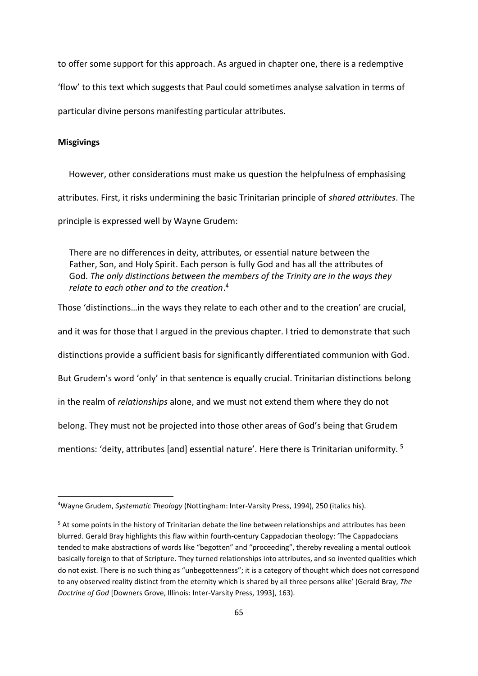to offer some support for this approach. As argued in chapter one, there is a redemptive 'flow' to this text which suggests that Paul could sometimes analyse salvation in terms of particular divine persons manifesting particular attributes.

### **Misgivings**

1

 However, other considerations must make us question the helpfulness of emphasising attributes. First, it risks undermining the basic Trinitarian principle of *shared attributes*. The principle is expressed well by Wayne Grudem:

There are no differences in deity, attributes, or essential nature between the Father, Son, and Holy Spirit. Each person is fully God and has all the attributes of God. *The only distinctions between the members of the Trinity are in the ways they relate to each other and to the creation*. 4

Those 'distinctions…in the ways they relate to each other and to the creation' are crucial, and it was for those that I argued in the previous chapter. I tried to demonstrate that such distinctions provide a sufficient basis for significantly differentiated communion with God. But Grudem's word 'only' in that sentence is equally crucial. Trinitarian distinctions belong in the realm of *relationships* alone, and we must not extend them where they do not belong. They must not be projected into those other areas of God's being that Grudem mentions: 'deity, attributes [and] essential nature'. Here there is Trinitarian uniformity. <sup>5</sup>

<sup>4</sup>Wayne Grudem, *Systematic Theology* (Nottingham: Inter-Varsity Press, 1994), 250 (italics his).

<sup>&</sup>lt;sup>5</sup> At some points in the history of Trinitarian debate the line between relationships and attributes has been blurred. Gerald Bray highlights this flaw within fourth-century Cappadocian theology: 'The Cappadocians tended to make abstractions of words like "begotten" and "proceeding", thereby revealing a mental outlook basically foreign to that of Scripture. They turned relationships into attributes, and so invented qualities which do not exist. There is no such thing as "unbegottenness"; it is a category of thought which does not correspond to any observed reality distinct from the eternity which is shared by all three persons alike' (Gerald Bray, *The Doctrine of God* [Downers Grove, Illinois: Inter-Varsity Press, 1993], 163).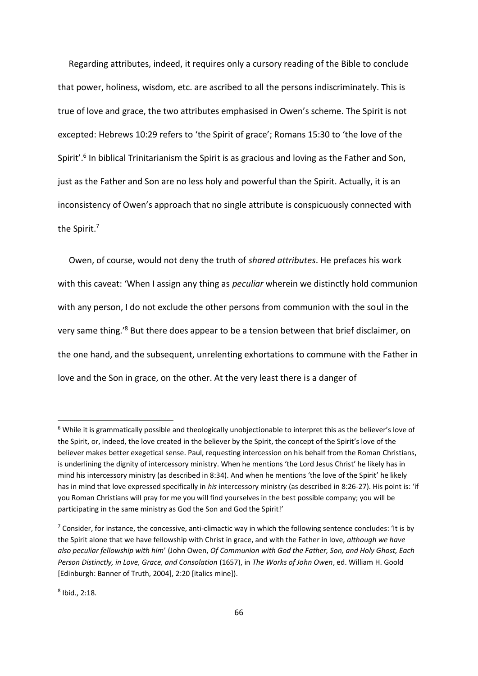Regarding attributes, indeed, it requires only a cursory reading of the Bible to conclude that power, holiness, wisdom, etc. are ascribed to all the persons indiscriminately. This is true of love and grace, the two attributes emphasised in Owen's scheme. The Spirit is not excepted: Hebrews 10:29 refers to 'the Spirit of grace'; Romans 15:30 to 'the love of the Spirit'.<sup>6</sup> In biblical Trinitarianism the Spirit is as gracious and loving as the Father and Son, just as the Father and Son are no less holy and powerful than the Spirit. Actually, it is an inconsistency of Owen's approach that no single attribute is conspicuously connected with the Spirit.<sup>7</sup>

 Owen, of course, would not deny the truth of *shared attributes*. He prefaces his work with this caveat: 'When I assign any thing as *peculiar* wherein we distinctly hold communion with any person, I do not exclude the other persons from communion with the soul in the very same thing.'<sup>8</sup> But there does appear to be a tension between that brief disclaimer, on the one hand, and the subsequent, unrelenting exhortations to commune with the Father in love and the Son in grace, on the other. At the very least there is a danger of

<sup>6</sup> While it is grammatically possible and theologically unobjectionable to interpret this as the believer's love of the Spirit, or, indeed, the love created in the believer by the Spirit, the concept of the Spirit's love of the believer makes better exegetical sense. Paul, requesting intercession on his behalf from the Roman Christians, is underlining the dignity of intercessory ministry. When he mentions 'the Lord Jesus Christ' he likely has in mind his intercessory ministry (as described in 8:34). And when he mentions 'the love of the Spirit' he likely has in mind that love expressed specifically in *his* intercessory ministry (as described in 8:26-27). His point is: 'if you Roman Christians will pray for me you will find yourselves in the best possible company; you will be participating in the same ministry as God the Son and God the Spirit!'

 $7$  Consider, for instance, the concessive, anti-climactic way in which the following sentence concludes: 'It is by the Spirit alone that we have fellowship with Christ in grace, and with the Father in love, *although we have also peculiar fellowship with him*' (John Owen, *Of Communion with God the Father, Son, and Holy Ghost, Each Person Distinctly, in Love, Grace, and Consolation* (1657), in *The Works of John Owen*, ed. William H. Goold [Edinburgh: Banner of Truth, 2004], 2:20 [italics mine]).

<sup>8</sup> Ibid., 2:18.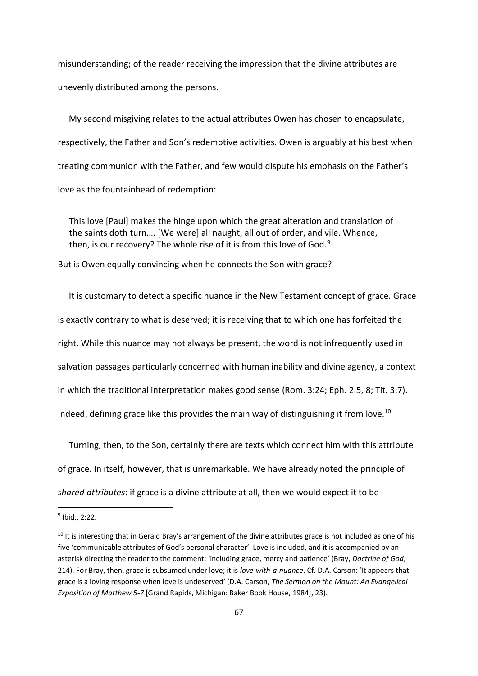misunderstanding; of the reader receiving the impression that the divine attributes are unevenly distributed among the persons.

 My second misgiving relates to the actual attributes Owen has chosen to encapsulate, respectively, the Father and Son's redemptive activities. Owen is arguably at his best when treating communion with the Father, and few would dispute his emphasis on the Father's love as the fountainhead of redemption:

This love [Paul] makes the hinge upon which the great alteration and translation of the saints doth turn…. [We were] all naught, all out of order, and vile. Whence, then, is our recovery? The whole rise of it is from this love of God.<sup>9</sup>

But is Owen equally convincing when he connects the Son with grace?

 It is customary to detect a specific nuance in the New Testament concept of grace. Grace is exactly contrary to what is deserved; it is receiving that to which one has forfeited the right. While this nuance may not always be present, the word is not infrequently used in salvation passages particularly concerned with human inability and divine agency, a context in which the traditional interpretation makes good sense (Rom. 3:24; Eph. 2:5, 8; Tit. 3:7). Indeed, defining grace like this provides the main way of distinguishing it from love.<sup>10</sup>

 Turning, then, to the Son, certainly there are texts which connect him with this attribute of grace. In itself, however, that is unremarkable. We have already noted the principle of *shared attributes*: if grace is a divine attribute at all, then we would expect it to be

<sup>&</sup>lt;sup>9</sup> Ibid., 2:22.

 $10$  It is interesting that in Gerald Bray's arrangement of the divine attributes grace is not included as one of his five 'communicable attributes of God's personal character'. Love is included, and it is accompanied by an asterisk directing the reader to the comment: 'including grace, mercy and patience' (Bray, *Doctrine of God*, 214). For Bray, then, grace is subsumed under love; it is *love-with-a-nuance*. Cf. D.A. Carson: 'It appears that grace is a loving response when love is undeserved' (D.A. Carson, *The Sermon on the Mount: An Evangelical Exposition of Matthew 5-7* [Grand Rapids, Michigan: Baker Book House, 1984], 23).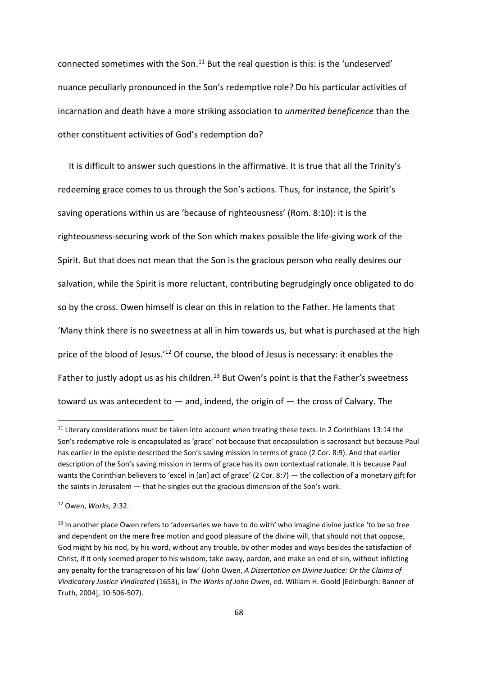connected sometimes with the Son.<sup>11</sup> But the real question is this: is the 'undeserved' nuance peculiarly pronounced in the Son's redemptive role? Do his particular activities of incarnation and death have a more striking association to *unmerited beneficence* than the other constituent activities of God's redemption do?

 It is difficult to answer such questions in the affirmative. It is true that all the Trinity's redeeming grace comes to us through the Son's actions. Thus, for instance, the Spirit's saving operations within us are 'because of righteousness' (Rom. 8:10): it is the righteousness-securing work of the Son which makes possible the life-giving work of the Spirit. But that does not mean that the Son is the gracious person who really desires our salvation, while the Spirit is more reluctant, contributing begrudgingly once obligated to do so by the cross. Owen himself is clear on this in relation to the Father. He laments that 'Many think there is no sweetness at all in him towards us, but what is purchased at the high price of the blood of Jesus.'<sup>12</sup> Of course, the blood of Jesus is necessary: it enables the Father to justly adopt us as his children.<sup>13</sup> But Owen's point is that the Father's sweetness toward us was antecedent to  $-$  and, indeed, the origin of  $-$  the cross of Calvary. The

 $11$  Literary considerations must be taken into account when treating these texts. In 2 Corinthians 13:14 the Son's redemptive role is encapsulated as 'grace' not because that encapsulation is sacrosanct but because Paul has earlier in the epistle described the Son's saving mission in terms of grace (2 Cor. 8:9). And that earlier description of the Son's saving mission in terms of grace has its own contextual rationale. It is because Paul wants the Corinthian believers to 'excel in [an] act of grace' (2 Cor. 8:7) — the collection of a monetary gift for the saints in Jerusalem — that he singles out the gracious dimension of the Son's work.

<sup>12</sup> Owen, *Works*, 2:32.

<sup>&</sup>lt;sup>13</sup> In another place Owen refers to 'adversaries we have to do with' who imagine divine justice 'to be so free and dependent on the mere free motion and good pleasure of the divine will, that should not that oppose, God might by his nod, by his word, without any trouble, by other modes and ways besides the satisfaction of Christ, if it only seemed proper to his wisdom, take away, pardon, and make an end of sin, without inflicting any penalty for the transgression of his law' (John Owen, *A Dissertation on Divine Justice: Or the Claims of Vindicatory Justice Vindicated* (1653), in *The Works of John Owen*, ed. William H. Goold [Edinburgh: Banner of Truth, 2004], 10:506-507).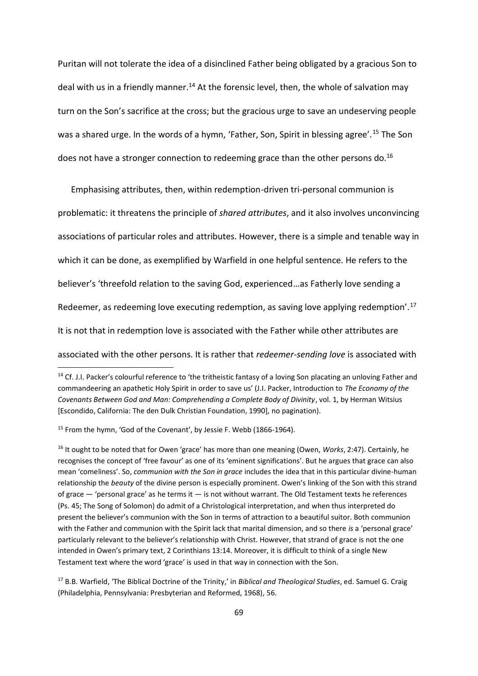Puritan will not tolerate the idea of a disinclined Father being obligated by a gracious Son to deal with us in a friendly manner.<sup>14</sup> At the forensic level, then, the whole of salvation may turn on the Son's sacrifice at the cross; but the gracious urge to save an undeserving people was a shared urge. In the words of a hymn, 'Father, Son, Spirit in blessing agree'.<sup>15</sup> The Son does not have a stronger connection to redeeming grace than the other persons do.<sup>16</sup>

Emphasising attributes, then, within redemption-driven tri-personal communion is problematic: it threatens the principle of *shared attributes*, and it also involves unconvincing associations of particular roles and attributes. However, there is a simple and tenable way in which it can be done, as exemplified by Warfield in one helpful sentence. He refers to the believer's 'threefold relation to the saving God, experienced…as Fatherly love sending a Redeemer, as redeeming love executing redemption, as saving love applying redemption'.<sup>17</sup> It is not that in redemption love is associated with the Father while other attributes are

associated with the other persons. It is rather that *redeemer-sending love* is associated with

<sup>&</sup>lt;sup>14</sup> Cf. J.I. Packer's colourful reference to 'the tritheistic fantasy of a loving Son placating an unloving Father and commandeering an apathetic Holy Spirit in order to save us' (J.I. Packer, Introduction to *The Economy of the Covenants Between God and Man: Comprehending a Complete Body of Divinity*, vol. 1, by Herman Witsius [Escondido, California: The den Dulk Christian Foundation, 1990], no pagination).

<sup>&</sup>lt;sup>15</sup> From the hymn, 'God of the Covenant', by Jessie F. Webb (1866-1964).

<sup>16</sup> It ought to be noted that for Owen 'grace' has more than one meaning (Owen, *Works*, 2:47). Certainly, he recognises the concept of 'free favour' as one of its 'eminent significations'. But he argues that grace can also mean 'comeliness'. So, *communion with the Son in grace* includes the idea that in this particular divine-human relationship the *beauty* of the divine person is especially prominent. Owen's linking of the Son with this strand of grace — 'personal grace' as he terms it — is not without warrant. The Old Testament texts he references (Ps. 45; The Song of Solomon) do admit of a Christological interpretation, and when thus interpreted do present the believer's communion with the Son in terms of attraction to a beautiful suitor. Both communion with the Father and communion with the Spirit lack that marital dimension, and so there *is* a 'personal grace' particularly relevant to the believer's relationship with Christ. However, that strand of grace is not the one intended in Owen's primary text, 2 Corinthians 13:14. Moreover, it is difficult to think of a single New Testament text where the word 'grace' is used in that way in connection with the Son.

<sup>17</sup> B.B. Warfield, 'The Biblical Doctrine of the Trinity,' in *Biblical and Theological Studies*, ed. Samuel G. Craig (Philadelphia, Pennsylvania: Presbyterian and Reformed, 1968), 56.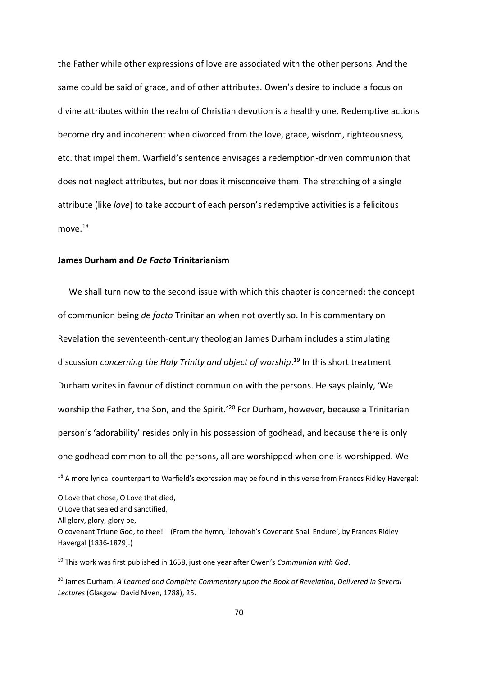the Father while other expressions of love are associated with the other persons. And the same could be said of grace, and of other attributes. Owen's desire to include a focus on divine attributes within the realm of Christian devotion is a healthy one. Redemptive actions become dry and incoherent when divorced from the love, grace, wisdom, righteousness, etc. that impel them. Warfield's sentence envisages a redemption-driven communion that does not neglect attributes, but nor does it misconceive them. The stretching of a single attribute (like *love*) to take account of each person's redemptive activities is a felicitous move.<sup>18</sup>

# **James Durham and** *De Facto* **Trinitarianism**

 We shall turn now to the second issue with which this chapter is concerned: the concept of communion being *de facto* Trinitarian when not overtly so. In his commentary on Revelation the seventeenth-century theologian James Durham includes a stimulating discussion *concerning the Holy Trinity and object of worship*. <sup>19</sup> In this short treatment Durham writes in favour of distinct communion with the persons. He says plainly, 'We worship the Father, the Son, and the Spirit.<sup>'20</sup> For Durham, however, because a Trinitarian person's 'adorability' resides only in his possession of godhead, and because there is only one godhead common to all the persons, all are worshipped when one is worshipped. We 1

<sup>19</sup> This work was first published in 1658, just one year after Owen's *Communion with God*.

<sup>&</sup>lt;sup>18</sup> A more lyrical counterpart to Warfield's expression may be found in this verse from Frances Ridley Havergal:

O Love that chose, O Love that died,

O Love that sealed and sanctified,

All glory, glory, glory be,

O covenant Triune God, to thee! (From the hymn, 'Jehovah's Covenant Shall Endure', by Frances Ridley Havergal [1836-1879].)

<sup>&</sup>lt;sup>20</sup> James Durham, *A Learned and Complete Commentary upon the Book of Revelation, Delivered in Several Lectures* (Glasgow: David Niven, 1788), 25.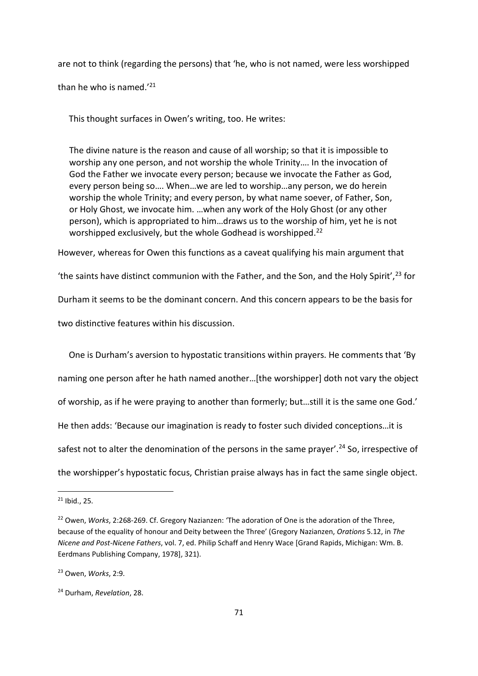are not to think (regarding the persons) that 'he, who is not named, were less worshipped

than he who is named.'<sup>21</sup>

This thought surfaces in Owen's writing, too. He writes:

The divine nature is the reason and cause of all worship; so that it is impossible to worship any one person, and not worship the whole Trinity…. In the invocation of God the Father we invocate every person; because we invocate the Father as God, every person being so…. When…we are led to worship…any person, we do herein worship the whole Trinity; and every person, by what name soever, of Father, Son, or Holy Ghost, we invocate him. …when any work of the Holy Ghost (or any other person), which is appropriated to him…draws us to the worship of him, yet he is not worshipped exclusively, but the whole Godhead is worshipped.<sup>22</sup>

However, whereas for Owen this functions as a caveat qualifying his main argument that

'the saints have distinct communion with the Father, and the Son, and the Holy Spirit',  $^{23}$  for

Durham it seems to be the dominant concern. And this concern appears to be the basis for

two distinctive features within his discussion.

 One is Durham's aversion to hypostatic transitions within prayers. He comments that 'By naming one person after he hath named another…[the worshipper] doth not vary the object of worship, as if he were praying to another than formerly; but…still it is the same one God.' He then adds: 'Because our imagination is ready to foster such divided conceptions…it is safest not to alter the denomination of the persons in the same prayer'.<sup>24</sup> So, irrespective of the worshipper's hypostatic focus, Christian praise always has in fact the same single object.

 $^{21}$  Ibid., 25.

<sup>22</sup> Owen, *Works*, 2:268-269. Cf. Gregory Nazianzen: 'The adoration of One is the adoration of the Three, because of the equality of honour and Deity between the Three' (Gregory Nazianzen, *Orations* 5.12, in *The Nicene and Post-Nicene Fathers*, vol. 7, ed. Philip Schaff and Henry Wace [Grand Rapids, Michigan: Wm. B. Eerdmans Publishing Company, 1978], 321).

<sup>23</sup> Owen, *Works*, 2:9.

<sup>24</sup> Durham, *Revelation*, 28.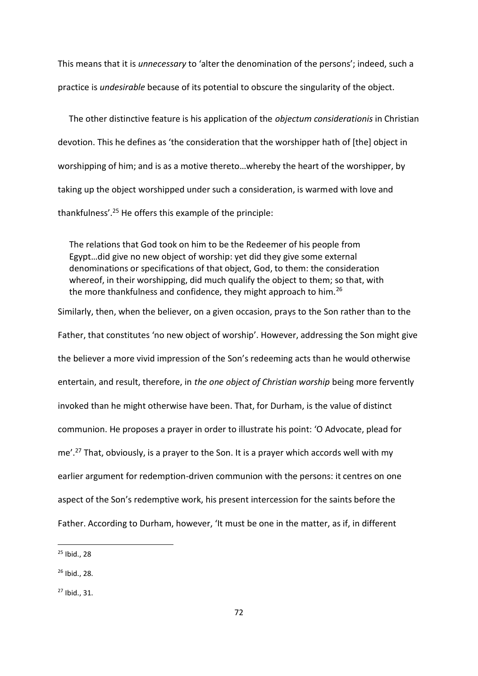This means that it is *unnecessary* to 'alter the denomination of the persons'; indeed, such a practice is *undesirable* because of its potential to obscure the singularity of the object.

 The other distinctive feature is his application of the *objectum considerationis* in Christian devotion. This he defines as 'the consideration that the worshipper hath of [the] object in worshipping of him; and is as a motive thereto…whereby the heart of the worshipper, by taking up the object worshipped under such a consideration, is warmed with love and thankfulness'.<sup>25</sup> He offers this example of the principle:

The relations that God took on him to be the Redeemer of his people from Egypt…did give no new object of worship: yet did they give some external denominations or specifications of that object, God, to them: the consideration whereof, in their worshipping, did much qualify the object to them; so that, with the more thankfulness and confidence, they might approach to him.<sup>26</sup>

Similarly, then, when the believer, on a given occasion, prays to the Son rather than to the Father, that constitutes 'no new object of worship'. However, addressing the Son might give the believer a more vivid impression of the Son's redeeming acts than he would otherwise entertain, and result, therefore, in *the one object of Christian worship* being more fervently invoked than he might otherwise have been. That, for Durham, is the value of distinct communion. He proposes a prayer in order to illustrate his point: 'O Advocate, plead for me'.<sup>27</sup> That, obviously, is a prayer to the Son. It is a prayer which accords well with my earlier argument for redemption-driven communion with the persons: it centres on one aspect of the Son's redemptive work, his present intercession for the saints before the Father. According to Durham, however, 'It must be one in the matter, as if, in different

<sup>25</sup> Ibid., 28

<sup>26</sup> Ibid., 28.

<sup>27</sup> Ibid., 31.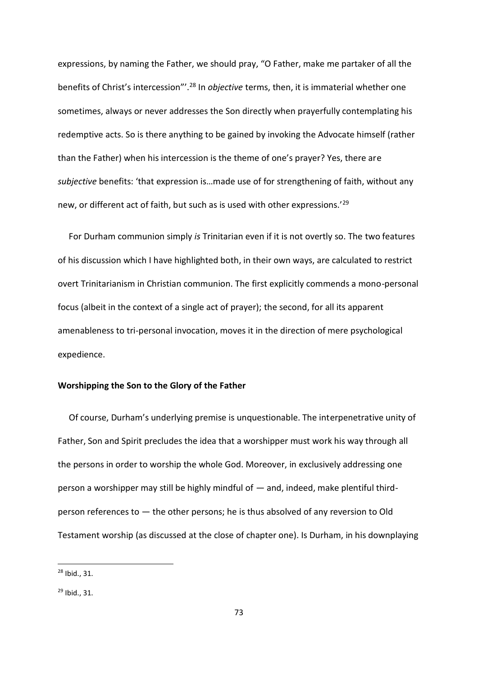expressions, by naming the Father, we should pray, "O Father, make me partaker of all the benefits of Christ's intercession"'.<sup>28</sup> In *objective* terms, then, it is immaterial whether one sometimes, always or never addresses the Son directly when prayerfully contemplating his redemptive acts. So is there anything to be gained by invoking the Advocate himself (rather than the Father) when his intercession is the theme of one's prayer? Yes, there are *subjective* benefits: 'that expression is…made use of for strengthening of faith, without any new, or different act of faith, but such as is used with other expressions.'<sup>29</sup>

 For Durham communion simply *is* Trinitarian even if it is not overtly so. The two features of his discussion which I have highlighted both, in their own ways, are calculated to restrict overt Trinitarianism in Christian communion. The first explicitly commends a mono-personal focus (albeit in the context of a single act of prayer); the second, for all its apparent amenableness to tri-personal invocation, moves it in the direction of mere psychological expedience.

# **Worshipping the Son to the Glory of the Father**

 Of course, Durham's underlying premise is unquestionable. The interpenetrative unity of Father, Son and Spirit precludes the idea that a worshipper must work his way through all the persons in order to worship the whole God. Moreover, in exclusively addressing one person a worshipper may still be highly mindful of — and, indeed, make plentiful thirdperson references to — the other persons; he is thus absolved of any reversion to Old Testament worship (as discussed at the close of chapter one). Is Durham, in his downplaying

.

<sup>28</sup> Ibid., 31.

<sup>29</sup> Ibid., 31.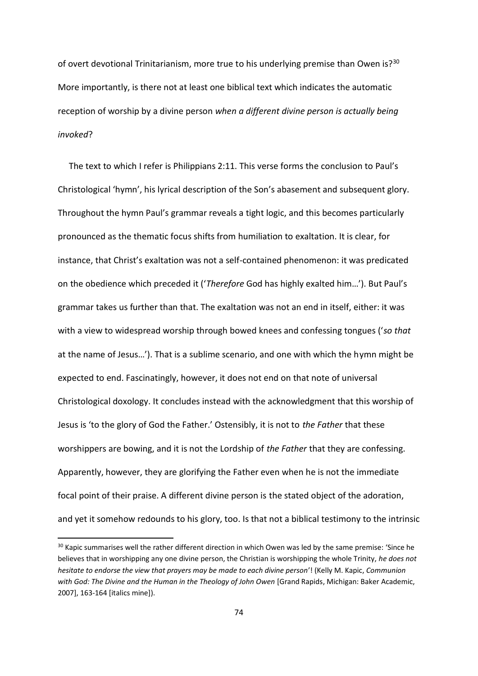of overt devotional Trinitarianism, more true to his underlying premise than Owen is?<sup>30</sup> More importantly, is there not at least one biblical text which indicates the automatic reception of worship by a divine person *when a different divine person is actually being invoked*?

 The text to which I refer is Philippians 2:11. This verse forms the conclusion to Paul's Christological 'hymn', his lyrical description of the Son's abasement and subsequent glory. Throughout the hymn Paul's grammar reveals a tight logic, and this becomes particularly pronounced as the thematic focus shifts from humiliation to exaltation. It is clear, for instance, that Christ's exaltation was not a self-contained phenomenon: it was predicated on the obedience which preceded it ('*Therefore* God has highly exalted him…'). But Paul's grammar takes us further than that. The exaltation was not an end in itself, either: it was with a view to widespread worship through bowed knees and confessing tongues ('*so that* at the name of Jesus…'). That is a sublime scenario, and one with which the hymn might be expected to end. Fascinatingly, however, it does not end on that note of universal Christological doxology. It concludes instead with the acknowledgment that this worship of Jesus is 'to the glory of God the Father.' Ostensibly, it is not to *the Father* that these worshippers are bowing, and it is not the Lordship of *the Father* that they are confessing. Apparently, however, they are glorifying the Father even when he is not the immediate focal point of their praise. A different divine person is the stated object of the adoration, and yet it somehow redounds to his glory, too. Is that not a biblical testimony to the intrinsic

<sup>&</sup>lt;sup>30</sup> Kapic summarises well the rather different direction in which Owen was led by the same premise: 'Since he believes that in worshipping any one divine person, the Christian is worshipping the whole Trinity, *he does not hesitate to endorse the view that prayers may be made to each divine person*'! (Kelly M. Kapic, *Communion with God: The Divine and the Human in the Theology of John Owen* [Grand Rapids, Michigan: Baker Academic, 2007], 163-164 [italics mine]).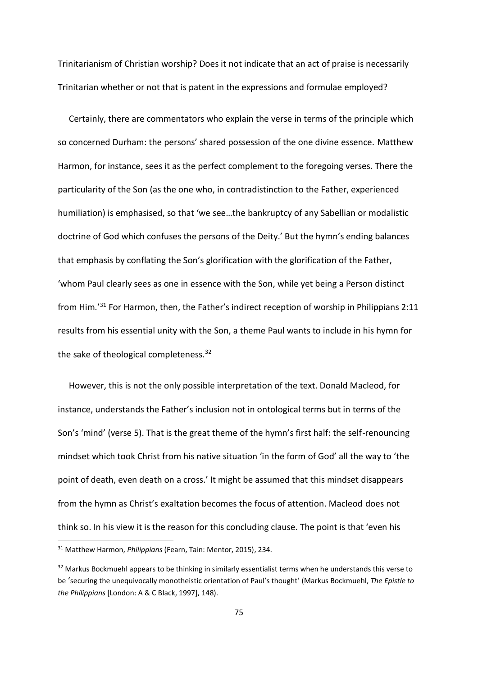Trinitarianism of Christian worship? Does it not indicate that an act of praise is necessarily Trinitarian whether or not that is patent in the expressions and formulae employed?

 Certainly, there are commentators who explain the verse in terms of the principle which so concerned Durham: the persons' shared possession of the one divine essence. Matthew Harmon, for instance, sees it as the perfect complement to the foregoing verses. There the particularity of the Son (as the one who, in contradistinction to the Father, experienced humiliation) is emphasised, so that 'we see…the bankruptcy of any Sabellian or modalistic doctrine of God which confuses the persons of the Deity.' But the hymn's ending balances that emphasis by conflating the Son's glorification with the glorification of the Father, 'whom Paul clearly sees as one in essence with the Son, while yet being a Person distinct from Him*.*' <sup>31</sup> For Harmon, then, the Father's indirect reception of worship in Philippians 2:11 results from his essential unity with the Son, a theme Paul wants to include in his hymn for the sake of theological completeness.<sup>32</sup>

 However, this is not the only possible interpretation of the text. Donald Macleod, for instance, understands the Father's inclusion not in ontological terms but in terms of the Son's 'mind' (verse 5). That is the great theme of the hymn's first half: the self-renouncing mindset which took Christ from his native situation 'in the form of God' all the way to 'the point of death, even death on a cross.' It might be assumed that this mindset disappears from the hymn as Christ's exaltation becomes the focus of attention. Macleod does not think so. In his view it is the reason for this concluding clause. The point is that 'even his .

<sup>31</sup> Matthew Harmon, *Philippians* (Fearn, Tain: Mentor, 2015), 234.

<sup>&</sup>lt;sup>32</sup> Markus Bockmuehl appears to be thinking in similarly essentialist terms when he understands this verse to be 'securing the unequivocally monotheistic orientation of Paul's thought' (Markus Bockmuehl, *The Epistle to the Philippians* [London: A & C Black, 1997], 148).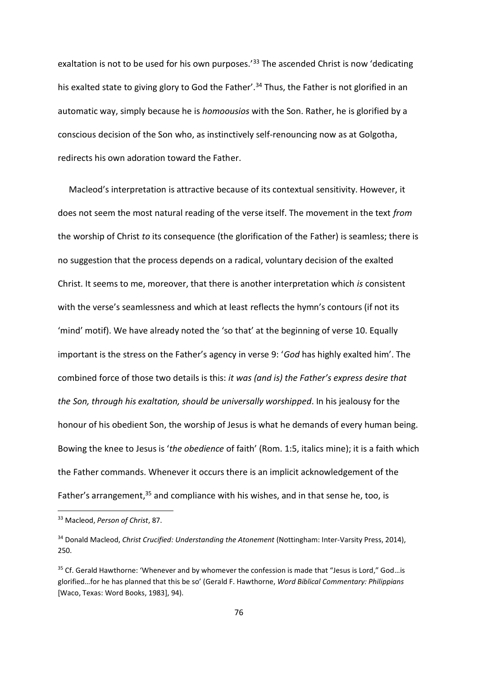exaltation is not to be used for his own purposes.<sup>'33</sup> The ascended Christ is now 'dedicating his exalted state to giving glory to God the Father'.<sup>34</sup> Thus, the Father is not glorified in an automatic way, simply because he is *homoousios* with the Son. Rather, he is glorified by a conscious decision of the Son who, as instinctively self-renouncing now as at Golgotha, redirects his own adoration toward the Father.

 Macleod's interpretation is attractive because of its contextual sensitivity. However, it does not seem the most natural reading of the verse itself. The movement in the text *from* the worship of Christ *to* its consequence (the glorification of the Father) is seamless; there is no suggestion that the process depends on a radical, voluntary decision of the exalted Christ. It seems to me, moreover, that there is another interpretation which *is* consistent with the verse's seamlessness and which at least reflects the hymn's contours (if not its 'mind' motif). We have already noted the 'so that' at the beginning of verse 10. Equally important is the stress on the Father's agency in verse 9: '*God* has highly exalted him'. The combined force of those two details is this: *it was (and is) the Father's express desire that the Son, through his exaltation, should be universally worshipped*. In his jealousy for the honour of his obedient Son, the worship of Jesus is what he demands of every human being. Bowing the knee to Jesus is '*the obedience* of faith' (Rom. 1:5, italics mine); it is a faith which the Father commands. Whenever it occurs there is an implicit acknowledgement of the Father's arrangement,<sup>35</sup> and compliance with his wishes, and in that sense he, too, is

<sup>33</sup> Macleod, *Person of Christ*, 87.

<sup>34</sup> Donald Macleod, *Christ Crucified: Understanding the Atonement* (Nottingham: Inter-Varsity Press, 2014), 250.

<sup>&</sup>lt;sup>35</sup> Cf. Gerald Hawthorne: 'Whenever and by whomever the confession is made that "Jesus is Lord," God... is glorified…for he has planned that this be so' (Gerald F. Hawthorne, *Word Biblical Commentary: Philippians* [Waco, Texas: Word Books, 1983], 94).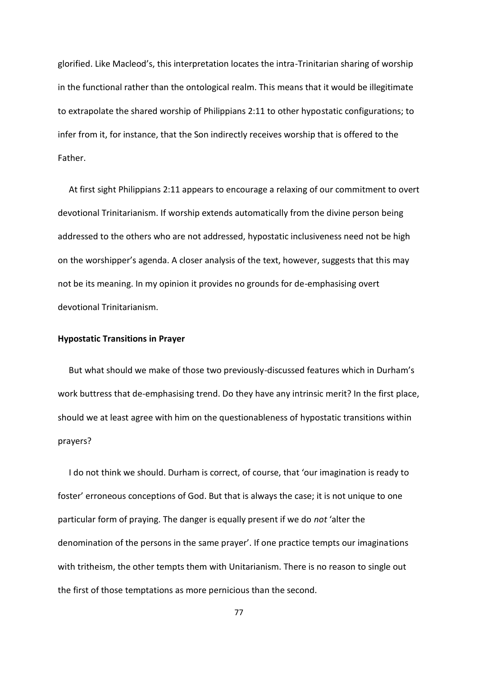glorified. Like Macleod's, this interpretation locates the intra-Trinitarian sharing of worship in the functional rather than the ontological realm. This means that it would be illegitimate to extrapolate the shared worship of Philippians 2:11 to other hypostatic configurations; to infer from it, for instance, that the Son indirectly receives worship that is offered to the Father.

 At first sight Philippians 2:11 appears to encourage a relaxing of our commitment to overt devotional Trinitarianism. If worship extends automatically from the divine person being addressed to the others who are not addressed, hypostatic inclusiveness need not be high on the worshipper's agenda. A closer analysis of the text, however, suggests that this may not be its meaning. In my opinion it provides no grounds for de-emphasising overt devotional Trinitarianism.

# **Hypostatic Transitions in Prayer**

 But what should we make of those two previously-discussed features which in Durham's work buttress that de-emphasising trend. Do they have any intrinsic merit? In the first place, should we at least agree with him on the questionableness of hypostatic transitions within prayers?

 I do not think we should. Durham is correct, of course, that 'our imagination is ready to foster' erroneous conceptions of God. But that is always the case; it is not unique to one particular form of praying. The danger is equally present if we do *not* 'alter the denomination of the persons in the same prayer'. If one practice tempts our imaginations with tritheism, the other tempts them with Unitarianism. There is no reason to single out the first of those temptations as more pernicious than the second.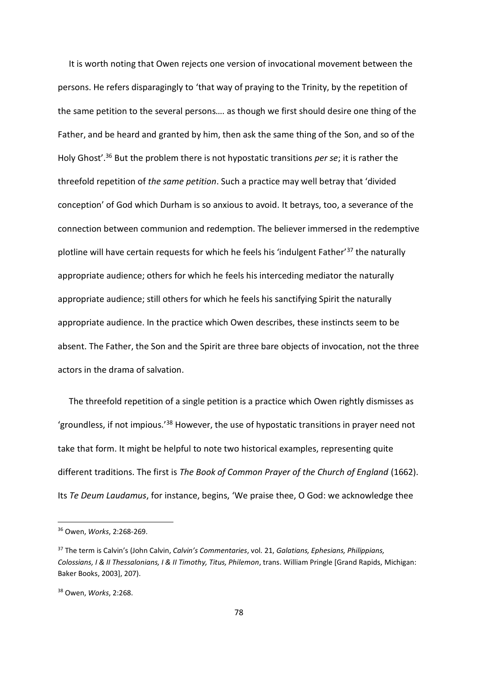It is worth noting that Owen rejects one version of invocational movement between the persons. He refers disparagingly to 'that way of praying to the Trinity, by the repetition of the same petition to the several persons…. as though we first should desire one thing of the Father, and be heard and granted by him, then ask the same thing of the Son, and so of the Holy Ghost'.<sup>36</sup> But the problem there is not hypostatic transitions *per se*; it is rather the threefold repetition of *the same petition*. Such a practice may well betray that 'divided conception' of God which Durham is so anxious to avoid. It betrays, too, a severance of the connection between communion and redemption. The believer immersed in the redemptive plotline will have certain requests for which he feels his 'indulgent Father'<sup>37</sup> the naturally appropriate audience; others for which he feels his interceding mediator the naturally appropriate audience; still others for which he feels his sanctifying Spirit the naturally appropriate audience. In the practice which Owen describes, these instincts seem to be absent. The Father, the Son and the Spirit are three bare objects of invocation, not the three actors in the drama of salvation.

 The threefold repetition of a single petition is a practice which Owen rightly dismisses as 'groundless, if not impious.'<sup>38</sup> However, the use of hypostatic transitions in prayer need not take that form. It might be helpful to note two historical examples, representing quite different traditions. The first is *The Book of Common Prayer of the Church of England* (1662). Its *Te Deum Laudamus*, for instance, begins, 'We praise thee, O God: we acknowledge thee

<sup>36</sup> Owen, *Works*, 2:268-269.

<sup>37</sup> The term is Calvin's (John Calvin, *Calvin's Commentaries*, vol. 21, *Galatians, Ephesians, Philippians, Colossians, I & II Thessalonians, I & II Timothy, Titus, Philemon*, trans. William Pringle [Grand Rapids, Michigan: Baker Books, 2003], 207).

<sup>38</sup> Owen, *Works*, 2:268.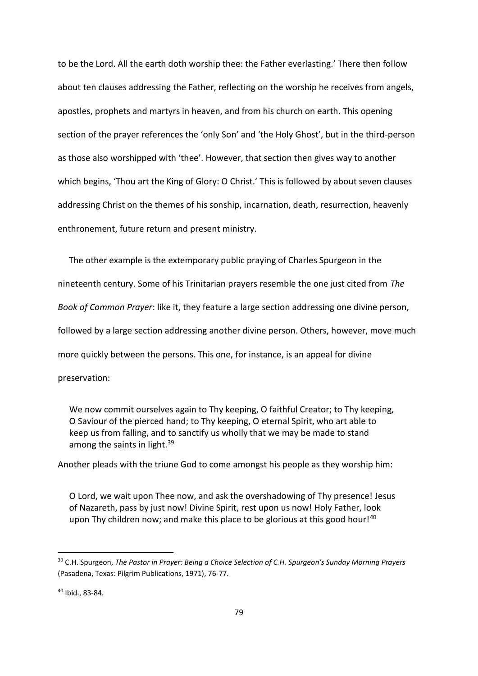to be the Lord. All the earth doth worship thee: the Father everlasting.' There then follow about ten clauses addressing the Father, reflecting on the worship he receives from angels, apostles, prophets and martyrs in heaven, and from his church on earth. This opening section of the prayer references the 'only Son' and 'the Holy Ghost', but in the third-person as those also worshipped with 'thee'. However, that section then gives way to another which begins, 'Thou art the King of Glory: O Christ.' This is followed by about seven clauses addressing Christ on the themes of his sonship, incarnation, death, resurrection, heavenly enthronement, future return and present ministry.

The other example is the extemporary public praying of Charles Spurgeon in the

nineteenth century. Some of his Trinitarian prayers resemble the one just cited from *The* 

*Book of Common Prayer*: like it, they feature a large section addressing one divine person,

followed by a large section addressing another divine person. Others, however, move much

more quickly between the persons. This one, for instance, is an appeal for divine

preservation:

We now commit ourselves again to Thy keeping, O faithful Creator; to Thy keeping, O Saviour of the pierced hand; to Thy keeping, O eternal Spirit, who art able to keep us from falling, and to sanctify us wholly that we may be made to stand among the saints in light.<sup>39</sup>

Another pleads with the triune God to come amongst his people as they worship him:

O Lord, we wait upon Thee now, and ask the overshadowing of Thy presence! Jesus of Nazareth, pass by just now! Divine Spirit, rest upon us now! Holy Father, look upon Thy children now; and make this place to be glorious at this good hour!<sup>40</sup>

<sup>39</sup> C.H. Spurgeon, *The Pastor in Prayer: Being a Choice Selection of C.H. Spurgeon's Sunday Morning Prayers* (Pasadena, Texas: Pilgrim Publications, 1971), 76-77.

<sup>40</sup> Ibid., 83-84.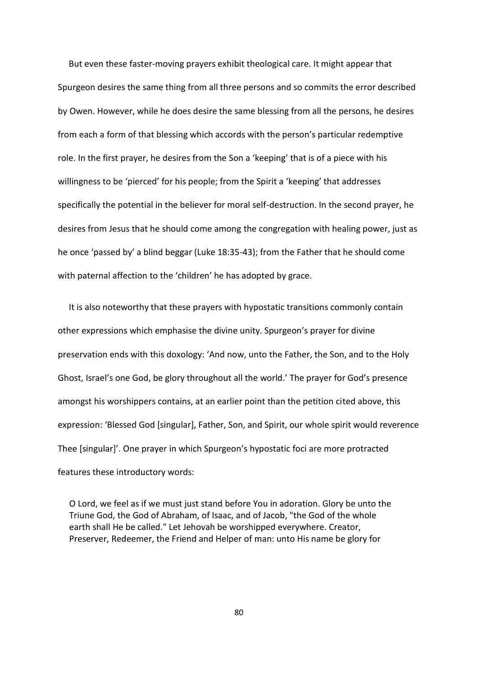But even these faster-moving prayers exhibit theological care. It might appear that Spurgeon desires the same thing from all three persons and so commits the error described by Owen. However, while he does desire the same blessing from all the persons, he desires from each a form of that blessing which accords with the person's particular redemptive role. In the first prayer, he desires from the Son a 'keeping' that is of a piece with his willingness to be 'pierced' for his people; from the Spirit a 'keeping' that addresses specifically the potential in the believer for moral self-destruction. In the second prayer, he desires from Jesus that he should come among the congregation with healing power, just as he once 'passed by' a blind beggar (Luke 18:35-43); from the Father that he should come with paternal affection to the 'children' he has adopted by grace.

 It is also noteworthy that these prayers with hypostatic transitions commonly contain other expressions which emphasise the divine unity. Spurgeon's prayer for divine preservation ends with this doxology: 'And now, unto the Father, the Son, and to the Holy Ghost, Israel's one God, be glory throughout all the world.' The prayer for God's presence amongst his worshippers contains, at an earlier point than the petition cited above, this expression: 'Blessed God [singular], Father, Son, and Spirit, our whole spirit would reverence Thee [singular]'. One prayer in which Spurgeon's hypostatic foci are more protracted features these introductory words:

O Lord, we feel as if we must just stand before You in adoration. Glory be unto the Triune God, the God of Abraham, of Isaac, and of Jacob, "the God of the whole earth shall He be called." Let Jehovah be worshipped everywhere. Creator, Preserver, Redeemer, the Friend and Helper of man: unto His name be glory for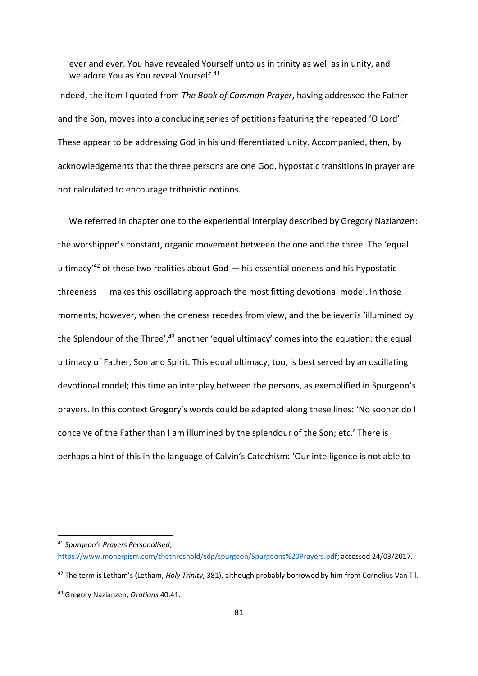ever and ever. You have revealed Yourself unto us in trinity as well as in unity, and we adore You as You reveal Yourself.<sup>41</sup>

Indeed, the item I quoted from *The Book of Common Prayer*, having addressed the Father and the Son, moves into a concluding series of petitions featuring the repeated 'O Lord'. These appear to be addressing God in his undifferentiated unity. Accompanied, then, by acknowledgements that the three persons are one God, hypostatic transitions in prayer are not calculated to encourage tritheistic notions.

 We referred in chapter one to the experiential interplay described by Gregory Nazianzen: the worshipper's constant, organic movement between the one and the three. The 'equal ultimacy<sup> $42$ </sup> of these two realities about God  $-$  his essential oneness and his hypostatic threeness — makes this oscillating approach the most fitting devotional model. In those moments, however, when the oneness recedes from view, and the believer is 'illumined by the Splendour of the Three',<sup>43</sup> another 'equal ultimacy' comes into the equation: the equal ultimacy of Father, Son and Spirit. This equal ultimacy, too, is best served by an oscillating devotional model; this time an interplay between the persons, as exemplified in Spurgeon's prayers. In this context Gregory's words could be adapted along these lines: 'No sooner do I conceive of the Father than I am illumined by the splendour of the Son; etc.' There is perhaps a hint of this in the language of Calvin's Catechism: 'Our intelligence is not able to

<sup>41</sup> *Spurgeon's Prayers Personalised*,

[https://www.monergism.com/thethreshold/sdg/spurgeon/Spurgeons%20Prayers.pdf;](https://www.monergism.com/thethreshold/sdg/spurgeon/Spurgeons%20Prayers.pdf) accessed 24/03/2017.

<sup>42</sup> The term is Letham's (Letham, *Holy Trinity*, 381), although probably borrowed by him from Cornelius Van Til.

<sup>43</sup> Gregory Nazianzen, *Orations* 40.41.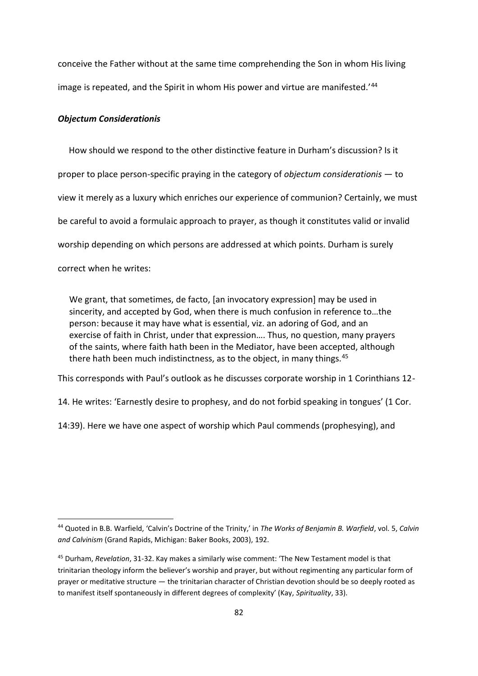conceive the Father without at the same time comprehending the Son in whom His living image is repeated, and the Spirit in whom His power and virtue are manifested.'<sup>44</sup>

### *Objectum Considerationis*

1

 How should we respond to the other distinctive feature in Durham's discussion? Is it proper to place person-specific praying in the category of *objectum considerationis* — to view it merely as a luxury which enriches our experience of communion? Certainly, we must be careful to avoid a formulaic approach to prayer, as though it constitutes valid or invalid worship depending on which persons are addressed at which points. Durham is surely correct when he writes:

We grant, that sometimes, de facto, [an invocatory expression] may be used in sincerity, and accepted by God, when there is much confusion in reference to…the person: because it may have what is essential, viz. an adoring of God, and an exercise of faith in Christ, under that expression…. Thus, no question, many prayers of the saints, where faith hath been in the Mediator, have been accepted, although there hath been much indistinctness, as to the object, in many things.<sup>45</sup>

This corresponds with Paul's outlook as he discusses corporate worship in 1 Corinthians 12-

14. He writes: 'Earnestly desire to prophesy, and do not forbid speaking in tongues' (1 Cor.

14:39). Here we have one aspect of worship which Paul commends (prophesying), and

<sup>44</sup> Quoted in B.B. Warfield, 'Calvin's Doctrine of the Trinity,' in *The Works of Benjamin B. Warfield*, vol. 5, *Calvin and Calvinism* (Grand Rapids, Michigan: Baker Books, 2003), 192.

<sup>45</sup> Durham, *Revelation*, 31-32. Kay makes a similarly wise comment: 'The New Testament model is that trinitarian theology inform the believer's worship and prayer, but without regimenting any particular form of prayer or meditative structure — the trinitarian character of Christian devotion should be so deeply rooted as to manifest itself spontaneously in different degrees of complexity' (Kay, *Spirituality*, 33).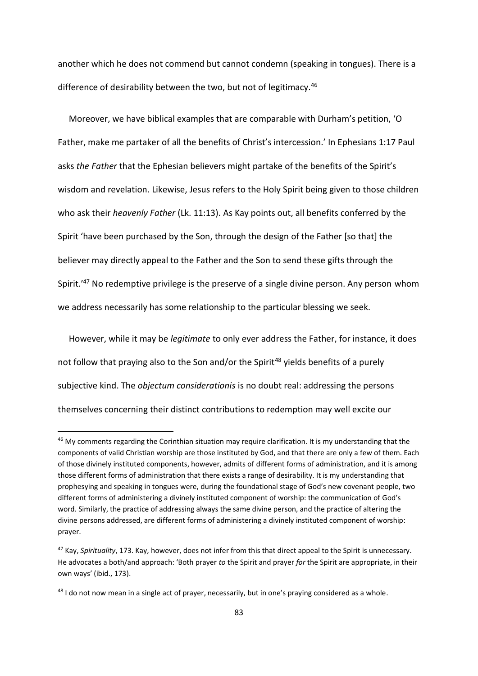another which he does not commend but cannot condemn (speaking in tongues). There is a difference of desirability between the two, but not of legitimacy.<sup>46</sup>

 Moreover, we have biblical examples that are comparable with Durham's petition, 'O Father, make me partaker of all the benefits of Christ's intercession.' In Ephesians 1:17 Paul asks *the Father* that the Ephesian believers might partake of the benefits of the Spirit's wisdom and revelation. Likewise, Jesus refers to the Holy Spirit being given to those children who ask their *heavenly Father* (Lk. 11:13). As Kay points out, all benefits conferred by the Spirit 'have been purchased by the Son, through the design of the Father [so that] the believer may directly appeal to the Father and the Son to send these gifts through the Spirit.<sup>'47</sup> No redemptive privilege is the preserve of a single divine person. Any person whom we address necessarily has some relationship to the particular blessing we seek.

 However, while it may be *legitimate* to only ever address the Father, for instance, it does not follow that praying also to the Son and/or the Spirit<sup>48</sup> yields benefits of a purely subjective kind. The *objectum considerationis* is no doubt real: addressing the persons themselves concerning their distinct contributions to redemption may well excite our

.

<sup>&</sup>lt;sup>46</sup> My comments regarding the Corinthian situation may require clarification. It is my understanding that the components of valid Christian worship are those instituted by God, and that there are only a few of them. Each of those divinely instituted components, however, admits of different forms of administration, and it is among those different forms of administration that there exists a range of desirability. It is my understanding that prophesying and speaking in tongues were, during the foundational stage of God's new covenant people, two different forms of administering a divinely instituted component of worship: the communication of God's word. Similarly, the practice of addressing always the same divine person, and the practice of altering the divine persons addressed, are different forms of administering a divinely instituted component of worship: prayer.

<sup>47</sup> Kay, *Spirituality*, 173. Kay, however, does not infer from this that direct appeal to the Spirit is unnecessary. He advocates a both/and approach: 'Both prayer *to* the Spirit and prayer *for* the Spirit are appropriate, in their own ways' (ibid., 173).

<sup>48</sup> I do not now mean in a single act of prayer, necessarily, but in one's praying considered as a whole.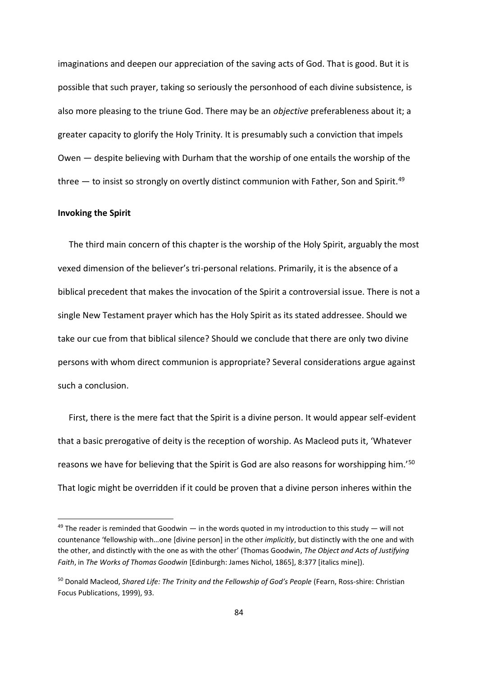imaginations and deepen our appreciation of the saving acts of God. That is good. But it is possible that such prayer, taking so seriously the personhood of each divine subsistence, is also more pleasing to the triune God. There may be an *objective* preferableness about it; a greater capacity to glorify the Holy Trinity. It is presumably such a conviction that impels Owen — despite believing with Durham that the worship of one entails the worship of the three  $-$  to insist so strongly on overtly distinct communion with Father, Son and Spirit.<sup>49</sup>

#### **Invoking the Spirit**

1

 The third main concern of this chapter is the worship of the Holy Spirit, arguably the most vexed dimension of the believer's tri-personal relations. Primarily, it is the absence of a biblical precedent that makes the invocation of the Spirit a controversial issue. There is not a single New Testament prayer which has the Holy Spirit as its stated addressee. Should we take our cue from that biblical silence? Should we conclude that there are only two divine persons with whom direct communion is appropriate? Several considerations argue against such a conclusion.

 First, there is the mere fact that the Spirit is a divine person. It would appear self-evident that a basic prerogative of deity is the reception of worship. As Macleod puts it, 'Whatever reasons we have for believing that the Spirit is God are also reasons for worshipping him.'<sup>50</sup> That logic might be overridden if it could be proven that a divine person inheres within the

 $49$  The reader is reminded that Goodwin  $-$  in the words quoted in my introduction to this study  $-$  will not countenance 'fellowship with…one [divine person] in the other *implicitly*, but distinctly with the one and with the other, and distinctly with the one as with the other' (Thomas Goodwin, *The Object and Acts of Justifying Faith*, in *The Works of Thomas Goodwin* [Edinburgh: James Nichol, 1865], 8:377 [italics mine]).

<sup>50</sup> Donald Macleod, *Shared Life: The Trinity and the Fellowship of God's People* (Fearn, Ross-shire: Christian Focus Publications, 1999), 93.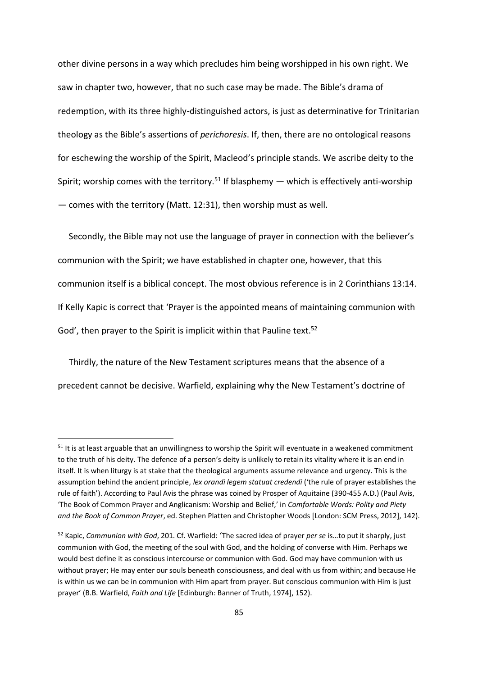other divine persons in a way which precludes him being worshipped in his own right. We saw in chapter two, however, that no such case may be made. The Bible's drama of redemption, with its three highly-distinguished actors, is just as determinative for Trinitarian theology as the Bible's assertions of *perichoresis*. If, then, there are no ontological reasons for eschewing the worship of the Spirit, Macleod's principle stands. We ascribe deity to the Spirit; worship comes with the territory.<sup>51</sup> If blasphemy — which is effectively anti-worship — comes with the territory (Matt. 12:31), then worship must as well.

 Secondly, the Bible may not use the language of prayer in connection with the believer's communion with the Spirit; we have established in chapter one, however, that this communion itself is a biblical concept. The most obvious reference is in 2 Corinthians 13:14. If Kelly Kapic is correct that 'Prayer is the appointed means of maintaining communion with God', then prayer to the Spirit is implicit within that Pauline text.<sup>52</sup>

 Thirdly, the nature of the New Testament scriptures means that the absence of a precedent cannot be decisive. Warfield, explaining why the New Testament's doctrine of

.

<sup>&</sup>lt;sup>51</sup> It is at least arguable that an unwillingness to worship the Spirit will eventuate in a weakened commitment to the truth of his deity. The defence of a person's deity is unlikely to retain its vitality where it is an end in itself. It is when liturgy is at stake that the theological arguments assume relevance and urgency. This is the assumption behind the ancient principle, *lex orandi legem statuat credendi* ('the rule of prayer establishes the rule of faith'). According to Paul Avis the phrase was coined by Prosper of Aquitaine (390-455 A.D.) (Paul Avis, 'The Book of Common Prayer and Anglicanism: Worship and Belief,' in *Comfortable Words: Polity and Piety and the Book of Common Prayer*, ed. Stephen Platten and Christopher Woods [London: SCM Press, 2012], 142).

<sup>52</sup> Kapic, *Communion with God*, 201. Cf. Warfield: 'The sacred idea of prayer *per se* is…to put it sharply, just communion with God, the meeting of the soul with God, and the holding of converse with Him. Perhaps we would best define it as conscious intercourse or communion with God. God may have communion with us without prayer; He may enter our souls beneath consciousness, and deal with us from within; and because He is within us we can be in communion with Him apart from prayer. But conscious communion with Him is just prayer' (B.B. Warfield, *Faith and Life* [Edinburgh: Banner of Truth, 1974], 152).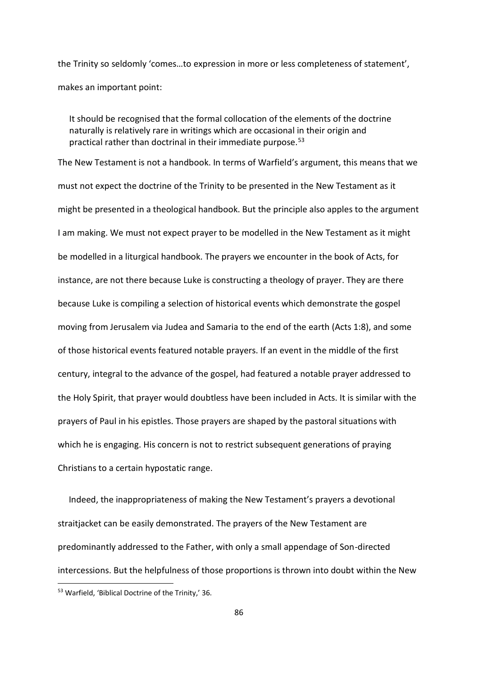the Trinity so seldomly 'comes…to expression in more or less completeness of statement', makes an important point:

It should be recognised that the formal collocation of the elements of the doctrine naturally is relatively rare in writings which are occasional in their origin and practical rather than doctrinal in their immediate purpose.<sup>53</sup>

The New Testament is not a handbook. In terms of Warfield's argument, this means that we must not expect the doctrine of the Trinity to be presented in the New Testament as it might be presented in a theological handbook. But the principle also apples to the argument I am making. We must not expect prayer to be modelled in the New Testament as it might be modelled in a liturgical handbook. The prayers we encounter in the book of Acts, for instance, are not there because Luke is constructing a theology of prayer. They are there because Luke is compiling a selection of historical events which demonstrate the gospel moving from Jerusalem via Judea and Samaria to the end of the earth (Acts 1:8), and some of those historical events featured notable prayers. If an event in the middle of the first century, integral to the advance of the gospel, had featured a notable prayer addressed to the Holy Spirit, that prayer would doubtless have been included in Acts. It is similar with the prayers of Paul in his epistles. Those prayers are shaped by the pastoral situations with which he is engaging. His concern is not to restrict subsequent generations of praying Christians to a certain hypostatic range.

 Indeed, the inappropriateness of making the New Testament's prayers a devotional straitjacket can be easily demonstrated. The prayers of the New Testament are predominantly addressed to the Father, with only a small appendage of Son-directed intercessions. But the helpfulness of those proportions is thrown into doubt within the New

.

<sup>53</sup> Warfield, 'Biblical Doctrine of the Trinity,' 36.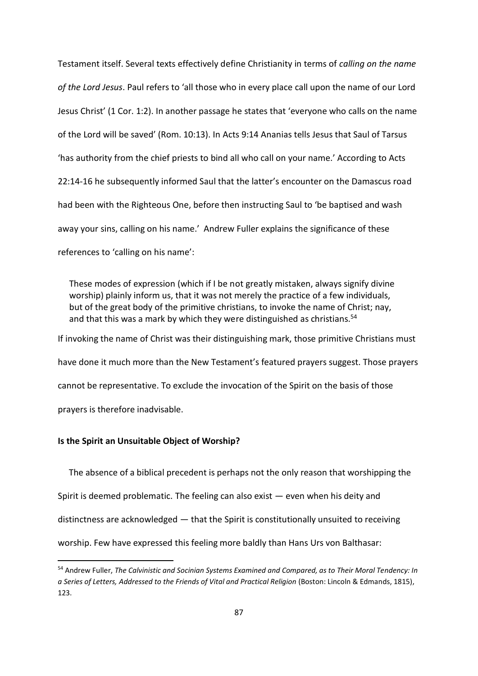Testament itself. Several texts effectively define Christianity in terms of *calling on the name of the Lord Jesus*. Paul refers to 'all those who in every place call upon the name of our Lord Jesus Christ' (1 Cor. 1:2). In another passage he states that 'everyone who calls on the name of the Lord will be saved' (Rom. 10:13). In Acts 9:14 Ananias tells Jesus that Saul of Tarsus 'has authority from the chief priests to bind all who call on your name.' According to Acts 22:14-16 he subsequently informed Saul that the latter's encounter on the Damascus road had been with the Righteous One, before then instructing Saul to 'be baptised and wash away your sins, calling on his name.' Andrew Fuller explains the significance of these references to 'calling on his name':

These modes of expression (which if I be not greatly mistaken, always signify divine worship) plainly inform us, that it was not merely the practice of a few individuals, but of the great body of the primitive christians, to invoke the name of Christ; nay, and that this was a mark by which they were distinguished as christians.<sup>54</sup>

If invoking the name of Christ was their distinguishing mark, those primitive Christians must have done it much more than the New Testament's featured prayers suggest. Those prayers cannot be representative. To exclude the invocation of the Spirit on the basis of those prayers is therefore inadvisable.

#### **Is the Spirit an Unsuitable Object of Worship?**

1

 The absence of a biblical precedent is perhaps not the only reason that worshipping the Spirit is deemed problematic. The feeling can also exist — even when his deity and distinctness are acknowledged — that the Spirit is constitutionally unsuited to receiving worship. Few have expressed this feeling more baldly than Hans Urs von Balthasar:

<sup>54</sup> Andrew Fuller, *The Calvinistic and Socinian Systems Examined and Compared, as to Their Moral Tendency: In a Series of Letters, Addressed to the Friends of Vital and Practical Religion* (Boston: Lincoln & Edmands, 1815), 123.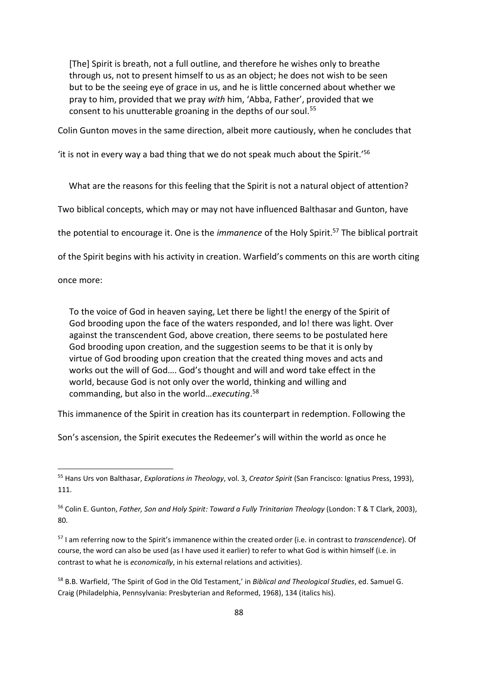[The] Spirit is breath, not a full outline, and therefore he wishes only to breathe through us, not to present himself to us as an object; he does not wish to be seen but to be the seeing eye of grace in us, and he is little concerned about whether we pray to him, provided that we pray *with* him, 'Abba, Father', provided that we consent to his unutterable groaning in the depths of our soul.<sup>55</sup>

Colin Gunton moves in the same direction, albeit more cautiously, when he concludes that

'it is not in every way a bad thing that we do not speak much about the Spirit.'<sup>56</sup>

What are the reasons for this feeling that the Spirit is not a natural object of attention?

Two biblical concepts, which may or may not have influenced Balthasar and Gunton, have

the potential to encourage it. One is the *immanence* of the Holy Spirit.<sup>57</sup> The biblical portrait

of the Spirit begins with his activity in creation. Warfield's comments on this are worth citing

once more:

1

To the voice of God in heaven saying, Let there be light! the energy of the Spirit of God brooding upon the face of the waters responded, and lo! there was light. Over against the transcendent God, above creation, there seems to be postulated here God brooding upon creation, and the suggestion seems to be that it is only by virtue of God brooding upon creation that the created thing moves and acts and works out the will of God…. God's thought and will and word take effect in the world, because God is not only over the world, thinking and willing and commanding, but also in the world…*executing*. 58

This immanence of the Spirit in creation has its counterpart in redemption. Following the

Son's ascension, the Spirit executes the Redeemer's will within the world as once he

<sup>57</sup> I am referring now to the Spirit's immanence within the created order (i.e. in contrast to *transcendence*). Of course, the word can also be used (as I have used it earlier) to refer to what God is within himself (i.e. in contrast to what he is *economically*, in his external relations and activities).

<sup>58</sup> B.B. Warfield, 'The Spirit of God in the Old Testament,' in *Biblical and Theological Studies*, ed. Samuel G. Craig (Philadelphia, Pennsylvania: Presbyterian and Reformed, 1968), 134 (italics his).

<sup>55</sup> Hans Urs von Balthasar, *Explorations in Theology*, vol. 3, *Creator Spirit* (San Francisco: Ignatius Press, 1993), 111.

<sup>56</sup> Colin E. Gunton, *Father, Son and Holy Spirit: Toward a Fully Trinitarian Theology* (London: T & T Clark, 2003), 80.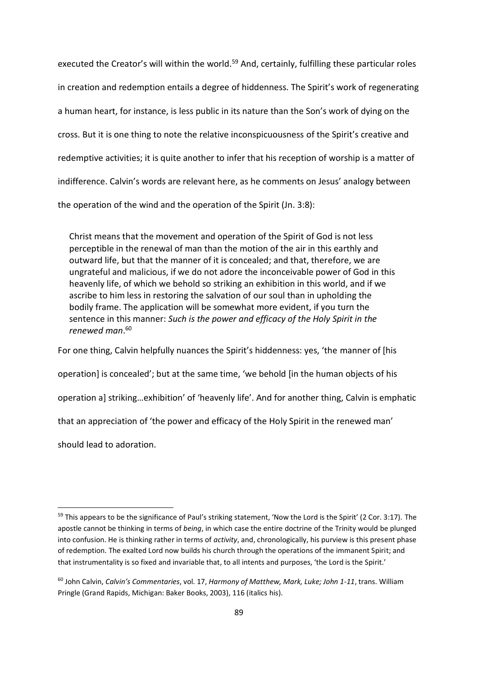executed the Creator's will within the world.<sup>59</sup> And, certainly, fulfilling these particular roles in creation and redemption entails a degree of hiddenness. The Spirit's work of regenerating a human heart, for instance, is less public in its nature than the Son's work of dying on the cross. But it is one thing to note the relative inconspicuousness of the Spirit's creative and redemptive activities; it is quite another to infer that his reception of worship is a matter of indifference. Calvin's words are relevant here, as he comments on Jesus' analogy between the operation of the wind and the operation of the Spirit (Jn. 3:8):

Christ means that the movement and operation of the Spirit of God is not less perceptible in the renewal of man than the motion of the air in this earthly and outward life, but that the manner of it is concealed; and that, therefore, we are ungrateful and malicious, if we do not adore the inconceivable power of God in this heavenly life, of which we behold so striking an exhibition in this world, and if we ascribe to him less in restoring the salvation of our soul than in upholding the bodily frame. The application will be somewhat more evident, if you turn the sentence in this manner: *Such is the power and efficacy of the Holy Spirit in the renewed man*. 60

For one thing, Calvin helpfully nuances the Spirit's hiddenness: yes, 'the manner of [his operation] is concealed'; but at the same time, 'we behold [in the human objects of his operation a] striking…exhibition' of 'heavenly life'. And for another thing, Calvin is emphatic that an appreciation of 'the power and efficacy of the Holy Spirit in the renewed man' should lead to adoration.

<sup>&</sup>lt;sup>59</sup> This appears to be the significance of Paul's striking statement, 'Now the Lord is the Spirit' (2 Cor. 3:17). The apostle cannot be thinking in terms of *being*, in which case the entire doctrine of the Trinity would be plunged into confusion. He is thinking rather in terms of *activity*, and, chronologically, his purview is this present phase of redemption. The exalted Lord now builds his church through the operations of the immanent Spirit; and that instrumentality is so fixed and invariable that, to all intents and purposes, 'the Lord is the Spirit.'

<sup>60</sup> John Calvin, *Calvin's Commentaries*, vol. 17, *Harmony of Matthew, Mark, Luke; John 1-11*, trans. William Pringle (Grand Rapids, Michigan: Baker Books, 2003), 116 (italics his).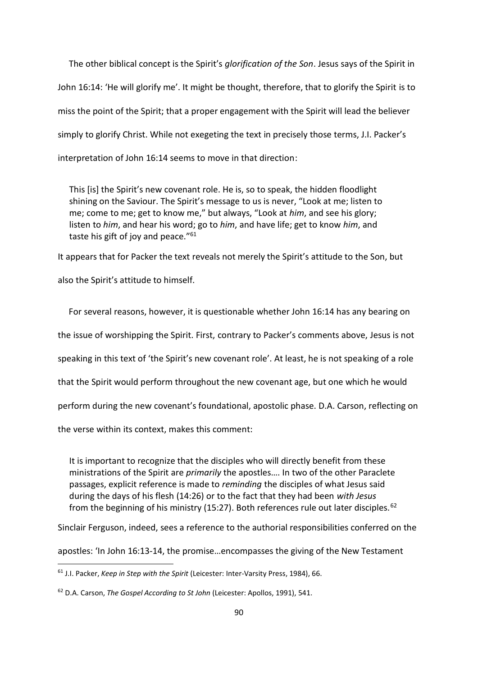The other biblical concept is the Spirit's *glorification of the Son*. Jesus says of the Spirit in John 16:14: 'He will glorify me'. It might be thought, therefore, that to glorify the Spirit is to miss the point of the Spirit; that a proper engagement with the Spirit will lead the believer simply to glorify Christ. While not exegeting the text in precisely those terms, J.I. Packer's interpretation of John 16:14 seems to move in that direction:

This [is] the Spirit's new covenant role. He is, so to speak, the hidden floodlight shining on the Saviour. The Spirit's message to us is never, "Look at me; listen to me; come to me; get to know me," but always, "Look at *him*, and see his glory; listen to *him*, and hear his word; go to *him*, and have life; get to know *him*, and taste his gift of joy and peace."<sup>61</sup>

It appears that for Packer the text reveals not merely the Spirit's attitude to the Son, but also the Spirit's attitude to himself.

 For several reasons, however, it is questionable whether John 16:14 has any bearing on the issue of worshipping the Spirit. First, contrary to Packer's comments above, Jesus is not speaking in this text of 'the Spirit's new covenant role'. At least, he is not speaking of a role that the Spirit would perform throughout the new covenant age, but one which he would perform during the new covenant's foundational, apostolic phase. D.A. Carson, reflecting on the verse within its context, makes this comment:

It is important to recognize that the disciples who will directly benefit from these ministrations of the Spirit are *primarily* the apostles…. In two of the other Paraclete passages, explicit reference is made to *reminding* the disciples of what Jesus said during the days of his flesh (14:26) or to the fact that they had been *with Jesus* from the beginning of his ministry (15:27). Both references rule out later disciples.  $62$ 

Sinclair Ferguson, indeed, sees a reference to the authorial responsibilities conferred on the

apostles: 'In John 16:13-14, the promise…encompasses the giving of the New Testament

.

<sup>61</sup> J.I. Packer, *Keep in Step with the Spirit* (Leicester: Inter-Varsity Press, 1984), 66.

<sup>62</sup> D.A. Carson, *The Gospel According to St John* (Leicester: Apollos, 1991), 541.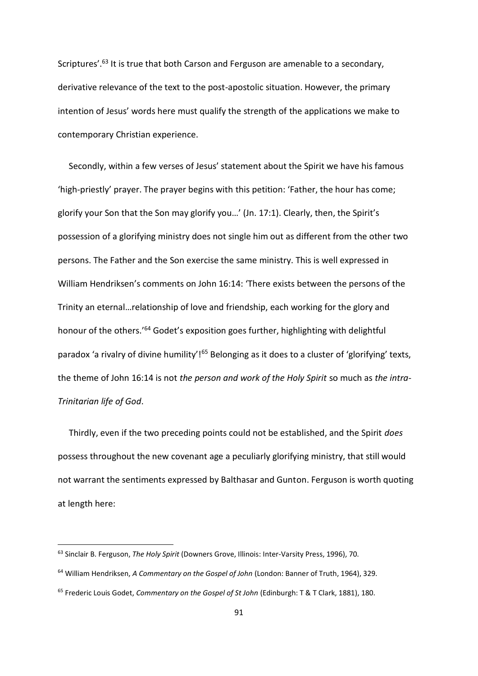Scriptures'.<sup>63</sup> It is true that both Carson and Ferguson are amenable to a secondary, derivative relevance of the text to the post-apostolic situation. However, the primary intention of Jesus' words here must qualify the strength of the applications we make to contemporary Christian experience.

 Secondly, within a few verses of Jesus' statement about the Spirit we have his famous 'high-priestly' prayer. The prayer begins with this petition: 'Father, the hour has come; glorify your Son that the Son may glorify you…' (Jn. 17:1). Clearly, then, the Spirit's possession of a glorifying ministry does not single him out as different from the other two persons. The Father and the Son exercise the same ministry. This is well expressed in William Hendriksen's comments on John 16:14: 'There exists between the persons of the Trinity an eternal…relationship of love and friendship, each working for the glory and honour of the others.<sup>'64</sup> Godet's exposition goes further, highlighting with delightful paradox 'a rivalry of divine humility'!<sup>65</sup> Belonging as it does to a cluster of 'glorifying' texts, the theme of John 16:14 is not *the person and work of the Holy Spirit* so much as *the intra-Trinitarian life of God*.

 Thirdly, even if the two preceding points could not be established, and the Spirit *does* possess throughout the new covenant age a peculiarly glorifying ministry, that still would not warrant the sentiments expressed by Balthasar and Gunton. Ferguson is worth quoting at length here:

<sup>63</sup> Sinclair B. Ferguson, *The Holy Spirit* (Downers Grove, Illinois: Inter-Varsity Press, 1996), 70.

<sup>64</sup> William Hendriksen, *A Commentary on the Gospel of John* (London: Banner of Truth, 1964), 329.

<sup>65</sup> Frederic Louis Godet, *Commentary on the Gospel of St John* (Edinburgh: T & T Clark, 1881), 180.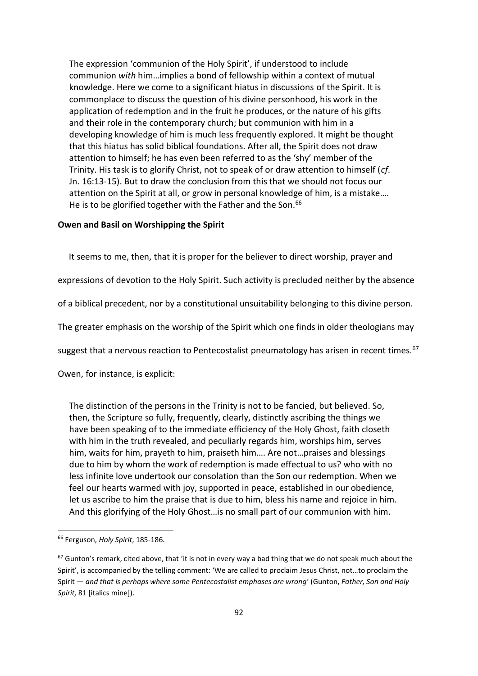The expression 'communion of the Holy Spirit', if understood to include communion *with* him…implies a bond of fellowship within a context of mutual knowledge. Here we come to a significant hiatus in discussions of the Spirit. It is commonplace to discuss the question of his divine personhood, his work in the application of redemption and in the fruit he produces, or the nature of his gifts and their role in the contemporary church; but communion with him in a developing knowledge of him is much less frequently explored. It might be thought that this hiatus has solid biblical foundations. After all, the Spirit does not draw attention to himself; he has even been referred to as the 'shy' member of the Trinity. His task is to glorify Christ, not to speak of or draw attention to himself (*cf*. Jn. 16:13-15). But to draw the conclusion from this that we should not focus our attention on the Spirit at all, or grow in personal knowledge of him, is a mistake…. He is to be glorified together with the Father and the Son.<sup>66</sup>

#### **Owen and Basil on Worshipping the Spirit**

 It seems to me, then, that it is proper for the believer to direct worship, prayer and expressions of devotion to the Holy Spirit. Such activity is precluded neither by the absence of a biblical precedent, nor by a constitutional unsuitability belonging to this divine person. The greater emphasis on the worship of the Spirit which one finds in older theologians may suggest that a nervous reaction to Pentecostalist pneumatology has arisen in recent times.<sup>67</sup>

Owen, for instance, is explicit:

The distinction of the persons in the Trinity is not to be fancied, but believed. So, then, the Scripture so fully, frequently, clearly, distinctly ascribing the things we have been speaking of to the immediate efficiency of the Holy Ghost, faith closeth with him in the truth revealed, and peculiarly regards him, worships him, serves him, waits for him, prayeth to him, praiseth him…. Are not…praises and blessings due to him by whom the work of redemption is made effectual to us? who with no less infinite love undertook our consolation than the Son our redemption. When we feel our hearts warmed with joy, supported in peace, established in our obedience, let us ascribe to him the praise that is due to him, bless his name and rejoice in him. And this glorifying of the Holy Ghost…is no small part of our communion with him.

<sup>66</sup> Ferguson, *Holy Spirit*, 185-186.

 $67$  Gunton's remark, cited above, that 'it is not in every way a bad thing that we do not speak much about the Spirit', is accompanied by the telling comment: 'We are called to proclaim Jesus Christ, not…to proclaim the Spirit — *and that is perhaps where some Pentecostalist emphases are wrong*' (Gunton, *Father, Son and Holy Spirit,* 81 [italics mine]).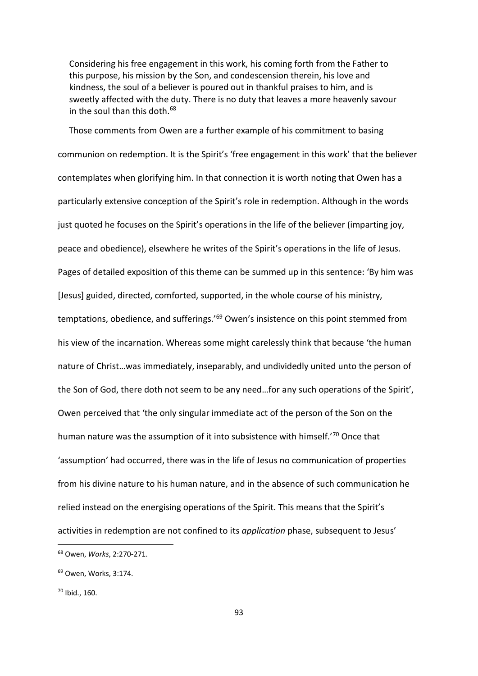Considering his free engagement in this work, his coming forth from the Father to this purpose, his mission by the Son, and condescension therein, his love and kindness, the soul of a believer is poured out in thankful praises to him, and is sweetly affected with the duty. There is no duty that leaves a more heavenly savour in the soul than this doth.<sup>68</sup>

 Those comments from Owen are a further example of his commitment to basing communion on redemption. It is the Spirit's 'free engagement in this work' that the believer contemplates when glorifying him. In that connection it is worth noting that Owen has a particularly extensive conception of the Spirit's role in redemption. Although in the words just quoted he focuses on the Spirit's operations in the life of the believer (imparting joy, peace and obedience), elsewhere he writes of the Spirit's operations in the life of Jesus. Pages of detailed exposition of this theme can be summed up in this sentence: 'By him was [Jesus] guided, directed, comforted, supported, in the whole course of his ministry, temptations, obedience, and sufferings.'<sup>69</sup> Owen's insistence on this point stemmed from his view of the incarnation. Whereas some might carelessly think that because 'the human nature of Christ…was immediately, inseparably, and undividedly united unto the person of the Son of God, there doth not seem to be any need…for any such operations of the Spirit', Owen perceived that 'the only singular immediate act of the person of the Son on the human nature was the assumption of it into subsistence with himself.<sup>'70</sup> Once that 'assumption' had occurred, there was in the life of Jesus no communication of properties from his divine nature to his human nature, and in the absence of such communication he relied instead on the energising operations of the Spirit. This means that the Spirit's activities in redemption are not confined to its *application* phase, subsequent to Jesus'

<sup>68</sup> Owen, *Works*, 2:270-271.

<sup>69</sup> Owen, Works, 3:174.

<sup>70</sup> Ibid., 160.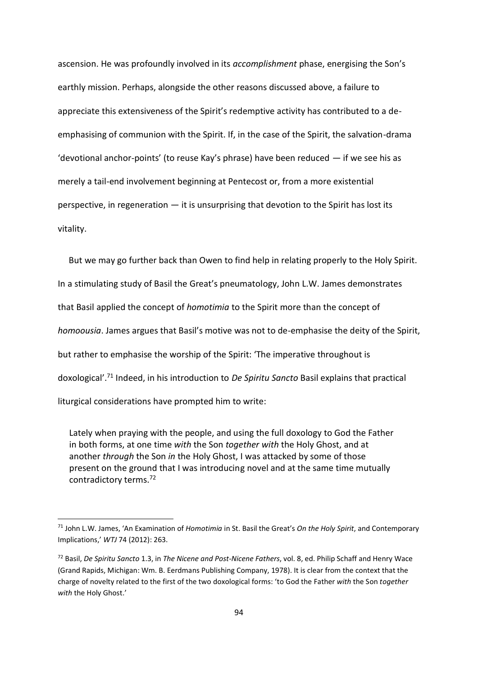ascension. He was profoundly involved in its *accomplishment* phase, energising the Son's earthly mission. Perhaps, alongside the other reasons discussed above, a failure to appreciate this extensiveness of the Spirit's redemptive activity has contributed to a deemphasising of communion with the Spirit. If, in the case of the Spirit, the salvation-drama 'devotional anchor-points' (to reuse Kay's phrase) have been reduced — if we see his as merely a tail-end involvement beginning at Pentecost or, from a more existential perspective, in regeneration — it is unsurprising that devotion to the Spirit has lost its vitality.

 But we may go further back than Owen to find help in relating properly to the Holy Spirit. In a stimulating study of Basil the Great's pneumatology, John L.W. James demonstrates that Basil applied the concept of *homotimia* to the Spirit more than the concept of *homoousia*. James argues that Basil's motive was not to de-emphasise the deity of the Spirit, but rather to emphasise the worship of the Spirit: 'The imperative throughout is doxological'.<sup>71</sup> Indeed, in his introduction to *De Spiritu Sancto* Basil explains that practical liturgical considerations have prompted him to write:

Lately when praying with the people, and using the full doxology to God the Father in both forms, at one time *with* the Son *together with* the Holy Ghost, and at another *through* the Son *in* the Holy Ghost, I was attacked by some of those present on the ground that I was introducing novel and at the same time mutually contradictory terms.<sup>72</sup>

<sup>71</sup> John L.W. James, 'An Examination of *Homotimia* in St. Basil the Great's *On the Holy Spirit*, and Contemporary Implications,' *WTJ* 74 (2012): 263.

<sup>72</sup> Basil, *De Spiritu Sancto* 1.3, in *The Nicene and Post-Nicene Fathers*, vol. 8, ed. Philip Schaff and Henry Wace (Grand Rapids, Michigan: Wm. B. Eerdmans Publishing Company, 1978). It is clear from the context that the charge of novelty related to the first of the two doxological forms: 'to God the Father *with* the Son *together with* the Holy Ghost.'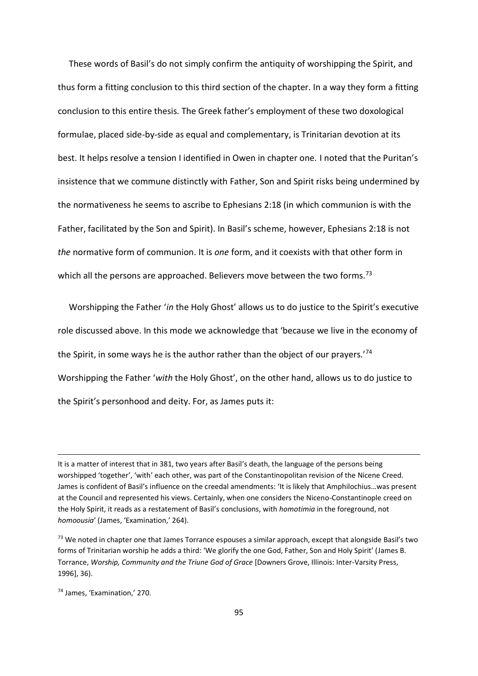These words of Basil's do not simply confirm the antiquity of worshipping the Spirit, and thus form a fitting conclusion to this third section of the chapter. In a way they form a fitting conclusion to this entire thesis. The Greek father's employment of these two doxological formulae, placed side-by-side as equal and complementary, is Trinitarian devotion at its best. It helps resolve a tension I identified in Owen in chapter one. I noted that the Puritan's insistence that we commune distinctly with Father, Son and Spirit risks being undermined by the normativeness he seems to ascribe to Ephesians 2:18 (in which communion is with the Father, facilitated by the Son and Spirit). In Basil's scheme, however, Ephesians 2:18 is not *the* normative form of communion. It is *one* form, and it coexists with that other form in which all the persons are approached. Believers move between the two forms.<sup>73</sup>

 Worshipping the Father '*in* the Holy Ghost' allows us to do justice to the Spirit's executive role discussed above. In this mode we acknowledge that 'because we live in the economy of the Spirit, in some ways he is the author rather than the object of our prayers.'<sup>74</sup> Worshipping the Father '*with* the Holy Ghost', on the other hand, allows us to do justice to the Spirit's personhood and deity. For, as James puts it:

It is a matter of interest that in 381, two years after Basil's death, the language of the persons being worshipped 'together', 'with' each other, was part of the Constantinopolitan revision of the Nicene Creed. James is confident of Basil's influence on the creedal amendments: 'It is likely that Amphilochius…was present at the Council and represented his views. Certainly, when one considers the Niceno-Constantinople creed on the Holy Spirit, it reads as a restatement of Basil's conclusions, with *homotimia* in the foreground, not *homoousia*' (James, 'Examination,' 264).

<sup>&</sup>lt;sup>73</sup> We noted in chapter one that James Torrance espouses a similar approach, except that alongside Basil's two forms of Trinitarian worship he adds a third: 'We glorify the one God, Father, Son and Holy Spirit' (James B. Torrance, *Worship, Community and the Triune God of Grace* [Downers Grove, Illinois: Inter-Varsity Press, 1996], 36).

<sup>74</sup> James, 'Examination,' 270.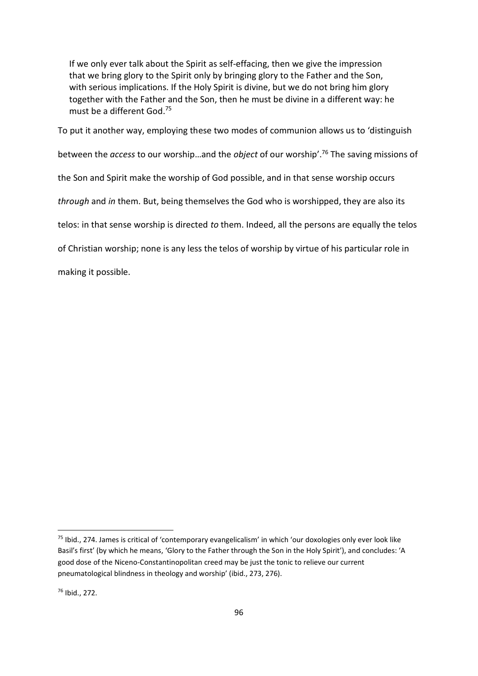If we only ever talk about the Spirit as self-effacing, then we give the impression that we bring glory to the Spirit only by bringing glory to the Father and the Son, with serious implications. If the Holy Spirit is divine, but we do not bring him glory together with the Father and the Son, then he must be divine in a different way: he must be a different God.<sup>75</sup>

To put it another way, employing these two modes of communion allows us to 'distinguish between the *access* to our worship…and the *object* of our worship'.<sup>76</sup> The saving missions of the Son and Spirit make the worship of God possible, and in that sense worship occurs *through* and *in* them. But, being themselves the God who is worshipped, they are also its telos: in that sense worship is directed *to* them. Indeed, all the persons are equally the telos of Christian worship; none is any less the telos of worship by virtue of his particular role in making it possible.

<sup>&</sup>lt;sup>75</sup> Ibid., 274. James is critical of 'contemporary evangelicalism' in which 'our doxologies only ever look like Basil's first' (by which he means, 'Glory to the Father through the Son in the Holy Spirit'), and concludes: 'A good dose of the Niceno-Constantinopolitan creed may be just the tonic to relieve our current pneumatological blindness in theology and worship' (ibid., 273, 276).

<sup>76</sup> Ibid., 272.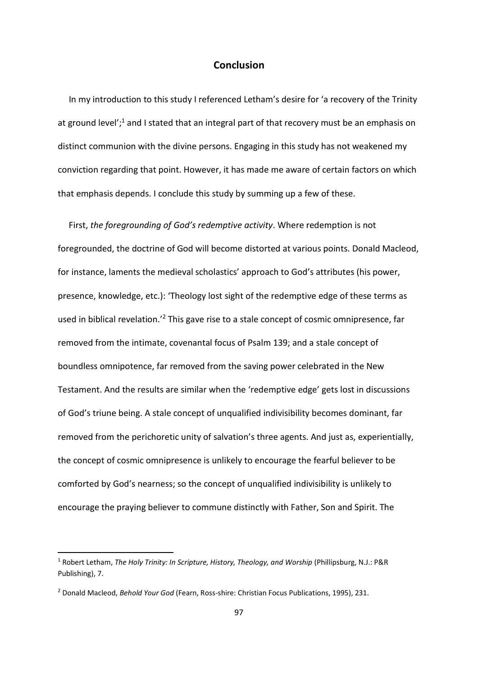# **Conclusion**

 In my introduction to this study I referenced Letham's desire for 'a recovery of the Trinity at ground level';<sup>1</sup> and I stated that an integral part of that recovery must be an emphasis on distinct communion with the divine persons. Engaging in this study has not weakened my conviction regarding that point. However, it has made me aware of certain factors on which that emphasis depends. I conclude this study by summing up a few of these.

 First, *the foregrounding of God's redemptive activity*. Where redemption is not foregrounded, the doctrine of God will become distorted at various points. Donald Macleod, for instance, laments the medieval scholastics' approach to God's attributes (his power, presence, knowledge, etc.): 'Theology lost sight of the redemptive edge of these terms as used in biblical revelation.'<sup>2</sup> This gave rise to a stale concept of cosmic omnipresence, far removed from the intimate, covenantal focus of Psalm 139; and a stale concept of boundless omnipotence, far removed from the saving power celebrated in the New Testament. And the results are similar when the 'redemptive edge' gets lost in discussions of God's triune being. A stale concept of unqualified indivisibility becomes dominant, far removed from the perichoretic unity of salvation's three agents. And just as, experientially, the concept of cosmic omnipresence is unlikely to encourage the fearful believer to be comforted by God's nearness; so the concept of unqualified indivisibility is unlikely to encourage the praying believer to commune distinctly with Father, Son and Spirit. The

<sup>1</sup> Robert Letham, *The Holy Trinity: In Scripture, History, Theology, and Worship* (Phillipsburg, N.J.: P&R Publishing), 7.

<sup>2</sup> Donald Macleod, *Behold Your God* (Fearn, Ross-shire: Christian Focus Publications, 1995), 231.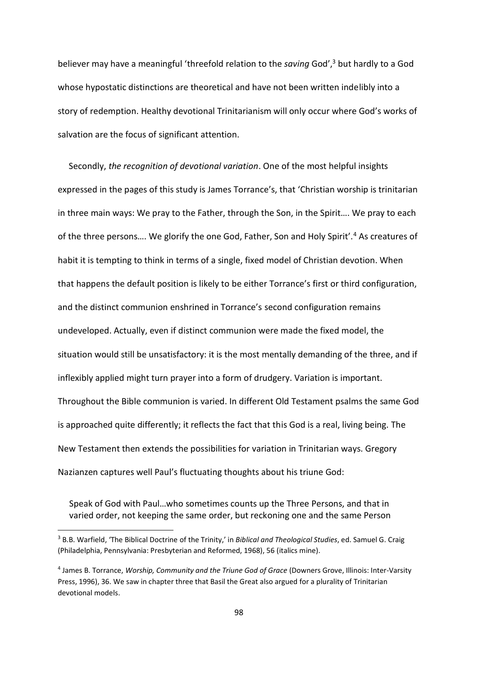believer may have a meaningful 'threefold relation to the *saving* God',<sup>3</sup> but hardly to a God whose hypostatic distinctions are theoretical and have not been written indelibly into a story of redemption. Healthy devotional Trinitarianism will only occur where God's works of salvation are the focus of significant attention.

 Secondly, *the recognition of devotional variation*. One of the most helpful insights expressed in the pages of this study is James Torrance's, that 'Christian worship is trinitarian in three main ways: We pray to the Father, through the Son, in the Spirit…. We pray to each of the three persons…. We glorify the one God, Father, Son and Holy Spirit'.<sup>4</sup> As creatures of habit it is tempting to think in terms of a single, fixed model of Christian devotion. When that happens the default position is likely to be either Torrance's first or third configuration, and the distinct communion enshrined in Torrance's second configuration remains undeveloped. Actually, even if distinct communion were made the fixed model, the situation would still be unsatisfactory: it is the most mentally demanding of the three, and if inflexibly applied might turn prayer into a form of drudgery. Variation is important. Throughout the Bible communion is varied. In different Old Testament psalms the same God is approached quite differently; it reflects the fact that this God is a real, living being. The New Testament then extends the possibilities for variation in Trinitarian ways. Gregory Nazianzen captures well Paul's fluctuating thoughts about his triune God:

Speak of God with Paul…who sometimes counts up the Three Persons, and that in varied order, not keeping the same order, but reckoning one and the same Person

<sup>3</sup> B.B. Warfield, 'The Biblical Doctrine of the Trinity,' in *Biblical and Theological Studies*, ed. Samuel G. Craig (Philadelphia, Pennsylvania: Presbyterian and Reformed, 1968), 56 (italics mine).

<sup>4</sup> James B. Torrance, *Worship, Community and the Triune God of Grace* (Downers Grove, Illinois: Inter-Varsity Press, 1996), 36. We saw in chapter three that Basil the Great also argued for a plurality of Trinitarian devotional models.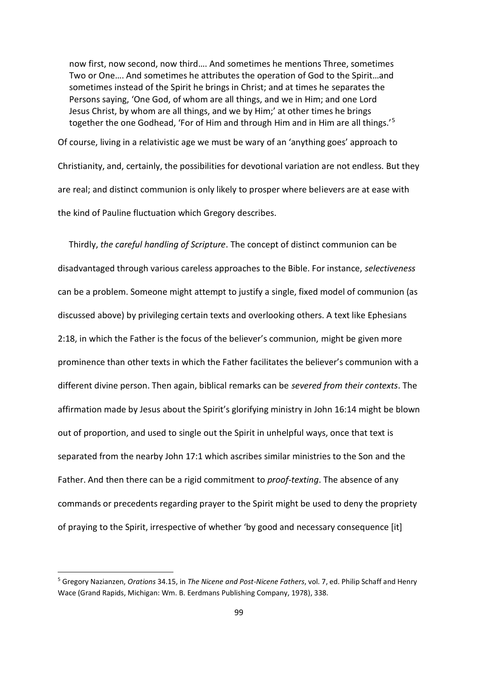now first, now second, now third…. And sometimes he mentions Three, sometimes Two or One…. And sometimes he attributes the operation of God to the Spirit…and sometimes instead of the Spirit he brings in Christ; and at times he separates the Persons saying, 'One God, of whom are all things, and we in Him; and one Lord Jesus Christ, by whom are all things, and we by Him;' at other times he brings together the one Godhead, 'For of Him and through Him and in Him are all things.'<sup>5</sup>

Of course, living in a relativistic age we must be wary of an 'anything goes' approach to Christianity, and, certainly, the possibilities for devotional variation are not endless. But they are real; and distinct communion is only likely to prosper where believers are at ease with the kind of Pauline fluctuation which Gregory describes.

 Thirdly, *the careful handling of Scripture*. The concept of distinct communion can be disadvantaged through various careless approaches to the Bible. For instance, *selectiveness* can be a problem. Someone might attempt to justify a single, fixed model of communion (as discussed above) by privileging certain texts and overlooking others. A text like Ephesians 2:18, in which the Father is the focus of the believer's communion, might be given more prominence than other texts in which the Father facilitates the believer's communion with a different divine person. Then again, biblical remarks can be *severed from their contexts*. The affirmation made by Jesus about the Spirit's glorifying ministry in John 16:14 might be blown out of proportion, and used to single out the Spirit in unhelpful ways, once that text is separated from the nearby John 17:1 which ascribes similar ministries to the Son and the Father. And then there can be a rigid commitment to *proof-texting*. The absence of any commands or precedents regarding prayer to the Spirit might be used to deny the propriety of praying to the Spirit, irrespective of whether 'by good and necessary consequence [it]

<sup>5</sup> Gregory Nazianzen, *Orations* 34.15, in *The Nicene and Post-Nicene Fathers*, vol. 7, ed. Philip Schaff and Henry Wace (Grand Rapids, Michigan: Wm. B. Eerdmans Publishing Company, 1978), 338.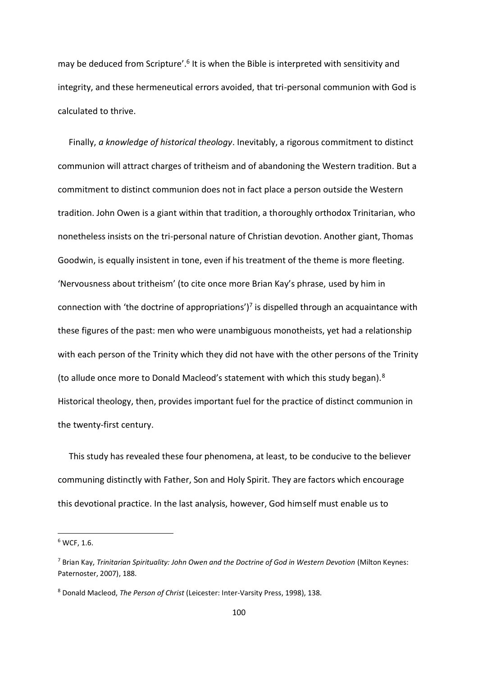may be deduced from Scripture'.<sup>6</sup> It is when the Bible is interpreted with sensitivity and integrity, and these hermeneutical errors avoided, that tri-personal communion with God is calculated to thrive.

 Finally, *a knowledge of historical theology*. Inevitably, a rigorous commitment to distinct communion will attract charges of tritheism and of abandoning the Western tradition. But a commitment to distinct communion does not in fact place a person outside the Western tradition. John Owen is a giant within that tradition, a thoroughly orthodox Trinitarian, who nonetheless insists on the tri-personal nature of Christian devotion. Another giant, Thomas Goodwin, is equally insistent in tone, even if his treatment of the theme is more fleeting. 'Nervousness about tritheism' (to cite once more Brian Kay's phrase, used by him in connection with 'the doctrine of appropriations')<sup>7</sup> is dispelled through an acquaintance with these figures of the past: men who were unambiguous monotheists, yet had a relationship with each person of the Trinity which they did not have with the other persons of the Trinity (to allude once more to Donald Macleod's statement with which this study began).<sup>8</sup> Historical theology, then, provides important fuel for the practice of distinct communion in the twenty-first century.

 This study has revealed these four phenomena, at least, to be conducive to the believer communing distinctly with Father, Son and Holy Spirit. They are factors which encourage this devotional practice. In the last analysis, however, God himself must enable us to

 $6$  WCF, 1.6.

<sup>7</sup> Brian Kay, *Trinitarian Spirituality: John Owen and the Doctrine of God in Western Devotion* (Milton Keynes: Paternoster, 2007), 188.

<sup>8</sup> Donald Macleod, *The Person of Christ* (Leicester: Inter-Varsity Press, 1998), 138.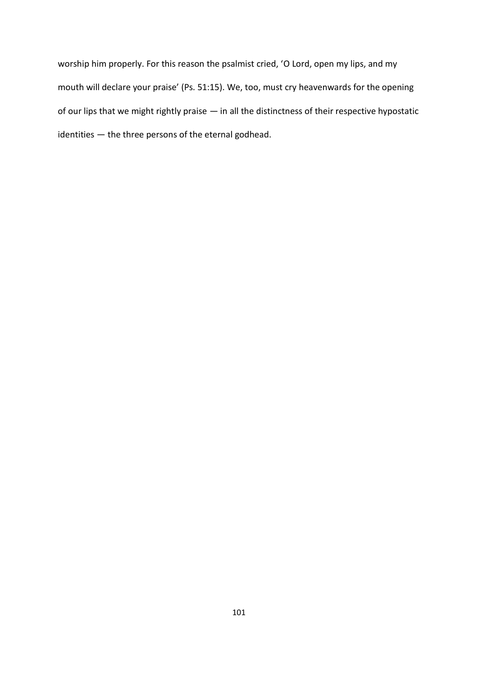worship him properly. For this reason the psalmist cried, 'O Lord, open my lips, and my mouth will declare your praise' (Ps. 51:15). We, too, must cry heavenwards for the opening of our lips that we might rightly praise — in all the distinctness of their respective hypostatic identities — the three persons of the eternal godhead.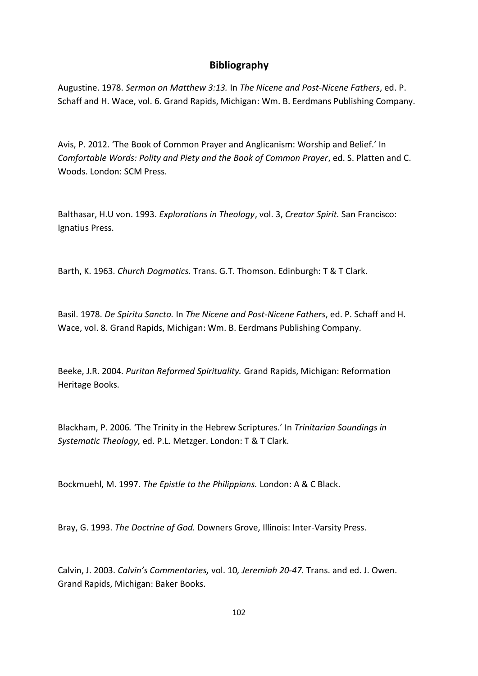# **Bibliography**

Augustine. 1978. *Sermon on Matthew 3:13.* In *The Nicene and Post-Nicene Fathers*, ed. P. Schaff and H. Wace, vol. 6. Grand Rapids, Michigan: Wm. B. Eerdmans Publishing Company.

Avis, P. 2012. 'The Book of Common Prayer and Anglicanism: Worship and Belief.' In *Comfortable Words: Polity and Piety and the Book of Common Prayer*, ed. S. Platten and C. Woods. London: SCM Press.

Balthasar, H.U von. 1993. *Explorations in Theology*, vol. 3, *Creator Spirit.* San Francisco: Ignatius Press.

Barth, K. 1963. *Church Dogmatics.* Trans. G.T. Thomson. Edinburgh: T & T Clark.

Basil. 1978. *De Spiritu Sancto.* In *The Nicene and Post-Nicene Fathers*, ed. P. Schaff and H. Wace, vol. 8. Grand Rapids, Michigan: Wm. B. Eerdmans Publishing Company.

Beeke, J.R. 2004. *Puritan Reformed Spirituality.* Grand Rapids, Michigan: Reformation Heritage Books.

Blackham, P. 2006*.* 'The Trinity in the Hebrew Scriptures.' In *Trinitarian Soundings in Systematic Theology,* ed. P.L. Metzger. London: T & T Clark.

Bockmuehl, M. 1997. *The Epistle to the Philippians.* London: A & C Black.

Bray, G. 1993. *The Doctrine of God.* Downers Grove, Illinois: Inter-Varsity Press.

Calvin, J. 2003. *Calvin's Commentaries,* vol. 10*, Jeremiah 20-47.* Trans. and ed. J. Owen. Grand Rapids, Michigan: Baker Books.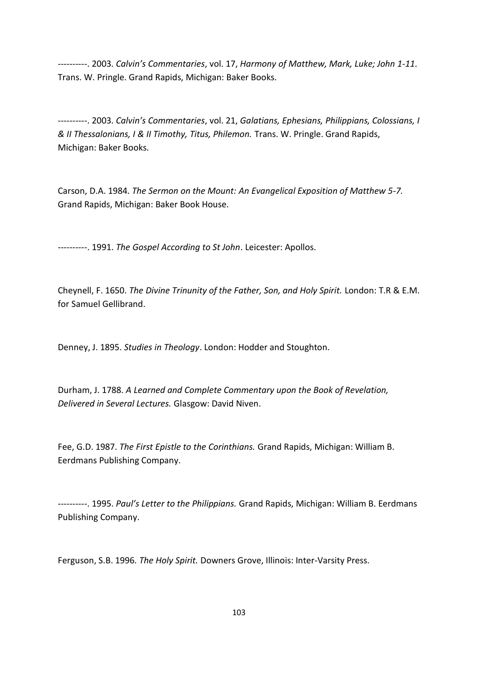----------. 2003. *Calvin's Commentaries*, vol. 17, *Harmony of Matthew, Mark, Luke; John 1-11*. Trans. W. Pringle. Grand Rapids, Michigan: Baker Books.

----------. 2003. *Calvin's Commentaries*, vol. 21, *Galatians, Ephesians, Philippians, Colossians, I & II Thessalonians, I & II Timothy, Titus, Philemon.* Trans. W. Pringle. Grand Rapids, Michigan: Baker Books.

Carson, D.A. 1984. *The Sermon on the Mount: An Evangelical Exposition of Matthew 5-7.* Grand Rapids, Michigan: Baker Book House.

----------. 1991. *The Gospel According to St John*. Leicester: Apollos.

Cheynell, F. 1650. *The Divine Trinunity of the Father, Son, and Holy Spirit.* London: T.R & E.M. for Samuel Gellibrand.

Denney, J. 1895. *Studies in Theology*. London: Hodder and Stoughton.

Durham, J. 1788. *A Learned and Complete Commentary upon the Book of Revelation, Delivered in Several Lectures.* Glasgow: David Niven.

Fee, G.D. 1987. *The First Epistle to the Corinthians.* Grand Rapids, Michigan: William B. Eerdmans Publishing Company.

----------. 1995. *Paul's Letter to the Philippians.* Grand Rapids, Michigan: William B. Eerdmans Publishing Company.

Ferguson, S.B. 1996. *The Holy Spirit.* Downers Grove, Illinois: Inter-Varsity Press.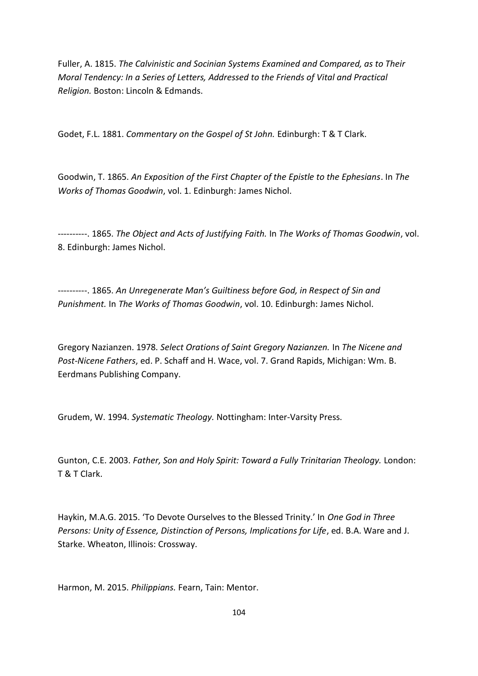Fuller, A. 1815. *The Calvinistic and Socinian Systems Examined and Compared, as to Their Moral Tendency: In a Series of Letters, Addressed to the Friends of Vital and Practical Religion.* Boston: Lincoln & Edmands.

Godet, F.L. 1881. *Commentary on the Gospel of St John.* Edinburgh: T & T Clark.

Goodwin, T. 1865. *An Exposition of the First Chapter of the Epistle to the Ephesians*. In *The Works of Thomas Goodwin*, vol. 1. Edinburgh: James Nichol.

----------. 1865. *The Object and Acts of Justifying Faith.* In *The Works of Thomas Goodwin*, vol. 8. Edinburgh: James Nichol.

----------. 1865. *An Unregenerate Man's Guiltiness before God, in Respect of Sin and Punishment.* In *The Works of Thomas Goodwin*, vol. 10. Edinburgh: James Nichol.

Gregory Nazianzen. 1978. *Select Orations of Saint Gregory Nazianzen.* In *The Nicene and Post-Nicene Fathers*, ed. P. Schaff and H. Wace, vol. 7. Grand Rapids, Michigan: Wm. B. Eerdmans Publishing Company.

Grudem, W. 1994. *Systematic Theology.* Nottingham: Inter-Varsity Press.

Gunton, C.E. 2003. *Father, Son and Holy Spirit: Toward a Fully Trinitarian Theology.* London: T & T Clark.

Haykin, M.A.G. 2015. 'To Devote Ourselves to the Blessed Trinity.' In *One God in Three Persons: Unity of Essence, Distinction of Persons, Implications for Life*, ed. B.A. Ware and J. Starke. Wheaton, Illinois: Crossway.

Harmon, M. 2015. *Philippians.* Fearn, Tain: Mentor.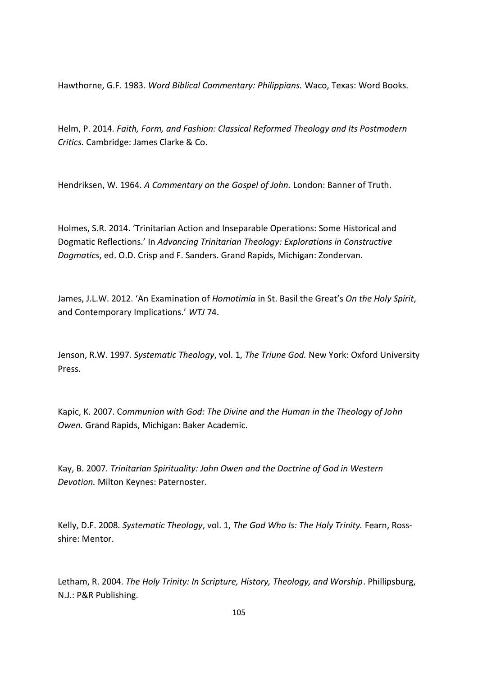Hawthorne, G.F. 1983. *Word Biblical Commentary: Philippians.* Waco, Texas: Word Books.

Helm, P. 2014. *Faith, Form, and Fashion: Classical Reformed Theology and Its Postmodern Critics.* Cambridge: James Clarke & Co.

Hendriksen, W. 1964. *A Commentary on the Gospel of John.* London: Banner of Truth.

Holmes, S.R. 2014. 'Trinitarian Action and Inseparable Operations: Some Historical and Dogmatic Reflections.' In *Advancing Trinitarian Theology: Explorations in Constructive Dogmatics*, ed. O.D. Crisp and F. Sanders. Grand Rapids, Michigan: Zondervan.

James, J.L.W. 2012. 'An Examination of *Homotimia* in St. Basil the Great's *On the Holy Spirit*, and Contemporary Implications.' *WTJ* 74.

Jenson, R.W. 1997. *Systematic Theology*, vol. 1, *The Triune God.* New York: Oxford University Press.

Kapic, K. 2007. C*ommunion with God: The Divine and the Human in the Theology of John Owen.* Grand Rapids, Michigan: Baker Academic.

Kay, B. 2007*. Trinitarian Spirituality: John Owen and the Doctrine of God in Western Devotion.* Milton Keynes: Paternoster.

Kelly, D.F. 2008. *Systematic Theology*, vol. 1, *The God Who Is: The Holy Trinity.* Fearn, Rossshire: Mentor.

Letham, R. 2004. *The Holy Trinity: In Scripture, History, Theology, and Worship*. Phillipsburg, N.J.: P&R Publishing.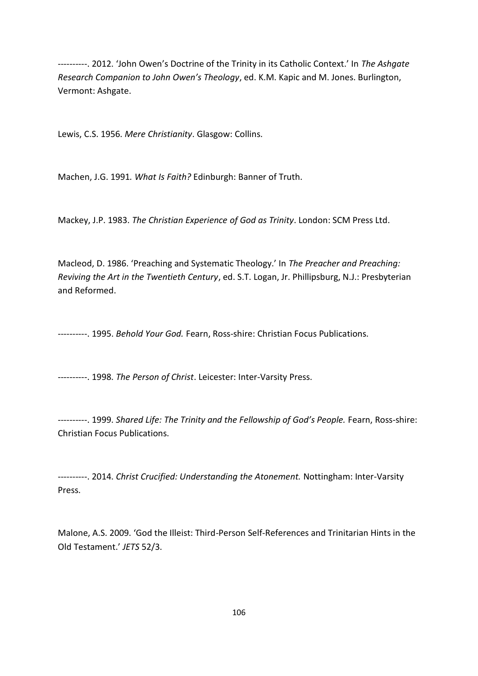----------. 2012. 'John Owen's Doctrine of the Trinity in its Catholic Context.' In *The Ashgate Research Companion to John Owen's Theology*, ed. K.M. Kapic and M. Jones. Burlington, Vermont: Ashgate.

Lewis, C.S. 1956. *Mere Christianity*. Glasgow: Collins.

Machen, J.G. 1991*. What Is Faith?* Edinburgh: Banner of Truth.

Mackey, J.P. 1983. *The Christian Experience of God as Trinity*. London: SCM Press Ltd.

Macleod, D. 1986. 'Preaching and Systematic Theology.' In *The Preacher and Preaching: Reviving the Art in the Twentieth Century*, ed. S.T. Logan, Jr. Phillipsburg, N.J.: Presbyterian and Reformed.

----------. 1995. *Behold Your God.* Fearn, Ross-shire: Christian Focus Publications.

----------. 1998. *The Person of Christ*. Leicester: Inter-Varsity Press.

----------. 1999. *Shared Life: The Trinity and the Fellowship of God's People.* Fearn, Ross-shire: Christian Focus Publications.

----------. 2014. *Christ Crucified: Understanding the Atonement.* Nottingham: Inter-Varsity Press.

Malone, A.S. 2009. 'God the Illeist: Third-Person Self-References and Trinitarian Hints in the Old Testament.' *JETS* 52/3.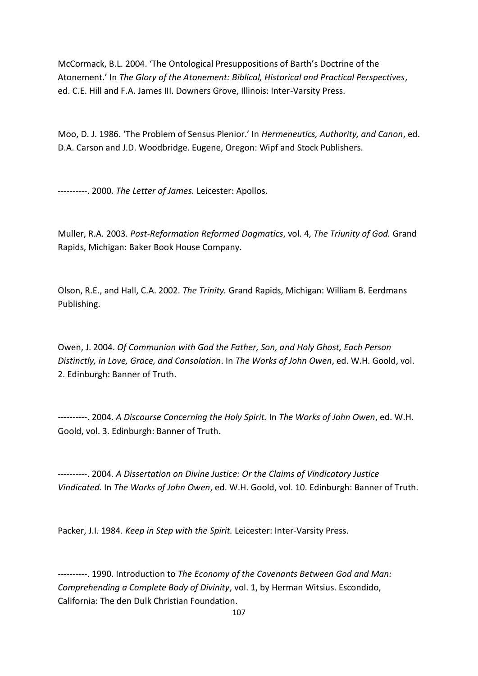McCormack, B.L. 2004. 'The Ontological Presuppositions of Barth's Doctrine of the Atonement.' In *The Glory of the Atonement: Biblical, Historical and Practical Perspectives*, ed. C.E. Hill and F.A. James III. Downers Grove, Illinois: Inter-Varsity Press.

Moo, D. J. 1986. 'The Problem of Sensus Plenior.' In *Hermeneutics, Authority, and Canon*, ed. D.A. Carson and J.D. Woodbridge. Eugene, Oregon: Wipf and Stock Publishers.

----------. 2000. *The Letter of James.* Leicester: Apollos.

Muller, R.A. 2003. *Post-Reformation Reformed Dogmatics*, vol. 4, *The Triunity of God.* Grand Rapids, Michigan: Baker Book House Company.

Olson, R.E., and Hall, C.A. 2002. *The Trinity.* Grand Rapids, Michigan: William B. Eerdmans Publishing.

Owen, J. 2004. *Of Communion with God the Father, Son, and Holy Ghost, Each Person Distinctly, in Love, Grace, and Consolation*. In *The Works of John Owen*, ed. W.H. Goold, vol. 2. Edinburgh: Banner of Truth.

----------. 2004. *A Discourse Concerning the Holy Spirit.* In *The Works of John Owen*, ed. W.H. Goold, vol. 3. Edinburgh: Banner of Truth.

----------. 2004. *A Dissertation on Divine Justice: Or the Claims of Vindicatory Justice Vindicated.* In *The Works of John Owen*, ed. W.H. Goold, vol. 10. Edinburgh: Banner of Truth.

Packer, J.I. 1984. *Keep in Step with the Spirit.* Leicester: Inter-Varsity Press.

----------. 1990. Introduction to *The Economy of the Covenants Between God and Man: Comprehending a Complete Body of Divinity*, vol. 1, by Herman Witsius. Escondido, California: The den Dulk Christian Foundation.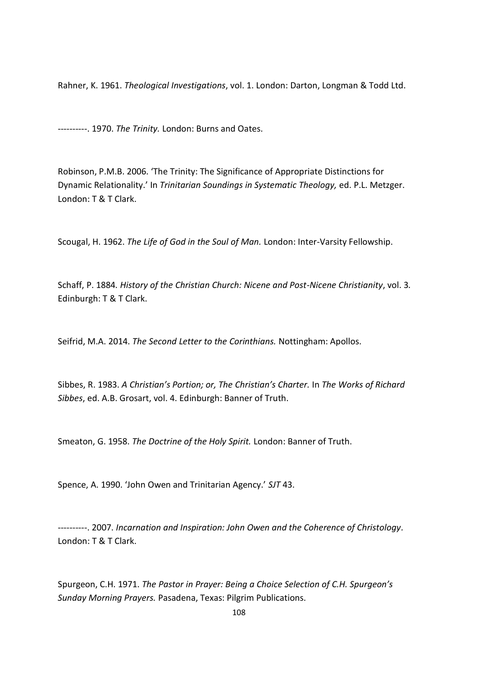Rahner, K. 1961. *Theological Investigations*, vol. 1. London: Darton, Longman & Todd Ltd.

----------. 1970. *The Trinity.* London: Burns and Oates.

Robinson, P.M.B. 2006. 'The Trinity: The Significance of Appropriate Distinctions for Dynamic Relationality.' In *Trinitarian Soundings in Systematic Theology,* ed. P.L. Metzger. London: T & T Clark.

Scougal, H. 1962. *The Life of God in the Soul of Man.* London: Inter-Varsity Fellowship.

Schaff, P. 1884*. History of the Christian Church: Nicene and Post-Nicene Christianity*, vol. 3*.* Edinburgh: T & T Clark.

Seifrid, M.A. 2014. *The Second Letter to the Corinthians.* Nottingham: Apollos.

Sibbes, R. 1983. *A Christian's Portion; or, The Christian's Charter.* In *The Works of Richard Sibbes*, ed. A.B. Grosart, vol. 4. Edinburgh: Banner of Truth.

Smeaton, G. 1958. *The Doctrine of the Holy Spirit.* London: Banner of Truth.

Spence, A. 1990. 'John Owen and Trinitarian Agency.' *SJT* 43.

----------. 2007. *Incarnation and Inspiration: John Owen and the Coherence of Christology.* London: T & T Clark.

Spurgeon, C.H. 1971. *The Pastor in Prayer: Being a Choice Selection of C.H. Spurgeon's Sunday Morning Prayers.* Pasadena, Texas: Pilgrim Publications.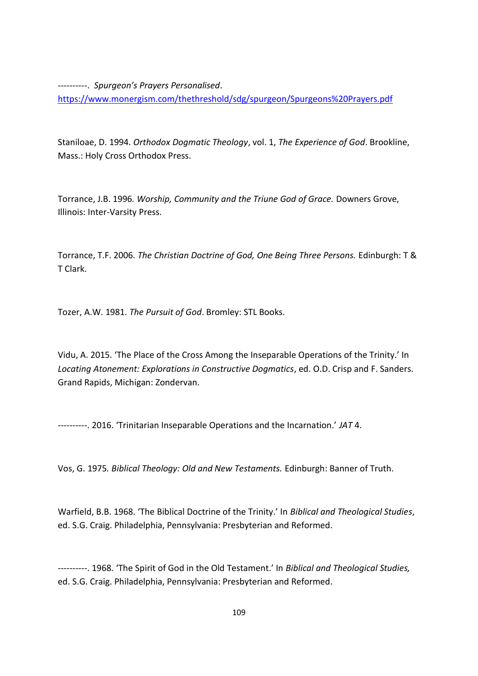----------. *Spurgeon's Prayers Personalised*. <https://www.monergism.com/thethreshold/sdg/spurgeon/Spurgeons%20Prayers.pdf>

Staniloae, D. 1994. *Orthodox Dogmatic Theology*, vol. 1, *The Experience of God*. Brookline, Mass.: Holy Cross Orthodox Press.

Torrance, J.B. 1996*. Worship, Community and the Triune God of Grace.* Downers Grove, Illinois: Inter-Varsity Press.

Torrance, T.F. 2006. *The Christian Doctrine of God, One Being Three Persons.* Edinburgh: T & T Clark.

Tozer, A.W. 1981. *The Pursuit of God*. Bromley: STL Books.

Vidu, A. 2015. 'The Place of the Cross Among the Inseparable Operations of the Trinity.' In *Locating Atonement: Explorations in Constructive Dogmatics*, ed. O.D. Crisp and F. Sanders. Grand Rapids, Michigan: Zondervan.

----------. 2016. 'Trinitarian Inseparable Operations and the Incarnation.' *JAT* 4.

Vos, G. 1975*. Biblical Theology: Old and New Testaments.* Edinburgh: Banner of Truth.

Warfield, B.B. 1968. 'The Biblical Doctrine of the Trinity.' In *Biblical and Theological Studies*, ed. S.G. Craig. Philadelphia, Pennsylvania: Presbyterian and Reformed.

----------. 1968. 'The Spirit of God in the Old Testament.' In *Biblical and Theological Studies,*  ed. S.G. Craig. Philadelphia, Pennsylvania: Presbyterian and Reformed.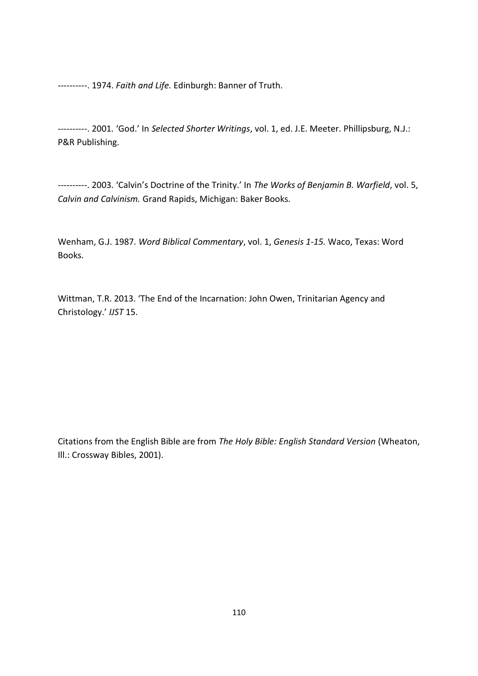----------. 1974. *Faith and Life.* Edinburgh: Banner of Truth.

----------. 2001. 'God.' In *Selected Shorter Writings*, vol. 1, ed. J.E. Meeter. Phillipsburg, N.J.: P&R Publishing.

----------. 2003. 'Calvin's Doctrine of the Trinity.' In *The Works of Benjamin B. Warfield*, vol. 5, *Calvin and Calvinism.* Grand Rapids, Michigan: Baker Books.

Wenham, G.J. 1987. *Word Biblical Commentary*, vol. 1, *Genesis 1-15.* Waco, Texas: Word Books.

Wittman, T.R. 2013. 'The End of the Incarnation: John Owen, Trinitarian Agency and Christology.' *IJST* 15.

Citations from the English Bible are from *The Holy Bible: English Standard Version* (Wheaton, Ill.: Crossway Bibles, 2001).